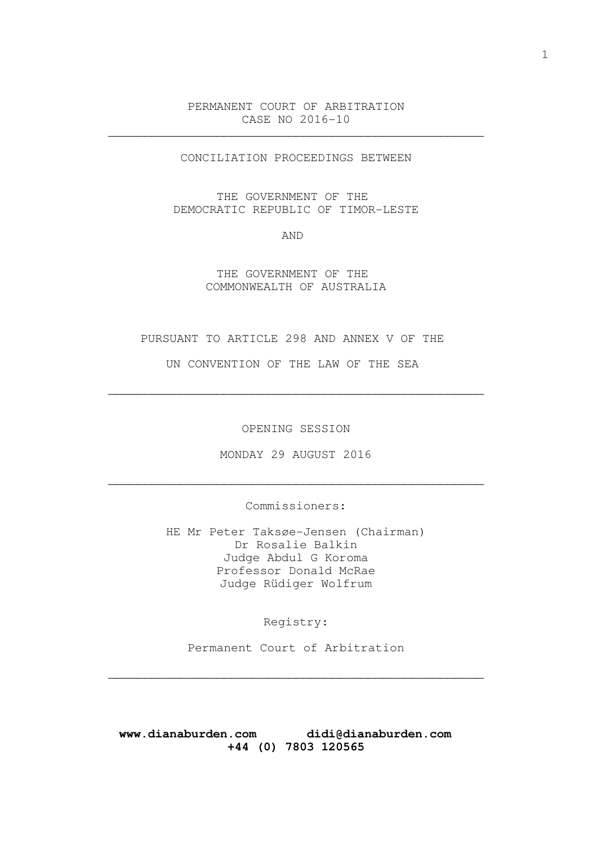PERMANENT COURT OF ARBITRATION CASE NO 2016-10

\_\_\_\_\_\_\_\_\_\_\_\_\_\_\_\_\_\_\_\_\_\_\_\_\_\_\_\_\_\_\_\_\_\_\_\_\_\_\_\_\_\_\_\_\_\_\_\_\_\_\_\_

CONCILIATION PROCEEDINGS BETWEEN

THE GOVERNMENT OF THE DEMOCRATIC REPUBLIC OF TIMOR-LESTE

AND

# THE GOVERNMENT OF THE COMMONWEALTH OF AUSTRALIA

#### PURSUANT TO ARTICLE 298 AND ANNEX V OF THE

UN CONVENTION OF THE LAW OF THE SEA

\_\_\_\_\_\_\_\_\_\_\_\_\_\_\_\_\_\_\_\_\_\_\_\_\_\_\_\_\_\_\_\_\_\_\_\_\_\_\_\_\_\_\_\_\_\_\_\_\_\_\_\_

OPENING SESSION

MONDAY 29 AUGUST 2016

\_\_\_\_\_\_\_\_\_\_\_\_\_\_\_\_\_\_\_\_\_\_\_\_\_\_\_\_\_\_\_\_\_\_\_\_\_\_\_\_\_\_\_\_\_\_\_\_\_\_\_\_

Commissioners:

HE Mr Peter Taksøe-Jensen (Chairman) Dr Rosalie Balkin Judge Abdul G Koroma Professor Donald McRae Judge Rüdiger Wolfrum

Registry:

Permanent Court of Arbitration

\_\_\_\_\_\_\_\_\_\_\_\_\_\_\_\_\_\_\_\_\_\_\_\_\_\_\_\_\_\_\_\_\_\_\_\_\_\_\_\_\_\_\_\_\_\_\_\_\_\_\_\_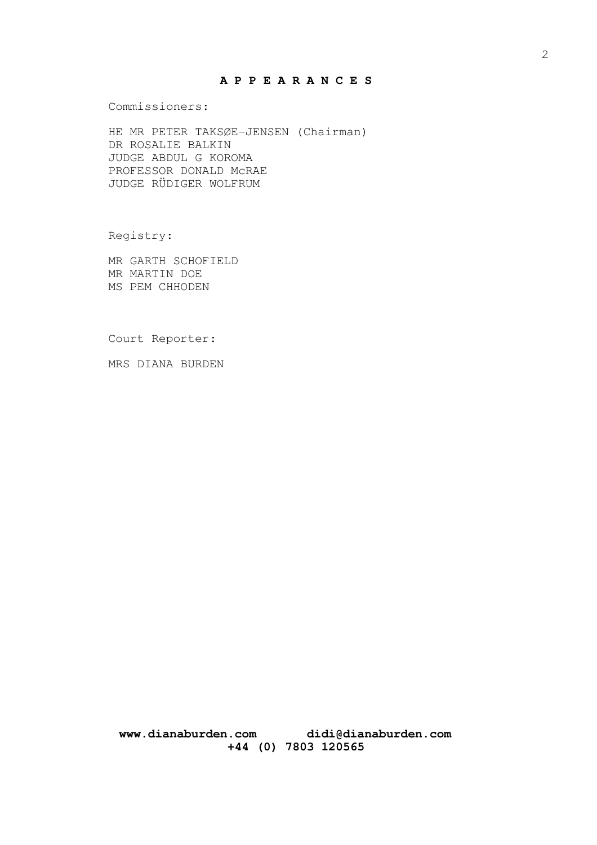# **A P P E A R A N C E S**

Commissioners:

HE MR PETER TAKSØE-JENSEN (Chairman) DR ROSALIE BALKIN JUDGE ABDUL G KOROMA PROFESSOR DONALD McRAE JUDGE RÜDIGER WOLFRUM

Registry:

MR GARTH SCHOFIELD MR MARTIN DOE MS PEM CHHODEN

Court Reporter:

MRS DIANA BURDEN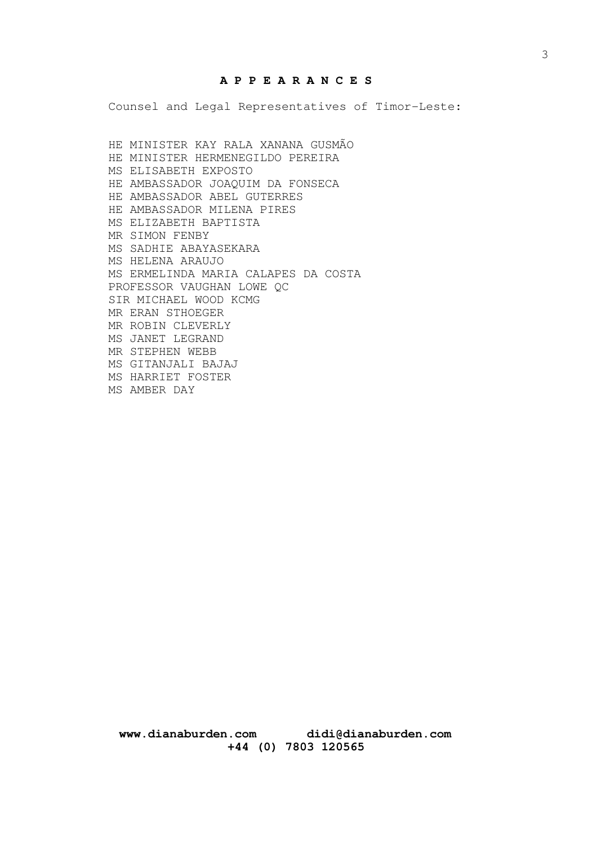# **A P P E A R A N C E S**

Counsel and Legal Representatives of Timor-Leste:

HE MINISTER KAY RALA XANANA GUSMÃO HE MINISTER HERMENEGILDO PEREIRA MS ELISABETH EXPOSTO HE AMBASSADOR JOAQUIM DA FONSECA HE AMBASSADOR ABEL GUTERRES HE AMBASSADOR MILENA PIRES MS ELIZABETH BAPTISTA MR SIMON FENBY MS SADHIE ABAYASEKARA MS HELENA ARAUJO MS ERMELINDA MARIA CALAPES DA COSTA PROFESSOR VAUGHAN LOWE QC SIR MICHAEL WOOD KCMG MR ERAN STHOEGER MR ROBIN CLEVERLY MS JANET LEGRAND MR STEPHEN WEBB MS GITANJALI BAJAJ MS HARRIET FOSTER MS AMBER DAY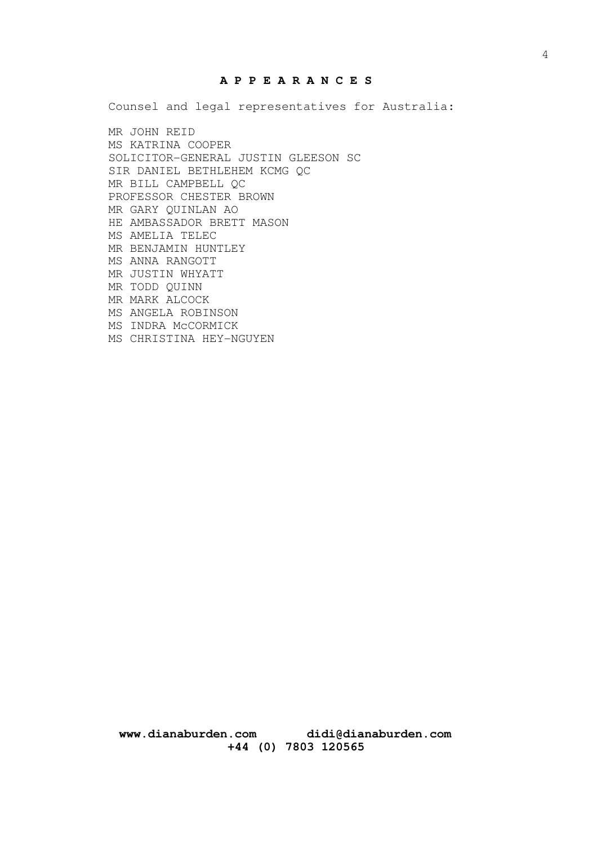# **A P P E A R A N C E S**

Counsel and legal representatives for Australia:

MR JOHN REID MS KATRINA COOPER SOLICITOR-GENERAL JUSTIN GLEESON SC SIR DANIEL BETHLEHEM KCMG QC MR BILL CAMPBELL QC PROFESSOR CHESTER BROWN MR GARY QUINLAN AO HE AMBASSADOR BRETT MASON MS AMELIA TELEC MR BENJAMIN HUNTLEY MS ANNA RANGOTT MR JUSTIN WHYATT MR TODD QUINN MR MARK ALCOCK MS ANGELA ROBINSON MS INDRA McCORMICK MS CHRISTINA HEY-NGUYEN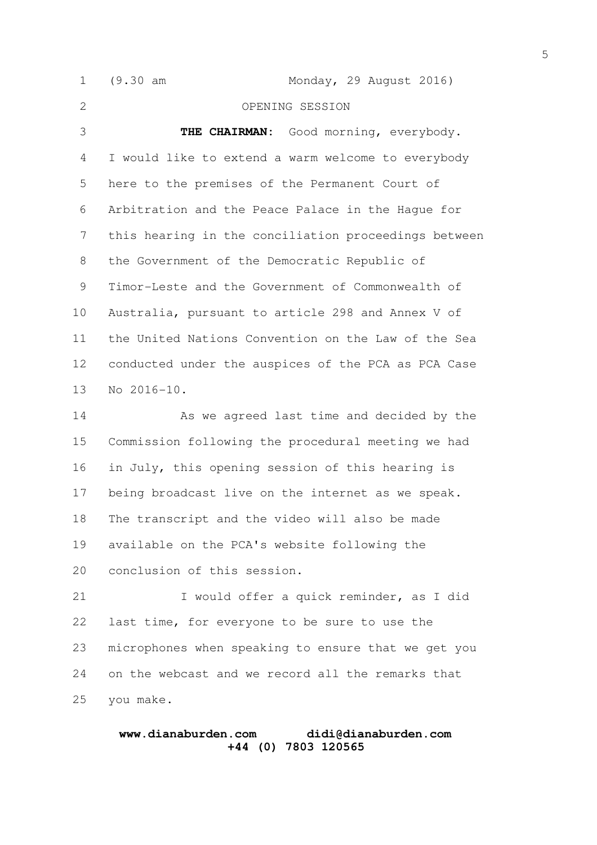(9.30 am Monday, 29 August 2016) OPENING SESSION THE CHAIRMAN: Good morning, everybody. I would like to extend a warm welcome to everybody here to the premises of the Permanent Court of Arbitration and the Peace Palace in the Hague for this hearing in the conciliation proceedings between the Government of the Democratic Republic of Timor-Leste and the Government of Commonwealth of Australia, pursuant to article 298 and Annex V of the United Nations Convention on the Law of the Sea conducted under the auspices of the PCA as PCA Case No 2016-10. As we agreed last time and decided by the Commission following the procedural meeting we had in July, this opening session of this hearing is being broadcast live on the internet as we speak. The transcript and the video will also be made available on the PCA's website following the conclusion of this session. I would offer a quick reminder, as I did last time, for everyone to be sure to use the 1 2 3 4 5 6 7 8 9 10 11 12 13 14 15 16 17 18 19 20 21 22

microphones when speaking to ensure that we get you on the webcast and we record all the remarks that you make. 23 24 25

### **www.dianaburden.com didi@dianaburden.com +44 (0) 7803 120565**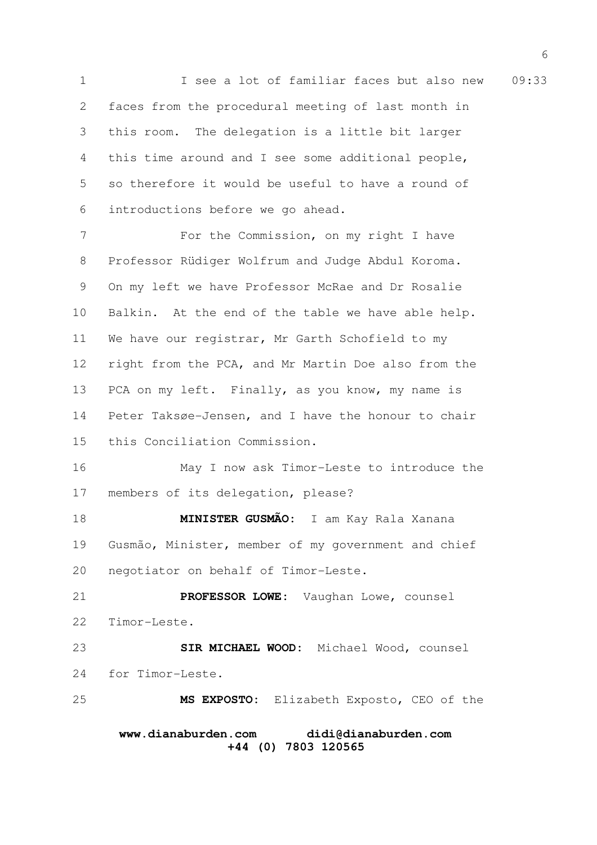1 1 See a lot of familiar faces but also new 09:33 faces from the procedural meeting of last month in this room. The delegation is a little bit larger this time around and I see some additional people, so therefore it would be useful to have a round of introductions before we go ahead. 2 3 4 5 6

For the Commission, on my right I have Professor Rüdiger Wolfrum and Judge Abdul Koroma. On my left we have Professor McRae and Dr Rosalie Balkin. At the end of the table we have able help. We have our registrar, Mr Garth Schofield to my right from the PCA, and Mr Martin Doe also from the PCA on my left. Finally, as you know, my name is Peter Taksøe-Jensen, and I have the honour to chair this Conciliation Commission. 7 8 9 10 11 12 13 14 15

May I now ask Timor-Leste to introduce the members of its delegation, please? 16 17

**MINISTER GUSMÃO:** I am Kay Rala Xanana Gusmão, Minister, member of my government and chief negotiator on behalf of Timor-Leste. 18 19 20

**PROFESSOR LOWE:** Vaughan Lowe, counsel Timor-Leste. 21 22

**SIR MICHAEL WOOD:** Michael Wood, counsel for Timor-Leste. 23 24

**MS EXPOSTO:** Elizabeth Exposto, CEO of the 25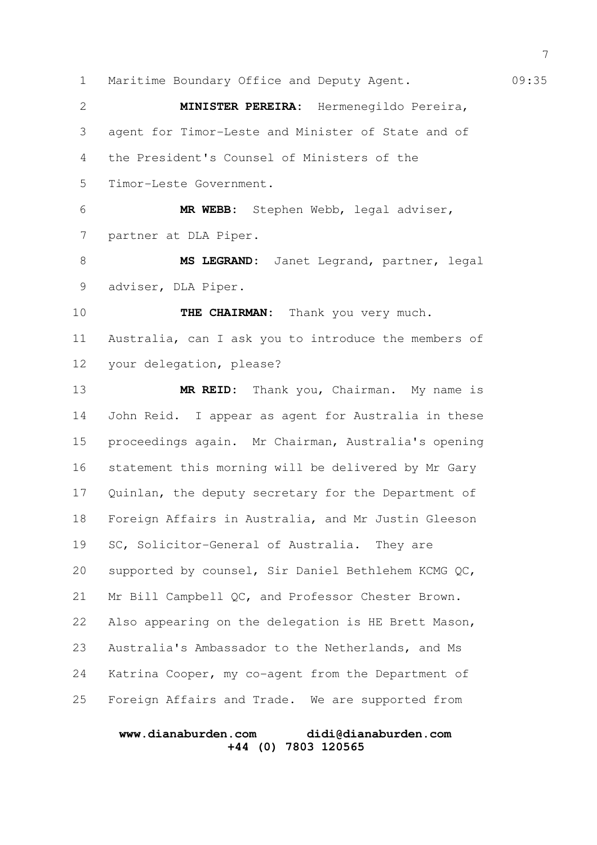1 Maritime Boundary Office and Deputy Agent. 09:35 **MINISTER PEREIRA:** Hermenegildo Pereira, agent for Timor-Leste and Minister of State and of the President's Counsel of Ministers of the Timor-Leste Government. **MR WEBB:** Stephen Webb, legal adviser, partner at DLA Piper. **MS LEGRAND:** Janet Legrand, partner, legal adviser, DLA Piper. **THE CHAIRMAN:** Thank you very much. Australia, can I ask you to introduce the members of your delegation, please? **MR REID:** Thank you, Chairman. My name is John Reid. I appear as agent for Australia in these proceedings again. Mr Chairman, Australia's opening statement this morning will be delivered by Mr Gary Quinlan, the deputy secretary for the Department of Foreign Affairs in Australia, and Mr Justin Gleeson SC, Solicitor-General of Australia. They are supported by counsel, Sir Daniel Bethlehem KCMG QC, Mr Bill Campbell QC, and Professor Chester Brown. Also appearing on the delegation is HE Brett Mason, Australia's Ambassador to the Netherlands, and Ms Katrina Cooper, my co-agent from the Department of Foreign Affairs and Trade. We are supported from 2 3 4 5 6 7 8 9 10 11 12 13 14 15 16 17 18 19 20 21 22 23 24 25

#### **www.dianaburden.com didi@dianaburden.com +44 (0) 7803 120565**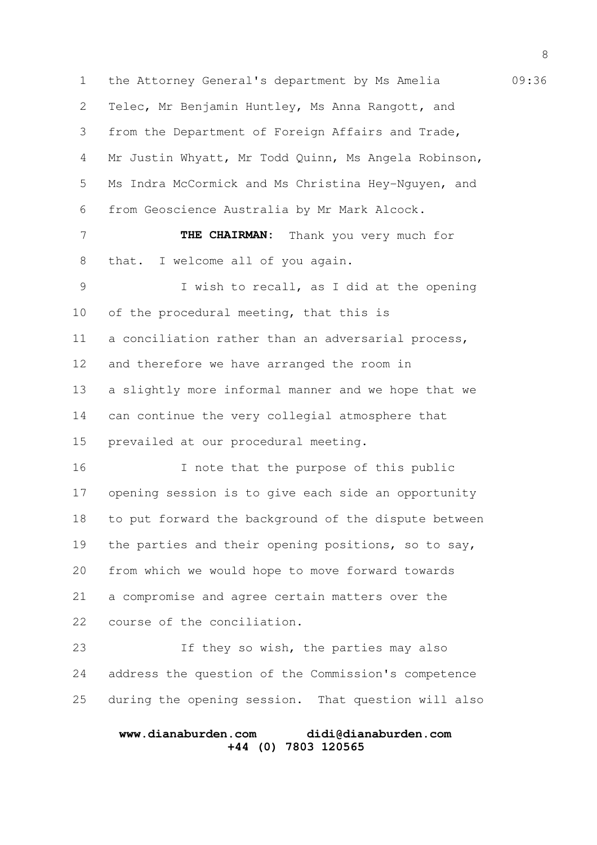1 the Attorney General's department by Ms Amelia 69:36 Telec, Mr Benjamin Huntley, Ms Anna Rangott, and from the Department of Foreign Affairs and Trade, Mr Justin Whyatt, Mr Todd Quinn, Ms Angela Robinson, Ms Indra McCormick and Ms Christina Hey-Nguyen, and from Geoscience Australia by Mr Mark Alcock. **THE CHAIRMAN:** Thank you very much for that. I welcome all of you again. I wish to recall, as I did at the opening of the procedural meeting, that this is a conciliation rather than an adversarial process, and therefore we have arranged the room in a slightly more informal manner and we hope that we can continue the very collegial atmosphere that prevailed at our procedural meeting. I note that the purpose of this public opening session is to give each side an opportunity to put forward the background of the dispute between the parties and their opening positions, so to say, from which we would hope to move forward towards a compromise and agree certain matters over the course of the conciliation. If they so wish, the parties may also address the question of the Commission's competence during the opening session. That question will also 2 3 4 5 6 7 8 9 10 11 12 13 14 15 16 17 18 19 20 21 22 23 24 25

# **www.dianaburden.com didi@dianaburden.com +44 (0) 7803 120565**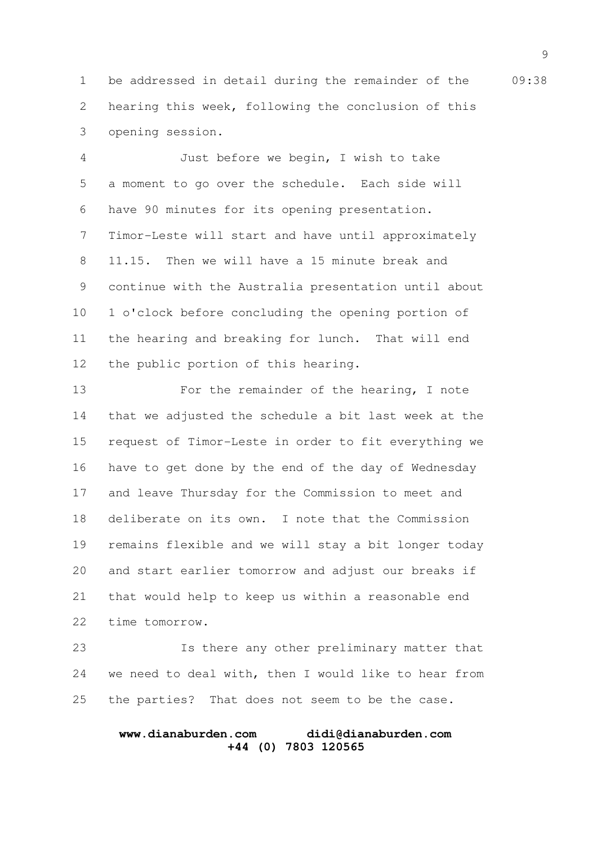1 be addressed in detail during the remainder of the 09:38 hearing this week, following the conclusion of this opening session. 2 3

Just before we begin, I wish to take a moment to go over the schedule. Each side will have 90 minutes for its opening presentation. Timor-Leste will start and have until approximately 11.15. Then we will have a 15 minute break and continue with the Australia presentation until about 1 o'clock before concluding the opening portion of the hearing and breaking for lunch. That will end the public portion of this hearing. 4 5 6 7 8 9 10 11 12

For the remainder of the hearing, I note that we adjusted the schedule a bit last week at the request of Timor-Leste in order to fit everything we have to get done by the end of the day of Wednesday and leave Thursday for the Commission to meet and deliberate on its own. I note that the Commission remains flexible and we will stay a bit longer today and start earlier tomorrow and adjust our breaks if that would help to keep us within a reasonable end time tomorrow. 13 14 15 16 17 18 19 20 21 22

Is there any other preliminary matter that we need to deal with, then I would like to hear from the parties? That does not seem to be the case. 23 24 25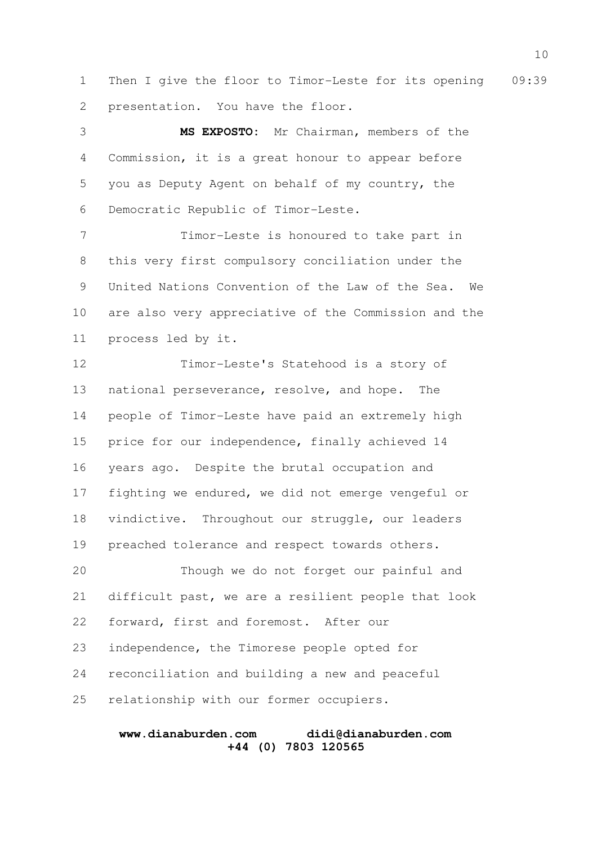1 Then I give the floor to Timor-Leste for its opening 09:39 presentation. You have the floor. 2

**MS EXPOSTO:** Mr Chairman, members of the Commission, it is a great honour to appear before you as Deputy Agent on behalf of my country, the Democratic Republic of Timor-Leste. 3 4 5 6

Timor-Leste is honoured to take part in this very first compulsory conciliation under the United Nations Convention of the Law of the Sea. We are also very appreciative of the Commission and the process led by it. 7 8 9 10 11

Timor-Leste's Statehood is a story of national perseverance, resolve, and hope. The people of Timor-Leste have paid an extremely high price for our independence, finally achieved 14 years ago. Despite the brutal occupation and fighting we endured, we did not emerge vengeful or vindictive. Throughout our struggle, our leaders preached tolerance and respect towards others. Though we do not forget our painful and difficult past, we are a resilient people that look forward, first and foremost. After our independence, the Timorese people opted for reconciliation and building a new and peaceful 12 13 14 15 16 17 18 19 20 21 22 23 24

relationship with our former occupiers. 25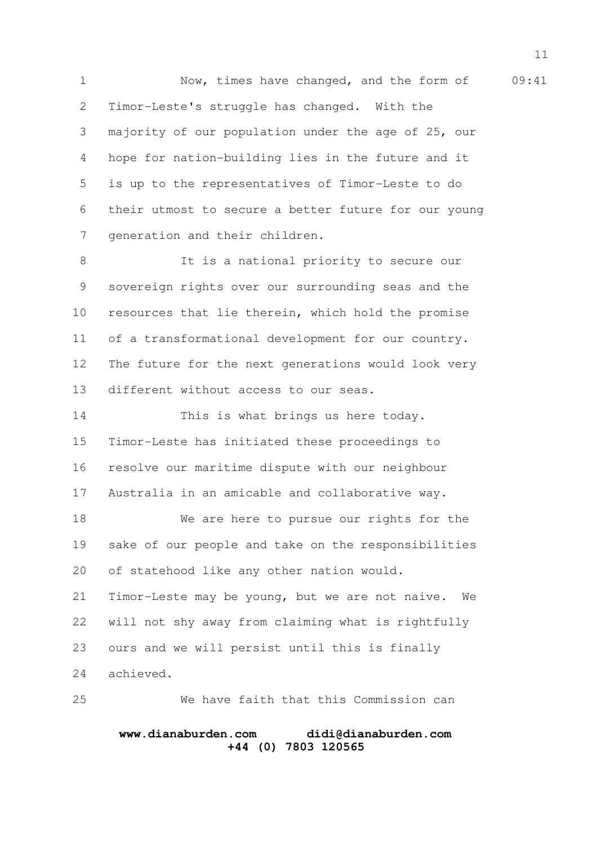1 Now, times have changed, and the form of 09:41 Timor-Leste's struggle has changed. With the majority of our population under the age of 25, our hope for nation-building lies in the future and it is up to the representatives of Timor-Leste to do their utmost to secure a better future for our young generation and their children. 2 3 4 5 6 7

It is a national priority to secure our sovereign rights over our surrounding seas and the resources that lie therein, which hold the promise of a transformational development for our country. The future for the next generations would look very different without access to our seas. 8 9 10 11 12 13

This is what brings us here today. Timor-Leste has initiated these proceedings to resolve our maritime dispute with our neighbour Australia in an amicable and collaborative way. 14 15 16 17

We are here to pursue our rights for the sake of our people and take on the responsibilities of statehood like any other nation would. 18 19 20

Timor-Leste may be young, but we are not naive. We will not shy away from claiming what is rightfully ours and we will persist until this is finally achieved. 21 22 23 24

We have faith that this Commission can 25

# **www.dianaburden.com didi@dianaburden.com +44 (0) 7803 120565**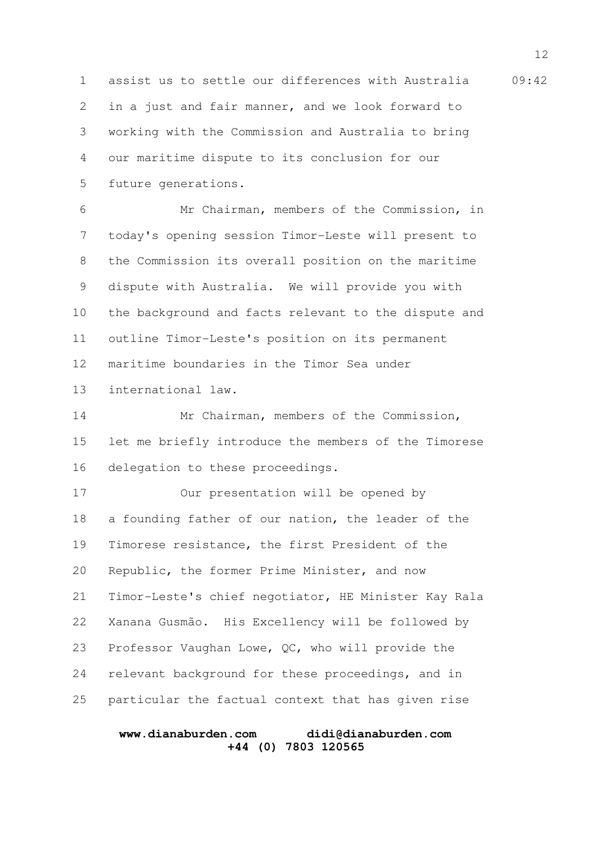1 assist us to settle our differences with Australia 09:42 in a just and fair manner, and we look forward to working with the Commission and Australia to bring our maritime dispute to its conclusion for our future generations. 2 3 4 5

Mr Chairman, members of the Commission, in today's opening session Timor-Leste will present to the Commission its overall position on the maritime dispute with Australia. We will provide you with the background and facts relevant to the dispute and outline Timor-Leste's position on its permanent maritime boundaries in the Timor Sea under international law. 6 7 8 9 10 11 12 13

Mr Chairman, members of the Commission, let me briefly introduce the members of the Timorese delegation to these proceedings. 14 15 16

Our presentation will be opened by a founding father of our nation, the leader of the Timorese resistance, the first President of the Republic, the former Prime Minister, and now Timor-Leste's chief negotiator, HE Minister Kay Rala Xanana Gusmão. His Excellency will be followed by Professor Vaughan Lowe, QC, who will provide the relevant background for these proceedings, and in particular the factual context that has given rise 17 18 19 20 21 22 23 24 25

### **www.dianaburden.com didi@dianaburden.com +44 (0) 7803 120565**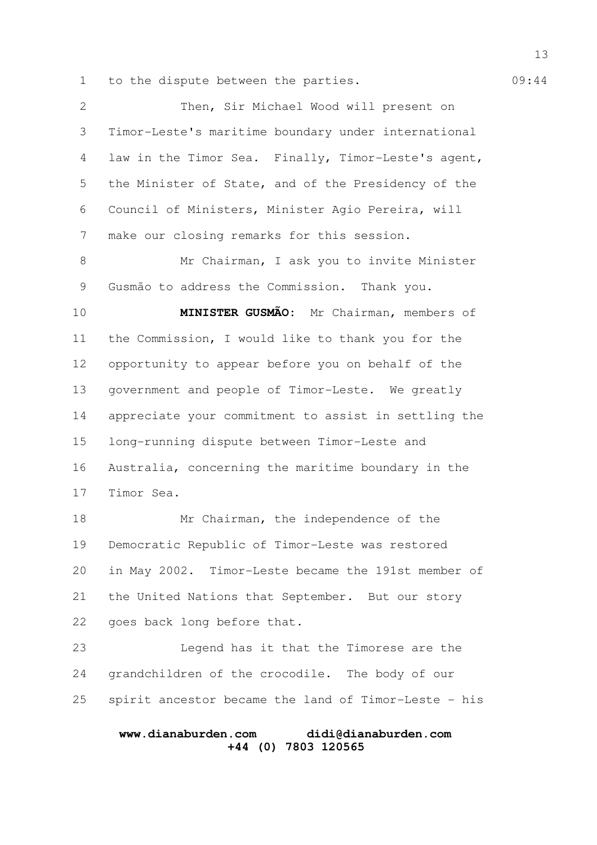1 to the dispute between the parties. 09:44

Then, Sir Michael Wood will present on Timor-Leste's maritime boundary under international law in the Timor Sea. Finally, Timor-Leste's agent, the Minister of State, and of the Presidency of the Council of Ministers, Minister Agio Pereira, will make our closing remarks for this session. Mr Chairman, I ask you to invite Minister Gusmão to address the Commission. Thank you. **MINISTER GUSMÃO:** Mr Chairman, members of 2 3 4 5 6 7 8 9 10

the Commission, I would like to thank you for the opportunity to appear before you on behalf of the government and people of Timor-Leste. We greatly appreciate your commitment to assist in settling the long-running dispute between Timor-Leste and Australia, concerning the maritime boundary in the Timor Sea. 11 12 13 14 15 16 17

Mr Chairman, the independence of the Democratic Republic of Timor-Leste was restored in May 2002. Timor-Leste became the 191st member of the United Nations that September. But our story goes back long before that. 18 19 20 21 22

Legend has it that the Timorese are the grandchildren of the crocodile. The body of our spirit ancestor became the land of Timor-Leste - his 23 24 25

### **www.dianaburden.com didi@dianaburden.com +44 (0) 7803 120565**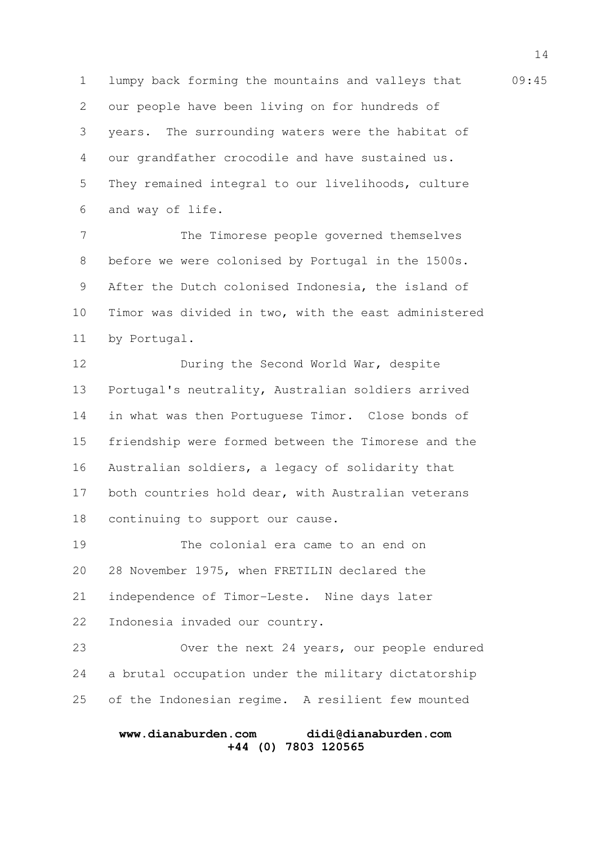1 lumpy back forming the mountains and valleys that 09:45 our people have been living on for hundreds of years. The surrounding waters were the habitat of our grandfather crocodile and have sustained us. They remained integral to our livelihoods, culture and way of life. 2 3 4 5 6

The Timorese people governed themselves before we were colonised by Portugal in the 1500s. After the Dutch colonised Indonesia, the island of Timor was divided in two, with the east administered by Portugal. 7 8 9 10 11

During the Second World War, despite Portugal's neutrality, Australian soldiers arrived in what was then Portuguese Timor. Close bonds of friendship were formed between the Timorese and the Australian soldiers, a legacy of solidarity that both countries hold dear, with Australian veterans continuing to support our cause. 12 13 14 15 16 17 18

The colonial era came to an end on 28 November 1975, when FRETILIN declared the independence of Timor-Leste. Nine days later Indonesia invaded our country. 19 20 21 22

Over the next 24 years, our people endured a brutal occupation under the military dictatorship of the Indonesian regime. A resilient few mounted 23 24 25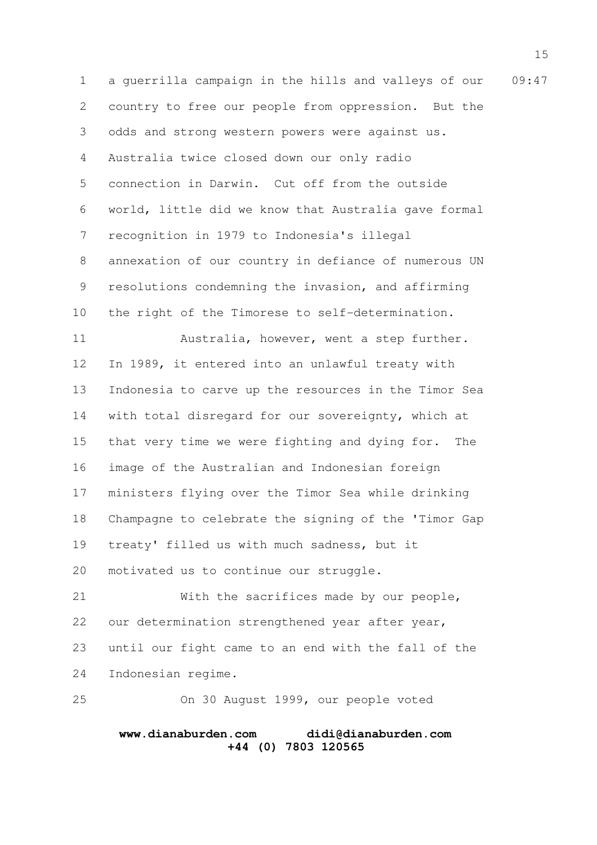1 a guerrilla campaign in the hills and valleys of our 09:47 country to free our people from oppression. But the odds and strong western powers were against us. Australia twice closed down our only radio connection in Darwin. Cut off from the outside world, little did we know that Australia gave formal recognition in 1979 to Indonesia's illegal annexation of our country in defiance of numerous UN resolutions condemning the invasion, and affirming the right of the Timorese to self-determination. Australia, however, went a step further. In 1989, it entered into an unlawful treaty with Indonesia to carve up the resources in the Timor Sea with total disregard for our sovereignty, which at that very time we were fighting and dying for. The image of the Australian and Indonesian foreign ministers flying over the Timor Sea while drinking Champagne to celebrate the signing of the 'Timor Gap treaty' filled us with much sadness, but it motivated us to continue our struggle. With the sacrifices made by our people, our determination strengthened year after year, until our fight came to an end with the fall of the 2 3 4 5 6 7 8 9 10 11 12 13 14 15 16 17 18 19 20 21 22 23

Indonesian regime. 24

On 30 August 1999, our people voted 25

#### **www.dianaburden.com didi@dianaburden.com +44 (0) 7803 120565**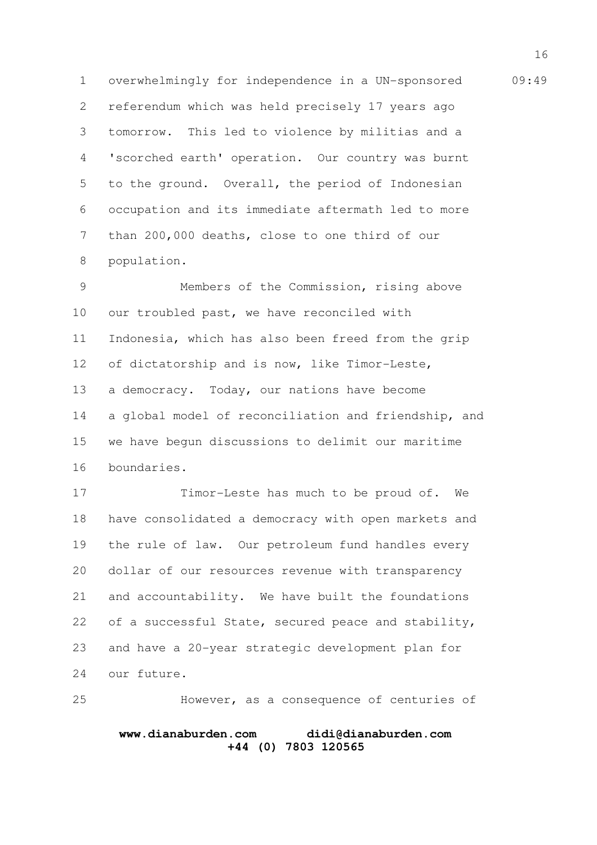1 overwhelmingly for independence in a UN-sponsored 09:49 referendum which was held precisely 17 years ago tomorrow. This led to violence by militias and a 'scorched earth' operation. Our country was burnt to the ground. Overall, the period of Indonesian occupation and its immediate aftermath led to more than 200,000 deaths, close to one third of our population. 2 3 4 5 6 7 8

Members of the Commission, rising above our troubled past, we have reconciled with Indonesia, which has also been freed from the grip of dictatorship and is now, like Timor-Leste, a democracy. Today, our nations have become a global model of reconciliation and friendship, and we have begun discussions to delimit our maritime boundaries. 9 10 11 12 13 14 15 16

Timor-Leste has much to be proud of. We have consolidated a democracy with open markets and the rule of law. Our petroleum fund handles every dollar of our resources revenue with transparency and accountability. We have built the foundations of a successful State, secured peace and stability, and have a 20-year strategic development plan for our future. 17 18 19 20 21 22 23 24

However, as a consequence of centuries of 25

# **www.dianaburden.com didi@dianaburden.com +44 (0) 7803 120565**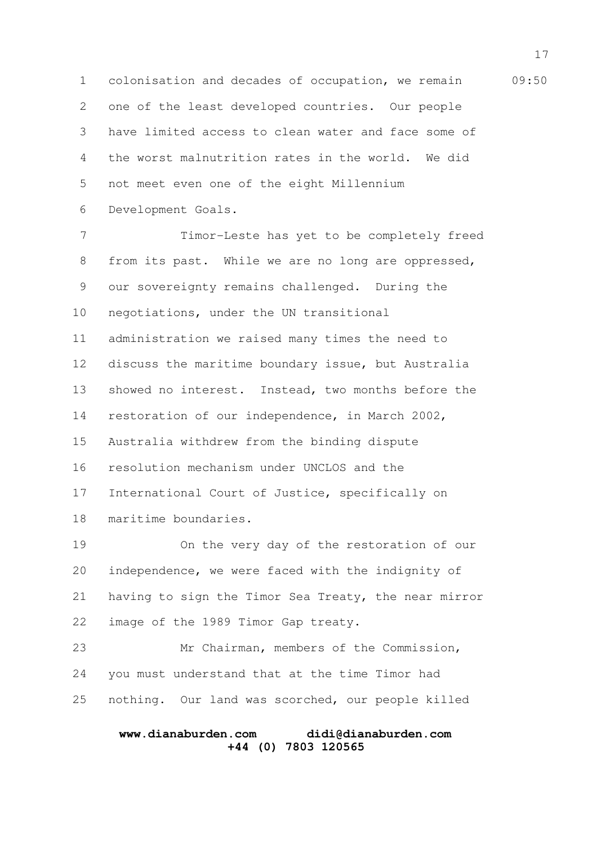1 colonisation and decades of occupation, we remain 09:50 one of the least developed countries. Our people have limited access to clean water and face some of the worst malnutrition rates in the world. We did not meet even one of the eight Millennium Development Goals. 2 3 4 5 6

Timor-Leste has yet to be completely freed from its past. While we are no long are oppressed, our sovereignty remains challenged. During the negotiations, under the UN transitional administration we raised many times the need to discuss the maritime boundary issue, but Australia showed no interest. Instead, two months before the restoration of our independence, in March 2002, Australia withdrew from the binding dispute resolution mechanism under UNCLOS and the International Court of Justice, specifically on maritime boundaries. 7 8 9 10 11 12 13 14 15 16 17 18

On the very day of the restoration of our independence, we were faced with the indignity of having to sign the Timor Sea Treaty, the near mirror image of the 1989 Timor Gap treaty. 19 20 21 22

Mr Chairman, members of the Commission, you must understand that at the time Timor had nothing. Our land was scorched, our people killed 23 24 25

### **www.dianaburden.com didi@dianaburden.com +44 (0) 7803 120565**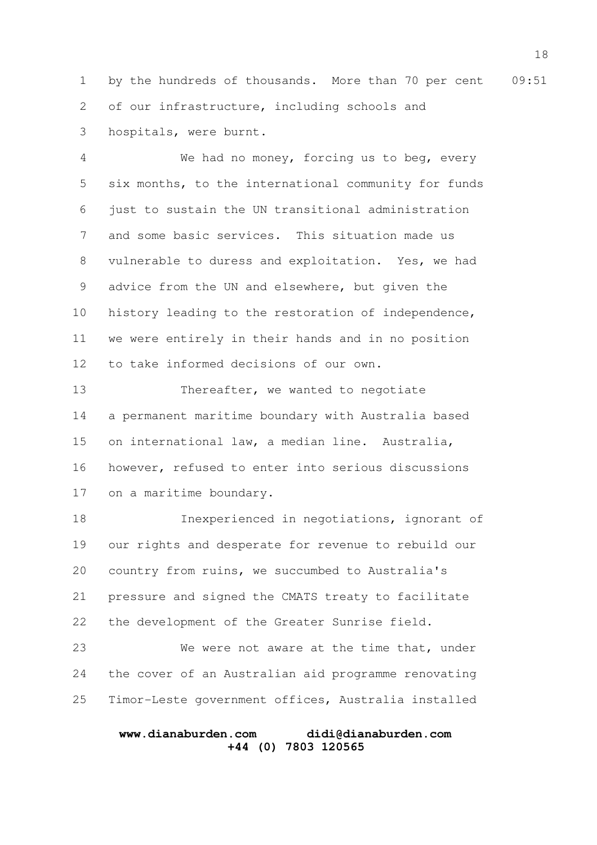1 by the hundreds of thousands. More than 70 per cent 09:51 of our infrastructure, including schools and hospitals, were burnt. 2 3

We had no money, forcing us to beg, every six months, to the international community for funds just to sustain the UN transitional administration and some basic services. This situation made us vulnerable to duress and exploitation. Yes, we had advice from the UN and elsewhere, but given the history leading to the restoration of independence, we were entirely in their hands and in no position to take informed decisions of our own. 4 5 6 7 8 9 10 11 12

Thereafter, we wanted to negotiate a permanent maritime boundary with Australia based on international law, a median line. Australia, however, refused to enter into serious discussions on a maritime boundary. 13 14 15 16 17

Inexperienced in negotiations, ignorant of our rights and desperate for revenue to rebuild our country from ruins, we succumbed to Australia's pressure and signed the CMATS treaty to facilitate the development of the Greater Sunrise field. 18 19 20 21 22

We were not aware at the time that, under the cover of an Australian aid programme renovating Timor-Leste government offices, Australia installed 23 24 25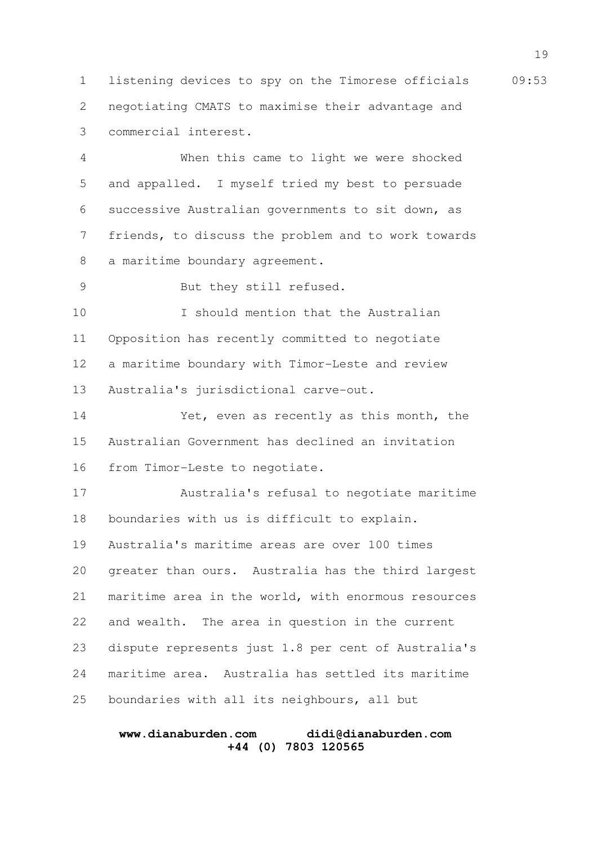1 listening devices to spy on the Timorese officials 09:53 negotiating CMATS to maximise their advantage and commercial interest. 2 3

When this came to light we were shocked and appalled. I myself tried my best to persuade successive Australian governments to sit down, as friends, to discuss the problem and to work towards a maritime boundary agreement. 4 5 6 7 8

But they still refused. 9

19

I should mention that the Australian Opposition has recently committed to negotiate a maritime boundary with Timor-Leste and review Australia's jurisdictional carve-out. 10 11 12 13

Yet, even as recently as this month, the Australian Government has declined an invitation from Timor-Leste to negotiate. 14 15 16

Australia's refusal to negotiate maritime boundaries with us is difficult to explain. 17 18

Australia's maritime areas are over 100 times

greater than ours. Australia has the third largest maritime area in the world, with enormous resources and wealth. The area in question in the current dispute represents just 1.8 per cent of Australia's maritime area. Australia has settled its maritime boundaries with all its neighbours, all but 20 21 22 23 24 25

### **www.dianaburden.com didi@dianaburden.com +44 (0) 7803 120565**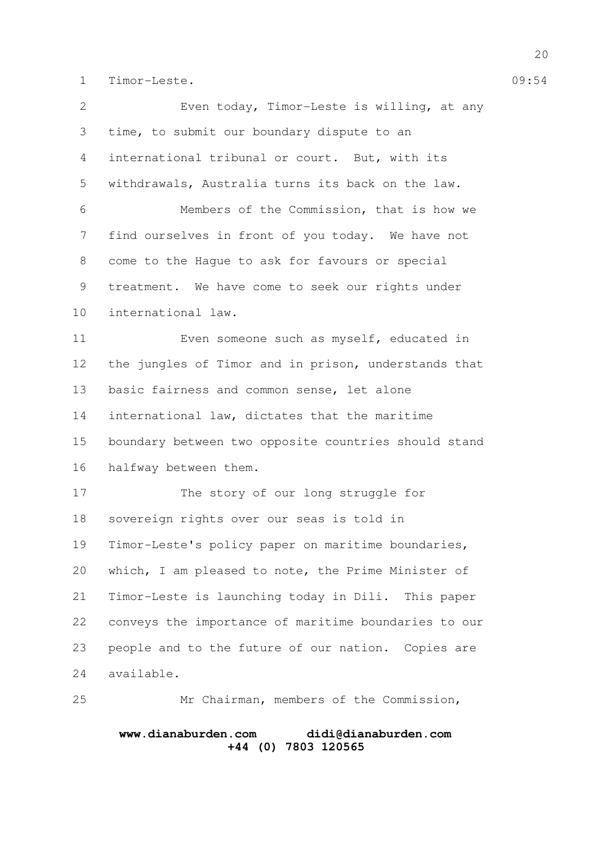1 Timor-Leste. 09:54

Even today, Timor-Leste is willing, at any time, to submit our boundary dispute to an international tribunal or court. But, with its withdrawals, Australia turns its back on the law. Members of the Commission, that is how we find ourselves in front of you today. We have not come to the Hague to ask for favours or special treatment. We have come to seek our rights under international law. Even someone such as myself, educated in the jungles of Timor and in prison, understands that basic fairness and common sense, let alone international law, dictates that the maritime boundary between two opposite countries should stand halfway between them. The story of our long struggle for sovereign rights over our seas is told in Timor-Leste's policy paper on maritime boundaries, which, I am pleased to note, the Prime Minister of Timor-Leste is launching today in Dili. This paper conveys the importance of maritime boundaries to our people and to the future of our nation. Copies are available. Mr Chairman, members of the Commission, 2 3 4 5 6 7 8 9 10 11 12 13 14 15 16 17 18 19 20 21 22 23 24 25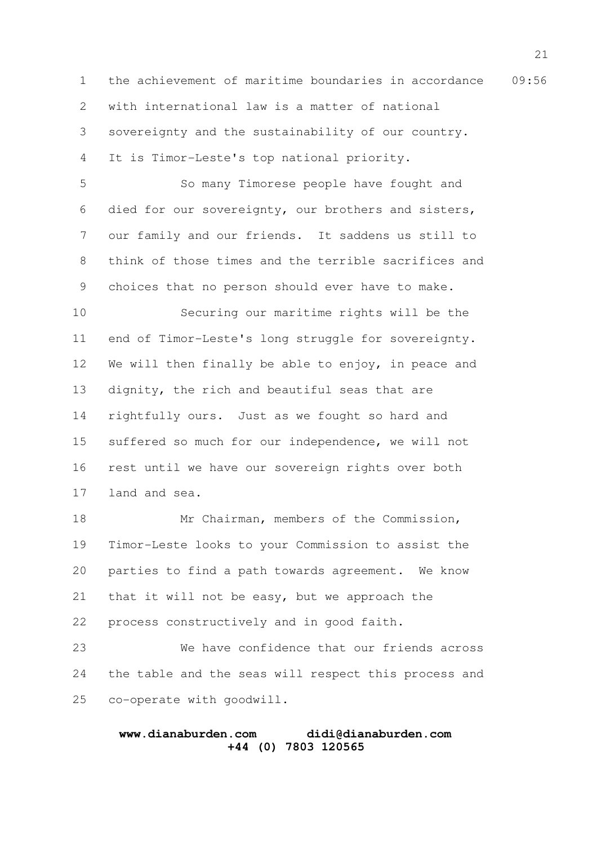1 the achievement of maritime boundaries in accordance 09:56 with international law is a matter of national sovereignty and the sustainability of our country. It is Timor-Leste's top national priority. 2 3 4

So many Timorese people have fought and died for our sovereignty, our brothers and sisters, our family and our friends. It saddens us still to think of those times and the terrible sacrifices and choices that no person should ever have to make. 5 6 7 8 9

Securing our maritime rights will be the end of Timor-Leste's long struggle for sovereignty. We will then finally be able to enjoy, in peace and dignity, the rich and beautiful seas that are rightfully ours. Just as we fought so hard and suffered so much for our independence, we will not rest until we have our sovereign rights over both land and sea. 10 11 12 13 14 15 16 17

Mr Chairman, members of the Commission, Timor-Leste looks to your Commission to assist the parties to find a path towards agreement. We know that it will not be easy, but we approach the process constructively and in good faith. 18 19 20 21 22

We have confidence that our friends across the table and the seas will respect this process and co-operate with goodwill. 23 24 25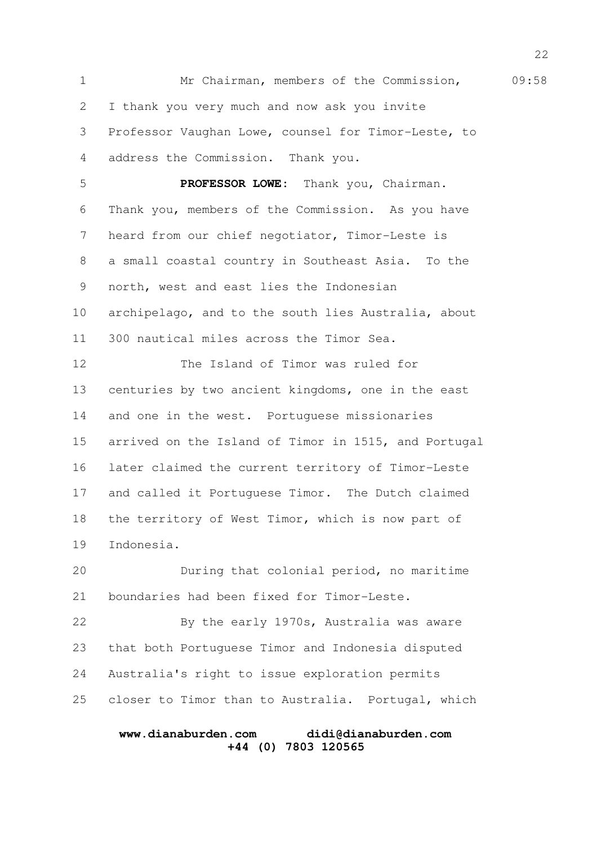1 Mr Chairman, members of the Commission, 09:58 I thank you very much and now ask you invite Professor Vaughan Lowe, counsel for Timor-Leste, to address the Commission. Thank you. **PROFESSOR LOWE:** Thank you, Chairman. Thank you, members of the Commission. As you have heard from our chief negotiator, Timor-Leste is a small coastal country in Southeast Asia. To the north, west and east lies the Indonesian archipelago, and to the south lies Australia, about 300 nautical miles across the Timor Sea. The Island of Timor was ruled for centuries by two ancient kingdoms, one in the east and one in the west. Portuguese missionaries arrived on the Island of Timor in 1515, and Portugal later claimed the current territory of Timor-Leste and called it Portuguese Timor. The Dutch claimed the territory of West Timor, which is now part of Indonesia. During that colonial period, no maritime boundaries had been fixed for Timor-Leste. By the early 1970s, Australia was aware that both Portuguese Timor and Indonesia disputed Australia's right to issue exploration permits closer to Timor than to Australia. Portugal, which 2 3 4 5 6 7 8 9 10 11 12 13 14 15 16 17 18 19 20 21 22 23 24 25

# **www.dianaburden.com didi@dianaburden.com +44 (0) 7803 120565**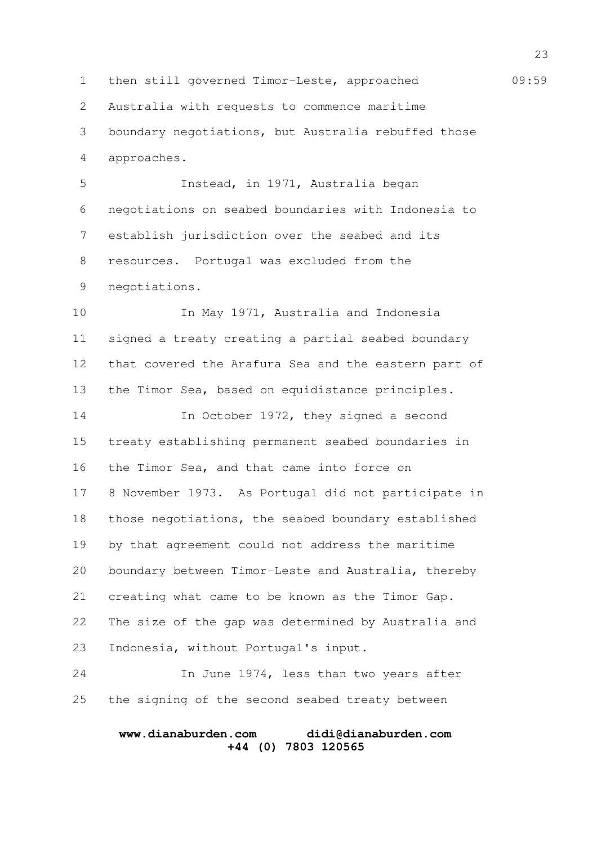1 then still governed Timor-Leste, approached 09:59 Australia with requests to commence maritime boundary negotiations, but Australia rebuffed those approaches. Instead, in 1971, Australia began negotiations on seabed boundaries with Indonesia to establish jurisdiction over the seabed and its resources. Portugal was excluded from the negotiations. In May 1971, Australia and Indonesia signed a treaty creating a partial seabed boundary that covered the Arafura Sea and the eastern part of the Timor Sea, based on equidistance principles. In October 1972, they signed a second treaty establishing permanent seabed boundaries in the Timor Sea, and that came into force on 8 November 1973. As Portugal did not participate in those negotiations, the seabed boundary established by that agreement could not address the maritime boundary between Timor-Leste and Australia, thereby creating what came to be known as the Timor Gap. The size of the gap was determined by Australia and Indonesia, without Portugal's input. In June 1974, less than two years after the signing of the second seabed treaty between 2 3 4 5 6 7 8 9 10 11 12 13 14 15 16 17 18 19 20 21 22 23 24 25

#### **www.dianaburden.com didi@dianaburden.com +44 (0) 7803 120565**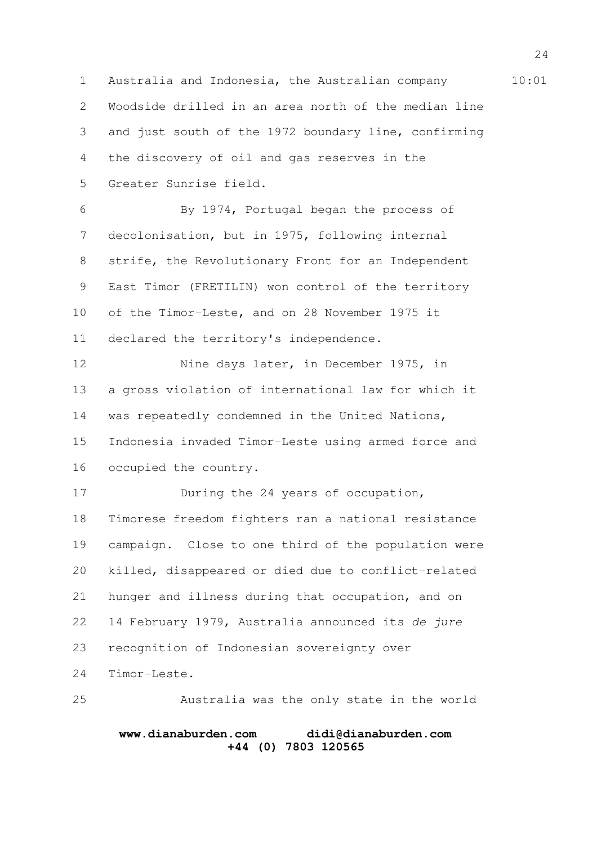1 Australia and Indonesia, the Australian company 10:01 Woodside drilled in an area north of the median line and just south of the 1972 boundary line, confirming the discovery of oil and gas reserves in the Greater Sunrise field. 2 3 4 5

By 1974, Portugal began the process of decolonisation, but in 1975, following internal strife, the Revolutionary Front for an Independent East Timor (FRETILIN) won control of the territory of the Timor-Leste, and on 28 November 1975 it declared the territory's independence. 6 7 8 9 10 11

Nine days later, in December 1975, in a gross violation of international law for which it was repeatedly condemned in the United Nations, Indonesia invaded Timor-Leste using armed force and occupied the country. 12 13 14 15 16

During the 24 years of occupation, Timorese freedom fighters ran a national resistance campaign. Close to one third of the population were killed, disappeared or died due to conflict-related hunger and illness during that occupation, and on 14 February 1979, Australia announced its de jure recognition of Indonesian sovereignty over Timor-Leste. 17 18 19 20 21 22 23 24

Australia was the only state in the world 25

# **www.dianaburden.com didi@dianaburden.com +44 (0) 7803 120565**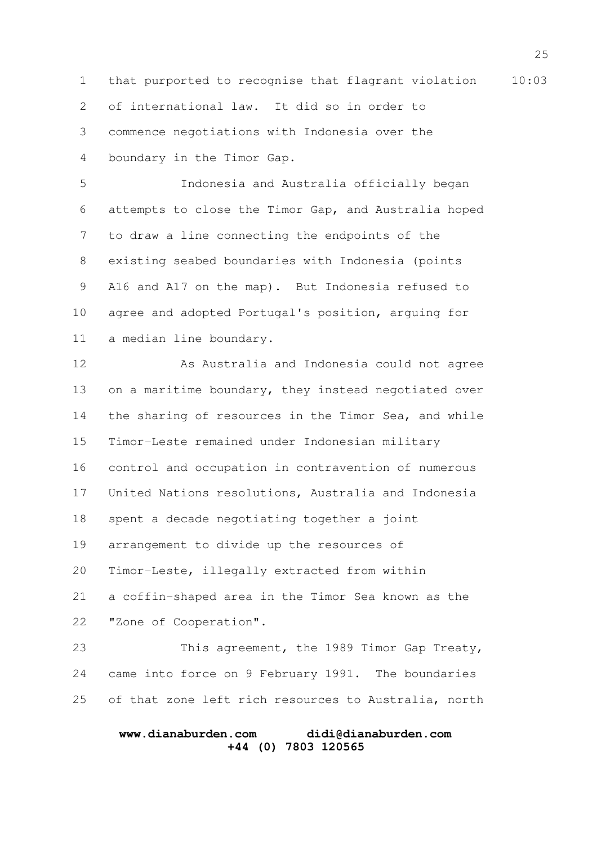1 that purported to recognise that flagrant violation 10:03 of international law. It did so in order to commence negotiations with Indonesia over the boundary in the Timor Gap. 2 3 4

Indonesia and Australia officially began attempts to close the Timor Gap, and Australia hoped to draw a line connecting the endpoints of the existing seabed boundaries with Indonesia (points A16 and A17 on the map). But Indonesia refused to agree and adopted Portugal's position, arguing for a median line boundary. 5 6 7 8 9 10 11

As Australia and Indonesia could not agree on a maritime boundary, they instead negotiated over the sharing of resources in the Timor Sea, and while Timor-Leste remained under Indonesian military control and occupation in contravention of numerous United Nations resolutions, Australia and Indonesia spent a decade negotiating together a joint arrangement to divide up the resources of Timor-Leste, illegally extracted from within a coffin-shaped area in the Timor Sea known as the "Zone of Cooperation". 12 13 14 15 16 17 18 19 20 21 22

This agreement, the 1989 Timor Gap Treaty, came into force on 9 February 1991. The boundaries of that zone left rich resources to Australia, north 23 24 25

### **www.dianaburden.com didi@dianaburden.com +44 (0) 7803 120565**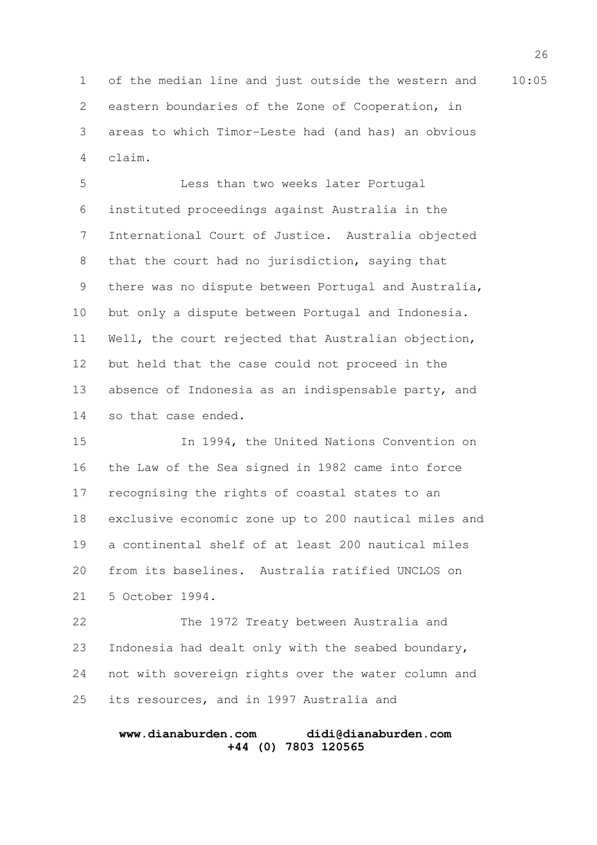1 of the median line and just outside the western and 10:05 eastern boundaries of the Zone of Cooperation, in areas to which Timor-Leste had (and has) an obvious claim. 2 3 4

Less than two weeks later Portugal instituted proceedings against Australia in the International Court of Justice. Australia objected that the court had no jurisdiction, saying that there was no dispute between Portugal and Australia, but only a dispute between Portugal and Indonesia. Well, the court rejected that Australian objection, but held that the case could not proceed in the absence of Indonesia as an indispensable party, and so that case ended. 5 6 7 8 9 10 11 12 13 14

In 1994, the United Nations Convention on the Law of the Sea signed in 1982 came into force recognising the rights of coastal states to an exclusive economic zone up to 200 nautical miles and a continental shelf of at least 200 nautical miles from its baselines. Australia ratified UNCLOS on 5 October 1994. 15 16 17 18 19 20 21

The 1972 Treaty between Australia and Indonesia had dealt only with the seabed boundary, not with sovereign rights over the water column and its resources, and in 1997 Australia and 22 23 24 25

### **www.dianaburden.com didi@dianaburden.com +44 (0) 7803 120565**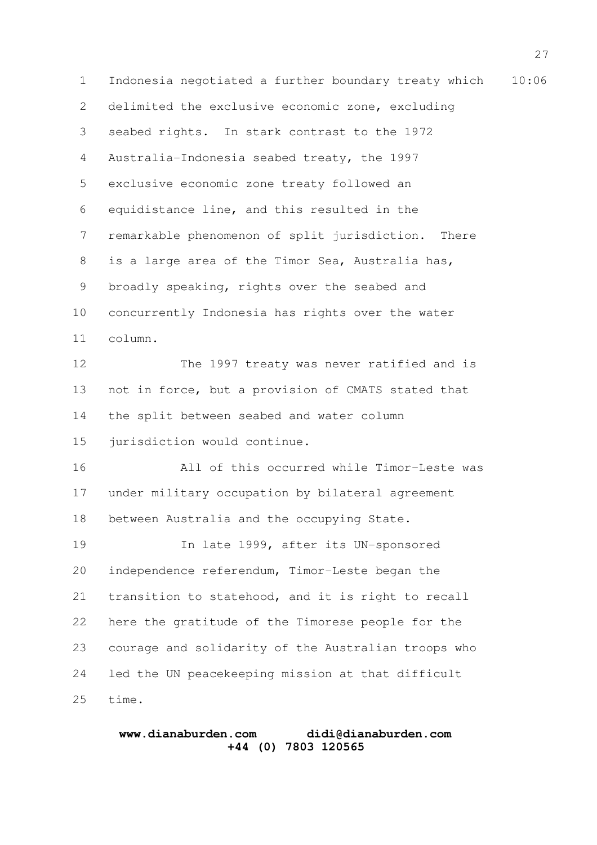1 Indonesia negotiated a further boundary treaty which 10:06 delimited the exclusive economic zone, excluding seabed rights. In stark contrast to the 1972 Australia-Indonesia seabed treaty, the 1997 exclusive economic zone treaty followed an equidistance line, and this resulted in the remarkable phenomenon of split jurisdiction. There is a large area of the Timor Sea, Australia has, broadly speaking, rights over the seabed and concurrently Indonesia has rights over the water column. The 1997 treaty was never ratified and is not in force, but a provision of CMATS stated that the split between seabed and water column jurisdiction would continue. All of this occurred while Timor-Leste was under military occupation by bilateral agreement between Australia and the occupying State. In late 1999, after its UN-sponsored independence referendum, Timor-Leste began the transition to statehood, and it is right to recall here the gratitude of the Timorese people for the courage and solidarity of the Australian troops who led the UN peacekeeping mission at that difficult time. 2 3 4 5 6 7 8 9 10 11 12 13 14 15 16 17 18 19 20 21 22 23 24 25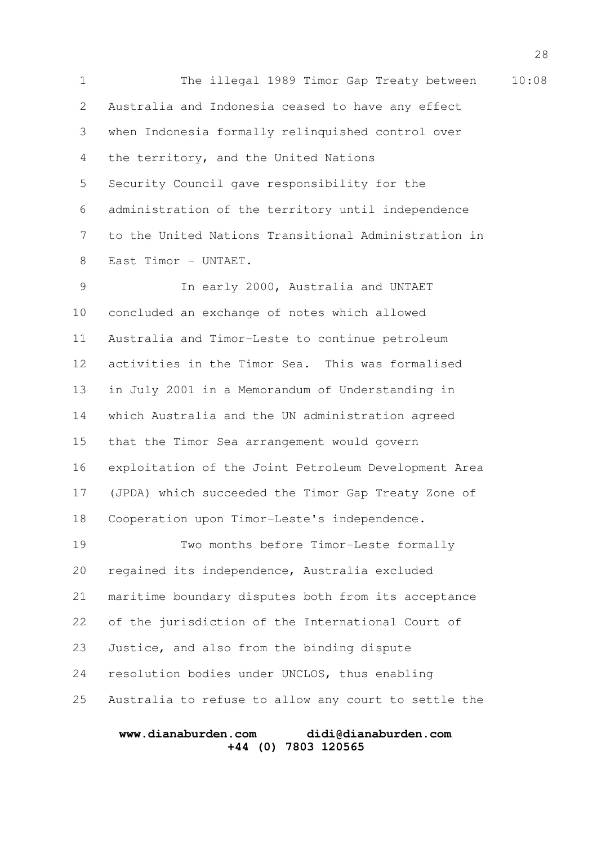1 The illegal 1989 Timor Gap Treaty between 10:08 Australia and Indonesia ceased to have any effect when Indonesia formally relinquished control over the territory, and the United Nations Security Council gave responsibility for the administration of the territory until independence to the United Nations Transitional Administration in East Timor - UNTAET. In early 2000, Australia and UNTAET 2 3 4 5 6 7 8 9

concluded an exchange of notes which allowed Australia and Timor-Leste to continue petroleum activities in the Timor Sea. This was formalised in July 2001 in a Memorandum of Understanding in which Australia and the UN administration agreed that the Timor Sea arrangement would govern exploitation of the Joint Petroleum Development Area (JPDA) which succeeded the Timor Gap Treaty Zone of Cooperation upon Timor-Leste's independence. 10 11 12 13 14 15 16 17 18

Two months before Timor-Leste formally regained its independence, Australia excluded maritime boundary disputes both from its acceptance of the jurisdiction of the International Court of Justice, and also from the binding dispute resolution bodies under UNCLOS, thus enabling Australia to refuse to allow any court to settle the 19 20 21 22 23 24 25

# **www.dianaburden.com didi@dianaburden.com +44 (0) 7803 120565**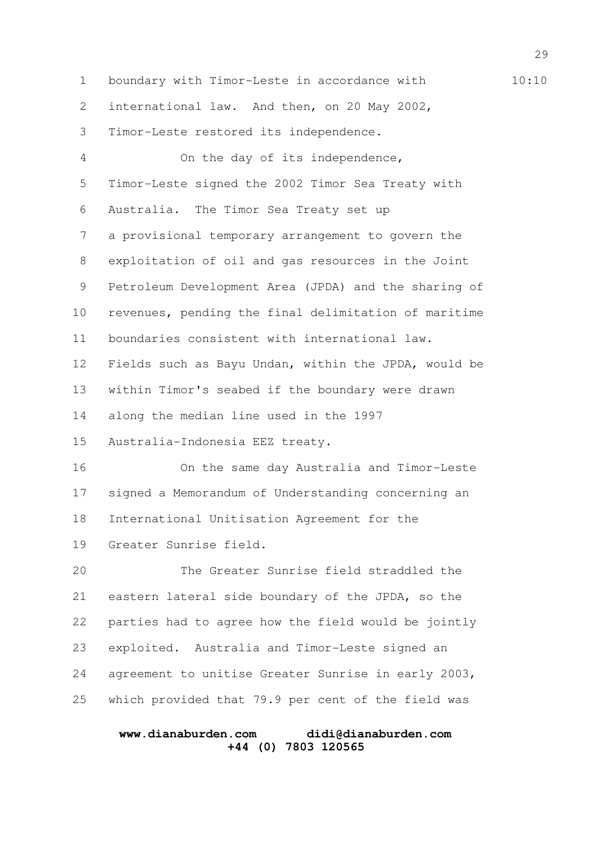1 boundary with Timor-Leste in accordance with 10:10 international law. And then, on 20 May 2002, Timor-Leste restored its independence. On the day of its independence, Timor-Leste signed the 2002 Timor Sea Treaty with Australia. The Timor Sea Treaty set up a provisional temporary arrangement to govern the exploitation of oil and gas resources in the Joint Petroleum Development Area (JPDA) and the sharing of revenues, pending the final delimitation of maritime boundaries consistent with international law. Fields such as Bayu Undan, within the JPDA, would be within Timor's seabed if the boundary were drawn along the median line used in the 1997 Australia-Indonesia EEZ treaty. On the same day Australia and Timor-Leste signed a Memorandum of Understanding concerning an International Unitisation Agreement for the Greater Sunrise field. The Greater Sunrise field straddled the eastern lateral side boundary of the JPDA, so the parties had to agree how the field would be jointly exploited. Australia and Timor-Leste signed an agreement to unitise Greater Sunrise in early 2003, which provided that 79.9 per cent of the field was 2 3 4 5 6 7 8 9 10 11 12 13 14 15 16 17 18 19 20 21 22 23 24 25

# **www.dianaburden.com didi@dianaburden.com +44 (0) 7803 120565**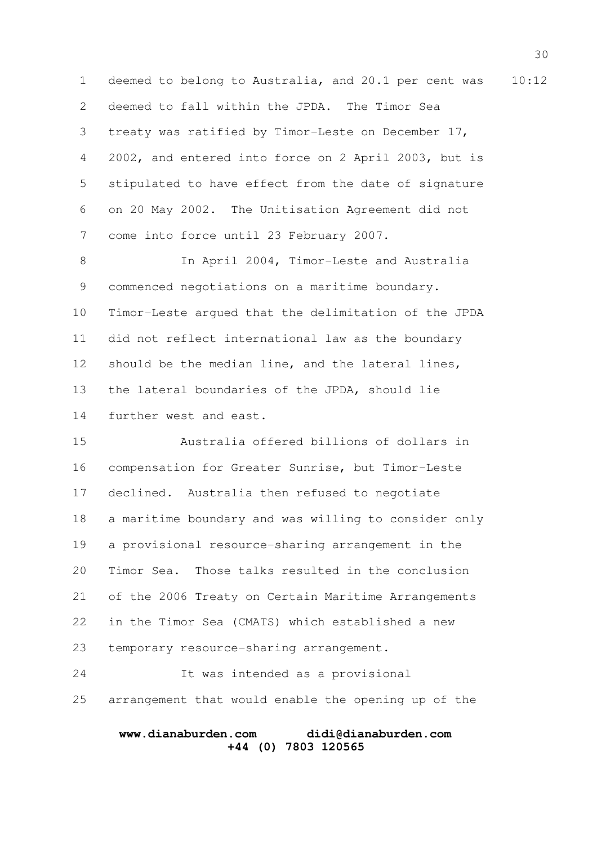1 deemed to belong to Australia, and 20.1 per cent was 10:12 deemed to fall within the JPDA. The Timor Sea treaty was ratified by Timor-Leste on December 17, 2002, and entered into force on 2 April 2003, but is stipulated to have effect from the date of signature on 20 May 2002. The Unitisation Agreement did not come into force until 23 February 2007. 2 3 4 5 6 7

In April 2004, Timor-Leste and Australia commenced negotiations on a maritime boundary. Timor-Leste argued that the delimitation of the JPDA did not reflect international law as the boundary should be the median line, and the lateral lines, the lateral boundaries of the JPDA, should lie further west and east. 8 9 10 11 12 13 14

Australia offered billions of dollars in compensation for Greater Sunrise, but Timor-Leste declined. Australia then refused to negotiate a maritime boundary and was willing to consider only a provisional resource-sharing arrangement in the Timor Sea. Those talks resulted in the conclusion of the 2006 Treaty on Certain Maritime Arrangements in the Timor Sea (CMATS) which established a new temporary resource-sharing arrangement. 15 16 17 18 19 20 21 22 23

It was intended as a provisional arrangement that would enable the opening up of the 24 25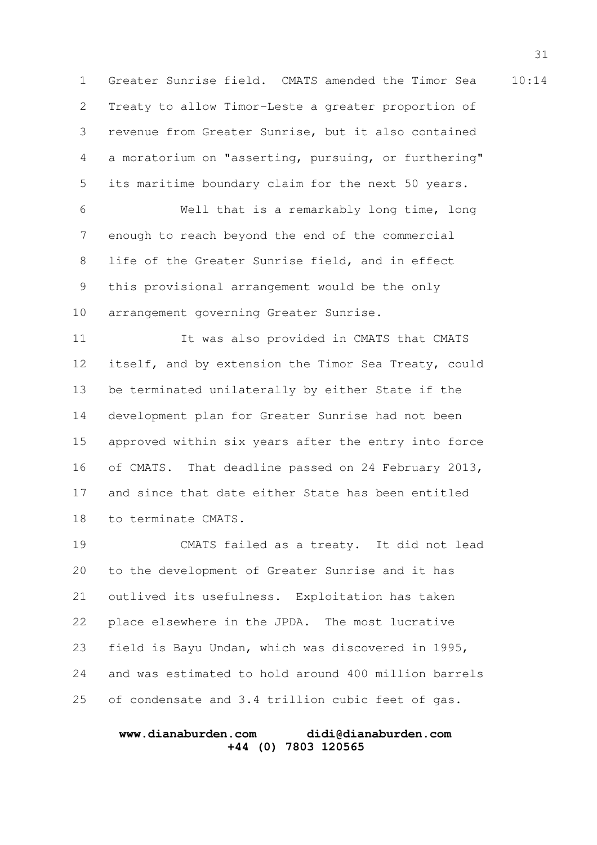1 Greater Sunrise field. CMATS amended the Timor Sea 10:14 Treaty to allow Timor-Leste a greater proportion of revenue from Greater Sunrise, but it also contained a moratorium on "asserting, pursuing, or furthering" its maritime boundary claim for the next 50 years. 2 3 4 5

Well that is a remarkably long time, long enough to reach beyond the end of the commercial life of the Greater Sunrise field, and in effect this provisional arrangement would be the only arrangement governing Greater Sunrise. 6 7 8 9 10

It was also provided in CMATS that CMATS itself, and by extension the Timor Sea Treaty, could be terminated unilaterally by either State if the development plan for Greater Sunrise had not been approved within six years after the entry into force of CMATS. That deadline passed on 24 February 2013, and since that date either State has been entitled to terminate CMATS. 11 12 13 14 15 16 17 18

CMATS failed as a treaty. It did not lead to the development of Greater Sunrise and it has outlived its usefulness. Exploitation has taken place elsewhere in the JPDA. The most lucrative field is Bayu Undan, which was discovered in 1995, and was estimated to hold around 400 million barrels of condensate and 3.4 trillion cubic feet of gas. 19 20 21 22 23 24 25

### **www.dianaburden.com didi@dianaburden.com +44 (0) 7803 120565**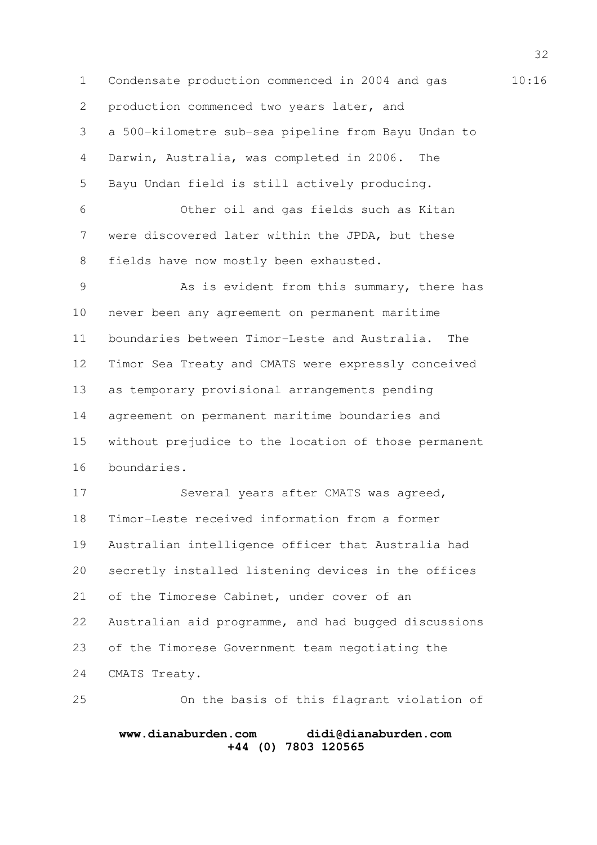1 Condensate production commenced in 2004 and gas 10:16 production commenced two years later, and a 500-kilometre sub-sea pipeline from Bayu Undan to Darwin, Australia, was completed in 2006. The Bayu Undan field is still actively producing. Other oil and gas fields such as Kitan were discovered later within the JPDA, but these fields have now mostly been exhausted. As is evident from this summary, there has never been any agreement on permanent maritime boundaries between Timor-Leste and Australia. The Timor Sea Treaty and CMATS were expressly conceived as temporary provisional arrangements pending agreement on permanent maritime boundaries and without prejudice to the location of those permanent boundaries. 2 3 4 5 6 7 8 9 10 11 12 13 14 15 16

Several years after CMATS was agreed, Timor-Leste received information from a former Australian intelligence officer that Australia had secretly installed listening devices in the offices of the Timorese Cabinet, under cover of an Australian aid programme, and had bugged discussions of the Timorese Government team negotiating the CMATS Treaty. 17 18 19 20 21 22 23 24

On the basis of this flagrant violation of 25

# **www.dianaburden.com didi@dianaburden.com +44 (0) 7803 120565**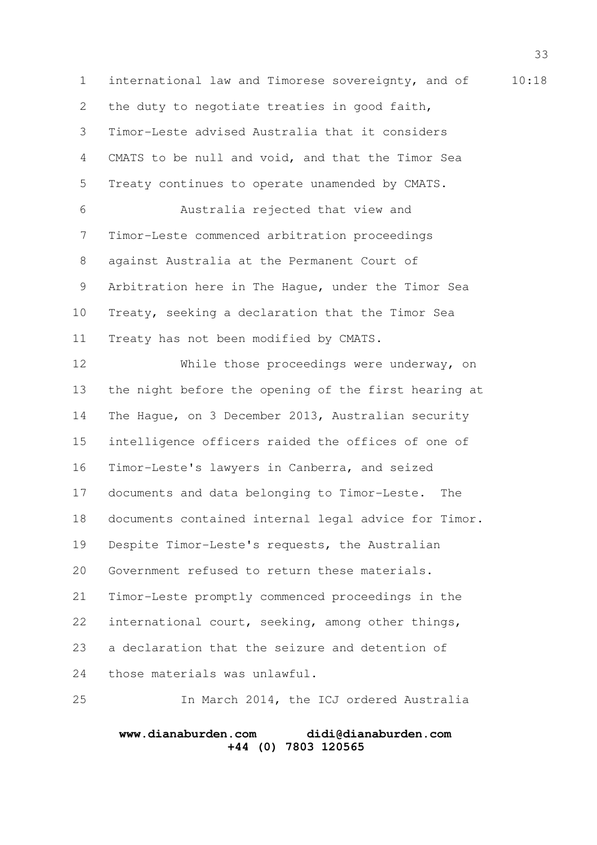1 international law and Timorese sovereignty, and of 10:18 the duty to negotiate treaties in good faith, Timor-Leste advised Australia that it considers CMATS to be null and void, and that the Timor Sea Treaty continues to operate unamended by CMATS. Australia rejected that view and Timor-Leste commenced arbitration proceedings against Australia at the Permanent Court of Arbitration here in The Hague, under the Timor Sea Treaty, seeking a declaration that the Timor Sea Treaty has not been modified by CMATS. While those proceedings were underway, on the night before the opening of the first hearing at The Hague, on 3 December 2013, Australian security intelligence officers raided the offices of one of Timor-Leste's lawyers in Canberra, and seized documents and data belonging to Timor-Leste. The documents contained internal legal advice for Timor. Despite Timor-Leste's requests, the Australian Government refused to return these materials. Timor-Leste promptly commenced proceedings in the international court, seeking, among other things, a declaration that the seizure and detention of those materials was unlawful. In March 2014, the ICJ ordered Australia 2 3 4 5 6 7 8 9 10 11 12 13 14 15 16 17 18 19 20 21 22 23 24 25

**www.dianaburden.com didi@dianaburden.com +44 (0) 7803 120565**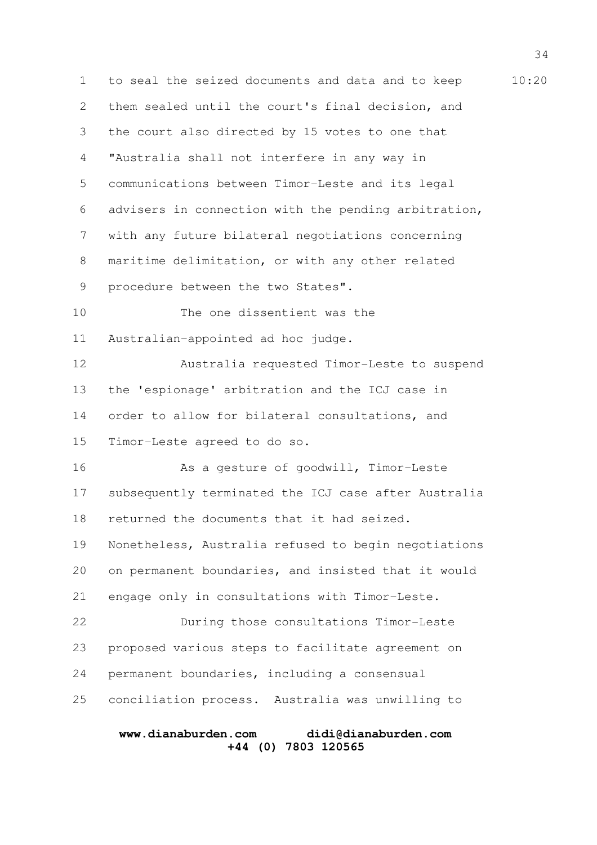1 to seal the seized documents and data and to keep 10:20 them sealed until the court's final decision, and the court also directed by 15 votes to one that "Australia shall not interfere in any way in communications between Timor-Leste and its legal advisers in connection with the pending arbitration, with any future bilateral negotiations concerning maritime delimitation, or with any other related procedure between the two States". The one dissentient was the Australian-appointed ad hoc judge. Australia requested Timor-Leste to suspend the 'espionage' arbitration and the ICJ case in order to allow for bilateral consultations, and Timor-Leste agreed to do so. As a gesture of goodwill, Timor-Leste subsequently terminated the ICJ case after Australia returned the documents that it had seized. Nonetheless, Australia refused to begin negotiations on permanent boundaries, and insisted that it would engage only in consultations with Timor-Leste. During those consultations Timor-Leste proposed various steps to facilitate agreement on permanent boundaries, including a consensual conciliation process. Australia was unwilling to 2 3 4 5 6 7 8 9 10 11 12 13 14 15 16 17 18 19 20 21 22 23 24 25

# **www.dianaburden.com didi@dianaburden.com +44 (0) 7803 120565**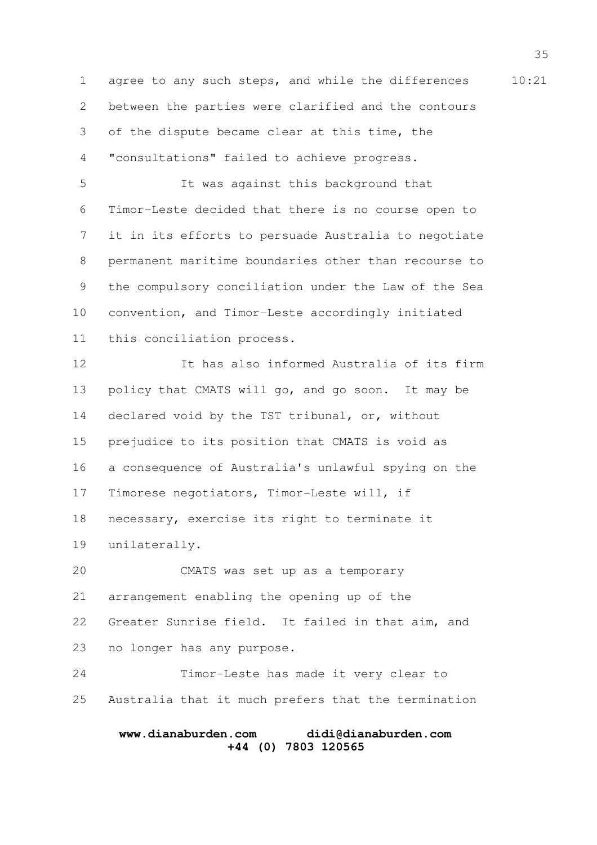1 agree to any such steps, and while the differences 10:21 between the parties were clarified and the contours of the dispute became clear at this time, the "consultations" failed to achieve progress. 2 3 4

It was against this background that Timor-Leste decided that there is no course open to it in its efforts to persuade Australia to negotiate permanent maritime boundaries other than recourse to the compulsory conciliation under the Law of the Sea convention, and Timor-Leste accordingly initiated this conciliation process. 5 6 7 8 9 10 11

It has also informed Australia of its firm policy that CMATS will go, and go soon. It may be declared void by the TST tribunal, or, without prejudice to its position that CMATS is void as a consequence of Australia's unlawful spying on the Timorese negotiators, Timor-Leste will, if necessary, exercise its right to terminate it unilaterally. 12 13 14 15 16 17 18 19

CMATS was set up as a temporary arrangement enabling the opening up of the Greater Sunrise field. It failed in that aim, and no longer has any purpose. 20 21 22 23

Timor-Leste has made it very clear to Australia that it much prefers that the termination 24 25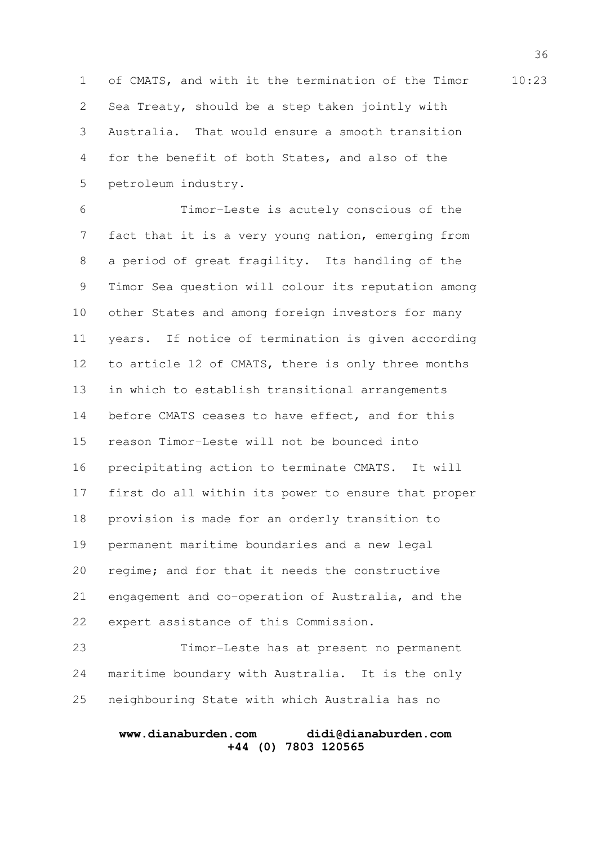1 of CMATS, and with it the termination of the Timor 10:23 Sea Treaty, should be a step taken jointly with Australia. That would ensure a smooth transition for the benefit of both States, and also of the petroleum industry. 2 3 4 5

Timor-Leste is acutely conscious of the fact that it is a very young nation, emerging from a period of great fragility. Its handling of the Timor Sea question will colour its reputation among other States and among foreign investors for many years. If notice of termination is given according to article 12 of CMATS, there is only three months in which to establish transitional arrangements before CMATS ceases to have effect, and for this reason Timor-Leste will not be bounced into precipitating action to terminate CMATS. It will first do all within its power to ensure that proper provision is made for an orderly transition to permanent maritime boundaries and a new legal regime; and for that it needs the constructive engagement and co-operation of Australia, and the expert assistance of this Commission. 6 7 8 9 10 11 12 13 14 15 16 17 18 19 20 21 22

Timor-Leste has at present no permanent maritime boundary with Australia. It is the only neighbouring State with which Australia has no 23 24 25

### **www.dianaburden.com didi@dianaburden.com +44 (0) 7803 120565**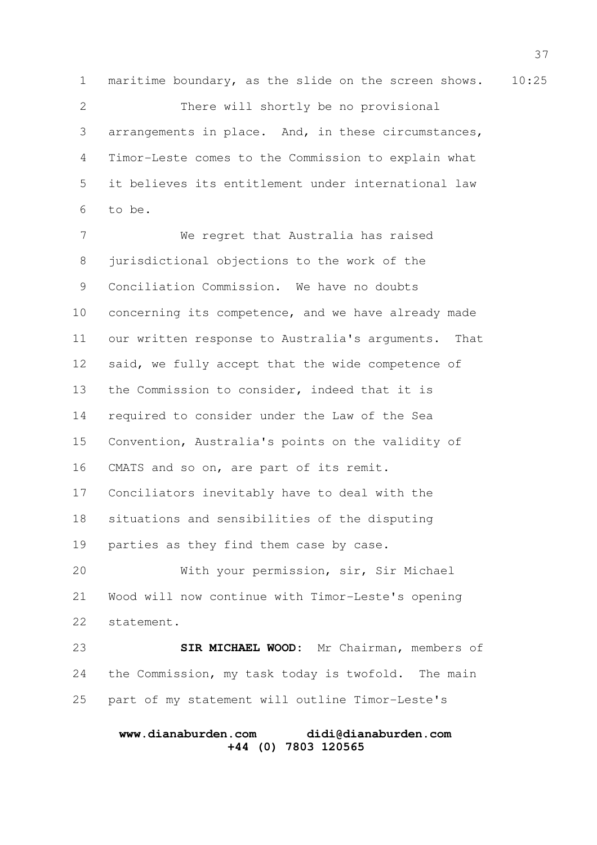1 maritime boundary, as the slide on the screen shows. 10:25 There will shortly be no provisional arrangements in place. And, in these circumstances, Timor-Leste comes to the Commission to explain what it believes its entitlement under international law to be. 2 3 4 5 6

We regret that Australia has raised jurisdictional objections to the work of the Conciliation Commission. We have no doubts concerning its competence, and we have already made our written response to Australia's arguments. That said, we fully accept that the wide competence of the Commission to consider, indeed that it is required to consider under the Law of the Sea Convention, Australia's points on the validity of CMATS and so on, are part of its remit. Conciliators inevitably have to deal with the situations and sensibilities of the disputing parties as they find them case by case. With your permission, sir, Sir Michael Wood will now continue with Timor-Leste's opening statement. SIR MICHAEL WOOD: Mr Chairman, members of 7 8 9 10 11 12 13 14 15 16 17 18 19 20 21 22 23

the Commission, my task today is twofold. The main part of my statement will outline Timor-Leste's 24 25

# **www.dianaburden.com didi@dianaburden.com +44 (0) 7803 120565**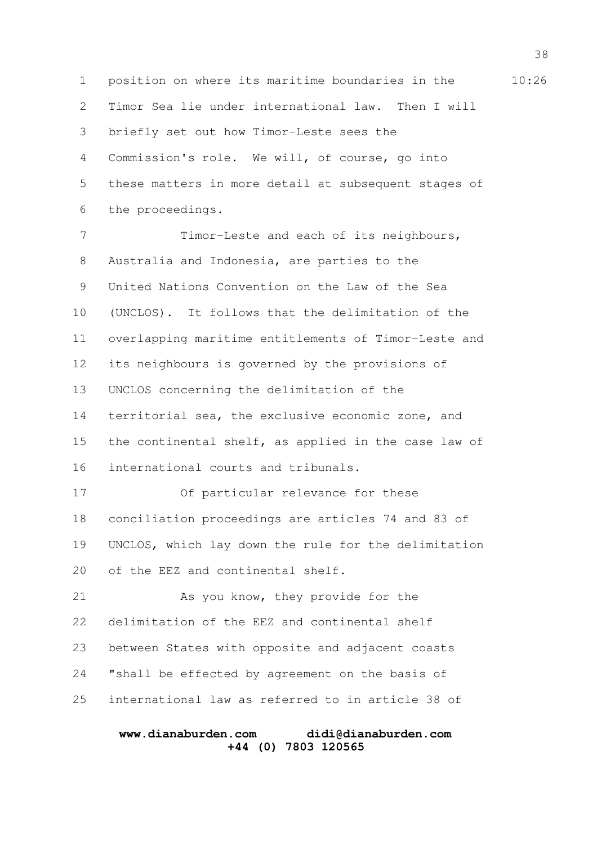1 position on where its maritime boundaries in the  $10:26$ Timor Sea lie under international law. Then I will briefly set out how Timor-Leste sees the Commission's role. We will, of course, go into these matters in more detail at subsequent stages of the proceedings. Timor-Leste and each of its neighbours, Australia and Indonesia, are parties to the United Nations Convention on the Law of the Sea (UNCLOS). It follows that the delimitation of the overlapping maritime entitlements of Timor-Leste and 2 3 4 5 6 7 8 9 10 11

its neighbours is governed by the provisions of UNCLOS concerning the delimitation of the 12 13

territorial sea, the exclusive economic zone, and the continental shelf, as applied in the case law of international courts and tribunals. 14 15 16

Of particular relevance for these conciliation proceedings are articles 74 and 83 of UNCLOS, which lay down the rule for the delimitation of the EEZ and continental shelf. 17 18 19 20

As you know, they provide for the delimitation of the EEZ and continental shelf between States with opposite and adjacent coasts "shall be effected by agreement on the basis of international law as referred to in article 38 of 21 22 23 24 25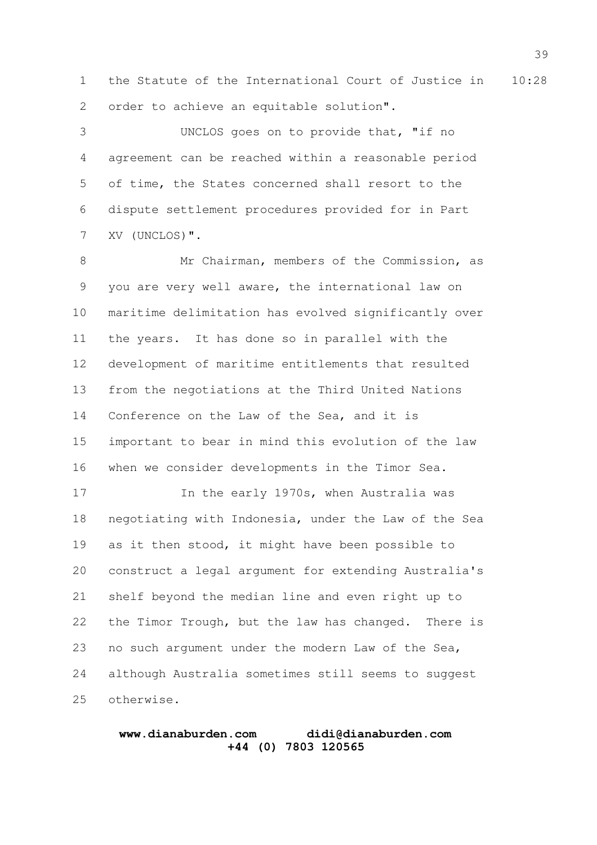1 the Statute of the International Court of Justice in 10:28 order to achieve an equitable solution". 2

UNCLOS goes on to provide that, "if no agreement can be reached within a reasonable period of time, the States concerned shall resort to the dispute settlement procedures provided for in Part XV (UNCLOS)". 3 4 5 6 7

Mr Chairman, members of the Commission, as you are very well aware, the international law on maritime delimitation has evolved significantly over the years. It has done so in parallel with the development of maritime entitlements that resulted from the negotiations at the Third United Nations Conference on the Law of the Sea, and it is important to bear in mind this evolution of the law when we consider developments in the Timor Sea. 8 9 10 11 12 13 14 15 16

In the early 1970s, when Australia was negotiating with Indonesia, under the Law of the Sea as it then stood, it might have been possible to construct a legal argument for extending Australia's shelf beyond the median line and even right up to the Timor Trough, but the law has changed. There is no such argument under the modern Law of the Sea, although Australia sometimes still seems to suggest otherwise. 17 18 19 20 21 22 23 24 25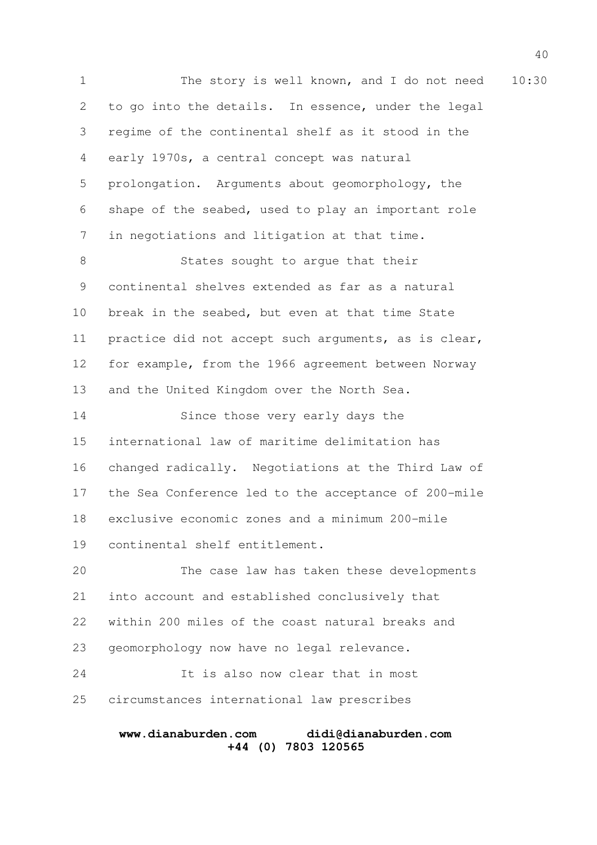1 The story is well known, and I do not need 10:30 to go into the details. In essence, under the legal regime of the continental shelf as it stood in the early 1970s, a central concept was natural prolongation. Arguments about geomorphology, the shape of the seabed, used to play an important role in negotiations and litigation at that time. States sought to argue that their continental shelves extended as far as a natural break in the seabed, but even at that time State practice did not accept such arguments, as is clear, for example, from the 1966 agreement between Norway and the United Kingdom over the North Sea. Since those very early days the international law of maritime delimitation has changed radically. Negotiations at the Third Law of the Sea Conference led to the acceptance of 200-mile exclusive economic zones and a minimum 200-mile continental shelf entitlement. The case law has taken these developments into account and established conclusively that within 200 miles of the coast natural breaks and geomorphology now have no legal relevance. It is also now clear that in most circumstances international law prescribes 2 3 4 5 6 7 8 9 10 11 12 13 14 15 16 17 18 19 20 21 22 23 24 25

# **www.dianaburden.com didi@dianaburden.com +44 (0) 7803 120565**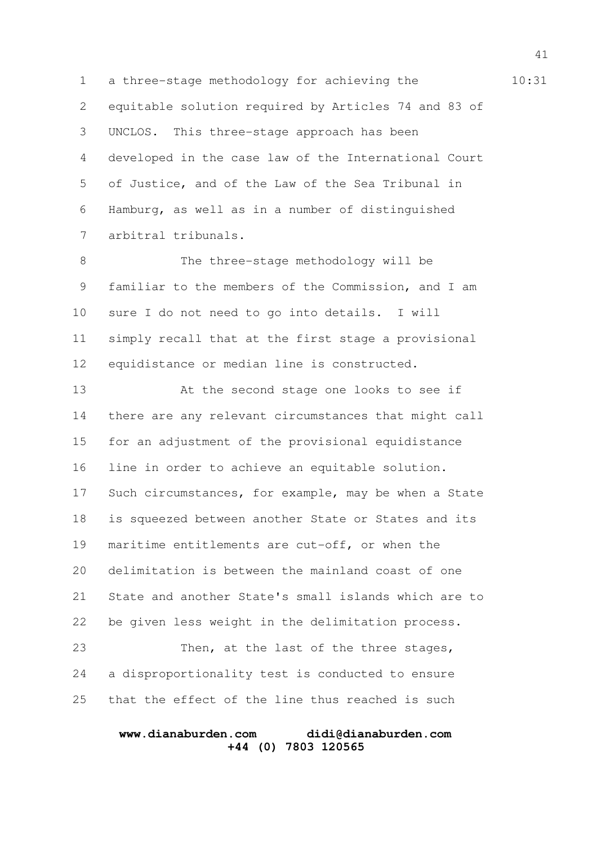1 a three-stage methodology for achieving the 31 equitable solution required by Articles 74 and 83 of UNCLOS. This three-stage approach has been developed in the case law of the International Court of Justice, and of the Law of the Sea Tribunal in Hamburg, as well as in a number of distinguished arbitral tribunals. 2 3 4 5 6 7

The three-stage methodology will be familiar to the members of the Commission, and I am sure I do not need to go into details. I will simply recall that at the first stage a provisional equidistance or median line is constructed. 8 9 10 11 12

At the second stage one looks to see if there are any relevant circumstances that might call for an adjustment of the provisional equidistance line in order to achieve an equitable solution. Such circumstances, for example, may be when a State is squeezed between another State or States and its maritime entitlements are cut-off, or when the delimitation is between the mainland coast of one State and another State's small islands which are to be given less weight in the delimitation process. 13 14 15 16 17 18 19 20 21 22

Then, at the last of the three stages, a disproportionality test is conducted to ensure that the effect of the line thus reached is such 23 24 25

#### **www.dianaburden.com didi@dianaburden.com +44 (0) 7803 120565**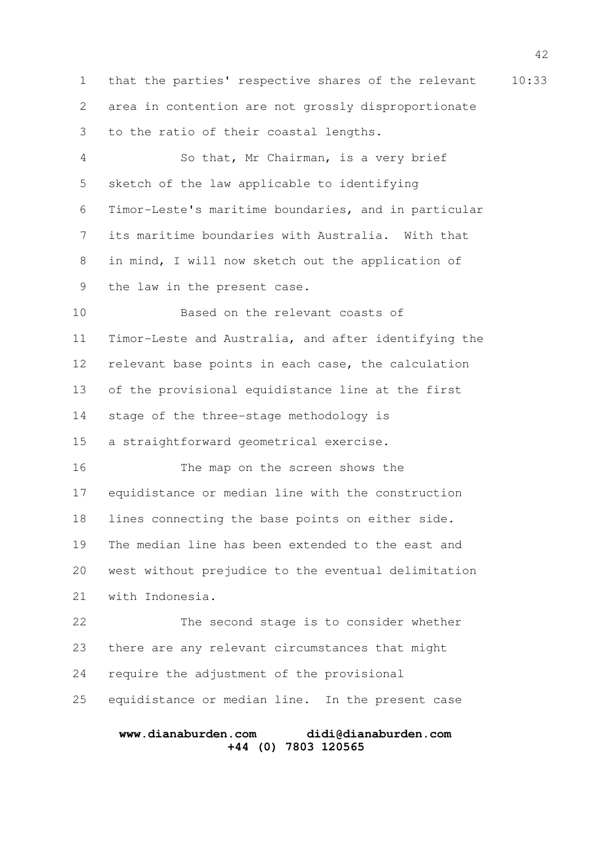1 that the parties' respective shares of the relevant 10:33 area in contention are not grossly disproportionate to the ratio of their coastal lengths. 2 3

So that, Mr Chairman, is a very brief sketch of the law applicable to identifying Timor-Leste's maritime boundaries, and in particular its maritime boundaries with Australia. With that in mind, I will now sketch out the application of the law in the present case. 4 5 6 7 8 9

Based on the relevant coasts of Timor-Leste and Australia, and after identifying the relevant base points in each case, the calculation of the provisional equidistance line at the first stage of the three-stage methodology is a straightforward geometrical exercise. 10 11 12 13 14 15

The map on the screen shows the equidistance or median line with the construction lines connecting the base points on either side. The median line has been extended to the east and west without prejudice to the eventual delimitation with Indonesia. 16 17 18 19 20 21

The second stage is to consider whether there are any relevant circumstances that might require the adjustment of the provisional equidistance or median line. In the present case 22 23 24 25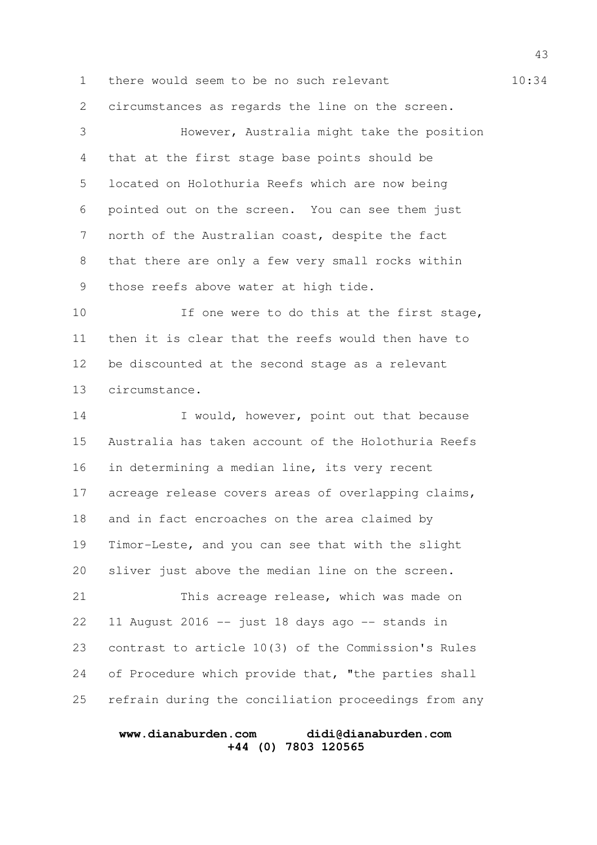1 there would seem to be no such relevant 10:34 circumstances as regards the line on the screen. However, Australia might take the position 2 3

that at the first stage base points should be located on Holothuria Reefs which are now being pointed out on the screen. You can see them just north of the Australian coast, despite the fact that there are only a few very small rocks within those reefs above water at high tide. 4 5 6 7 8 9

If one were to do this at the first stage, then it is clear that the reefs would then have to be discounted at the second stage as a relevant circumstance. 10 11 12 13

I would, however, point out that because Australia has taken account of the Holothuria Reefs in determining a median line, its very recent acreage release covers areas of overlapping claims, and in fact encroaches on the area claimed by Timor-Leste, and you can see that with the slight sliver just above the median line on the screen. This acreage release, which was made on 11 August 2016 -- just 18 days ago -- stands in contrast to article 10(3) of the Commission's Rules 14 15 16 17 18 19 20 21 22 23

refrain during the conciliation proceedings from any 25

24

of Procedure which provide that, "the parties shall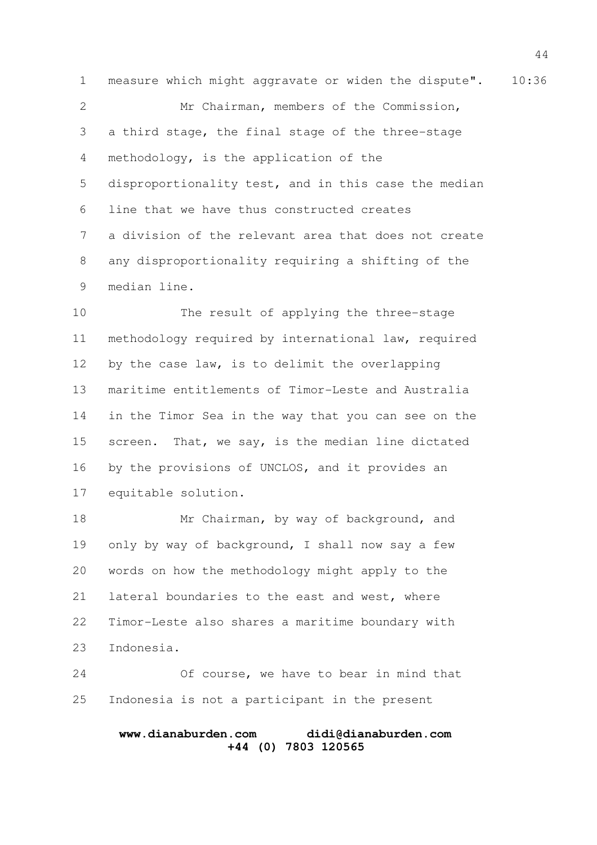1 measure which might aggravate or widen the dispute". 10:36 Mr Chairman, members of the Commission, a third stage, the final stage of the three-stage methodology, is the application of the disproportionality test, and in this case the median line that we have thus constructed creates a division of the relevant area that does not create any disproportionality requiring a shifting of the median line. 2 3 4 5 6 7 8 9

The result of applying the three-stage methodology required by international law, required by the case law, is to delimit the overlapping maritime entitlements of Timor-Leste and Australia in the Timor Sea in the way that you can see on the screen. That, we say, is the median line dictated by the provisions of UNCLOS, and it provides an equitable solution. 10 11 12 13 14 15 16 17

Mr Chairman, by way of background, and only by way of background, I shall now say a few words on how the methodology might apply to the lateral boundaries to the east and west, where Timor-Leste also shares a maritime boundary with Indonesia. 18 19 20 21 22 23

Of course, we have to bear in mind that Indonesia is not a participant in the present 24 25

#### **www.dianaburden.com didi@dianaburden.com +44 (0) 7803 120565**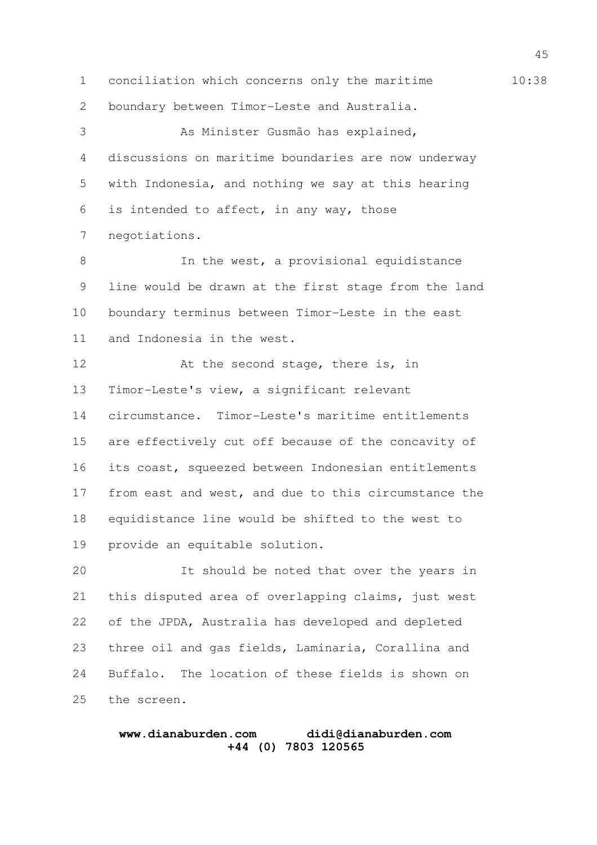1 conciliation which concerns only the maritime 10:38

boundary between Timor-Leste and Australia. 2

As Minister Gusmão has explained, discussions on maritime boundaries are now underway with Indonesia, and nothing we say at this hearing is intended to affect, in any way, those negotiations. 3 4 5 6 7

In the west, a provisional equidistance line would be drawn at the first stage from the land boundary terminus between Timor-Leste in the east and Indonesia in the west. 8 9 10 11

At the second stage, there is, in Timor-Leste's view, a significant relevant circumstance. Timor-Leste's maritime entitlements are effectively cut off because of the concavity of its coast, squeezed between Indonesian entitlements from east and west, and due to this circumstance the equidistance line would be shifted to the west to provide an equitable solution. 12 13 14 15 16 17 18 19

It should be noted that over the years in this disputed area of overlapping claims, just west of the JPDA, Australia has developed and depleted three oil and gas fields, Laminaria, Corallina and Buffalo. The location of these fields is shown on the screen. 20 21 22 23 24 25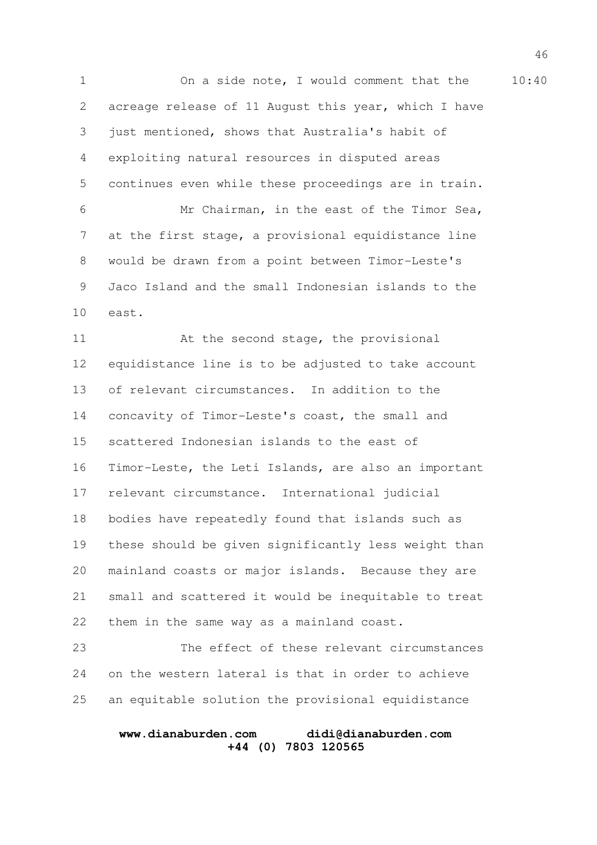1 On a side note, I would comment that the 10:40 acreage release of 11 August this year, which I have just mentioned, shows that Australia's habit of exploiting natural resources in disputed areas continues even while these proceedings are in train. Mr Chairman, in the east of the Timor Sea, at the first stage, a provisional equidistance line would be drawn from a point between Timor-Leste's Jaco Island and the small Indonesian islands to the east. 2 3 4 5 6 7 8 9 10

At the second stage, the provisional equidistance line is to be adjusted to take account of relevant circumstances. In addition to the concavity of Timor-Leste's coast, the small and scattered Indonesian islands to the east of Timor-Leste, the Leti Islands, are also an important relevant circumstance. International judicial bodies have repeatedly found that islands such as these should be given significantly less weight than mainland coasts or major islands. Because they are small and scattered it would be inequitable to treat them in the same way as a mainland coast. 11 12 13 14 15 16 17 18 19 20 21 22

The effect of these relevant circumstances on the western lateral is that in order to achieve an equitable solution the provisional equidistance 23 24 25

#### **www.dianaburden.com didi@dianaburden.com +44 (0) 7803 120565**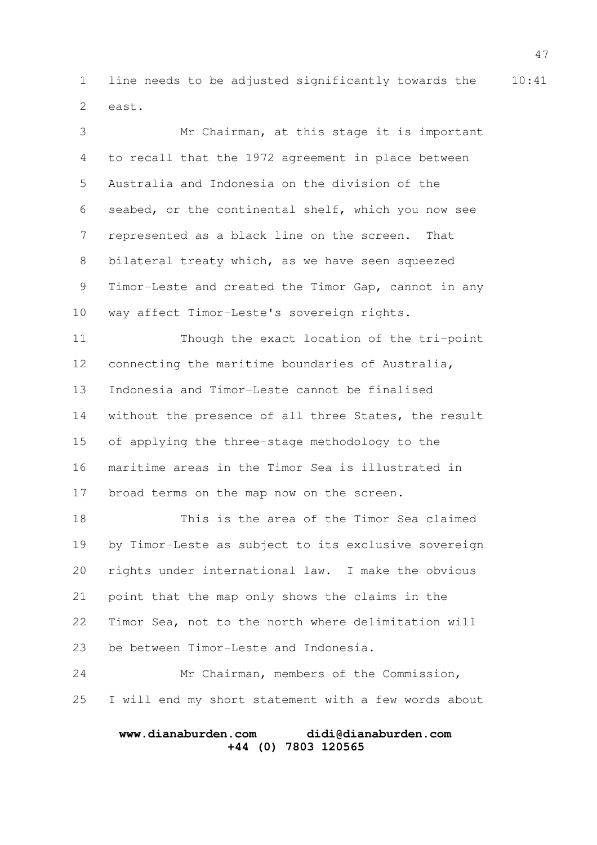1 line needs to be adjusted significantly towards the 10:41 east. 2

Mr Chairman, at this stage it is important to recall that the 1972 agreement in place between Australia and Indonesia on the division of the seabed, or the continental shelf, which you now see represented as a black line on the screen. That bilateral treaty which, as we have seen squeezed Timor-Leste and created the Timor Gap, cannot in any way affect Timor-Leste's sovereign rights. Though the exact location of the tri-point connecting the maritime boundaries of Australia, Indonesia and Timor-Leste cannot be finalised without the presence of all three States, the result of applying the three-stage methodology to the maritime areas in the Timor Sea is illustrated in broad terms on the map now on the screen. This is the area of the Timor Sea claimed by Timor-Leste as subject to its exclusive sovereign rights under international law. I make the obvious point that the map only shows the claims in the Timor Sea, not to the north where delimitation will 3 4 5 6 7 8 9 10 11 12 13 14 15 16 17 18 19 20 21 22

be between Timor-Leste and Indonesia. 23

Mr Chairman, members of the Commission, I will end my short statement with a few words about 24 25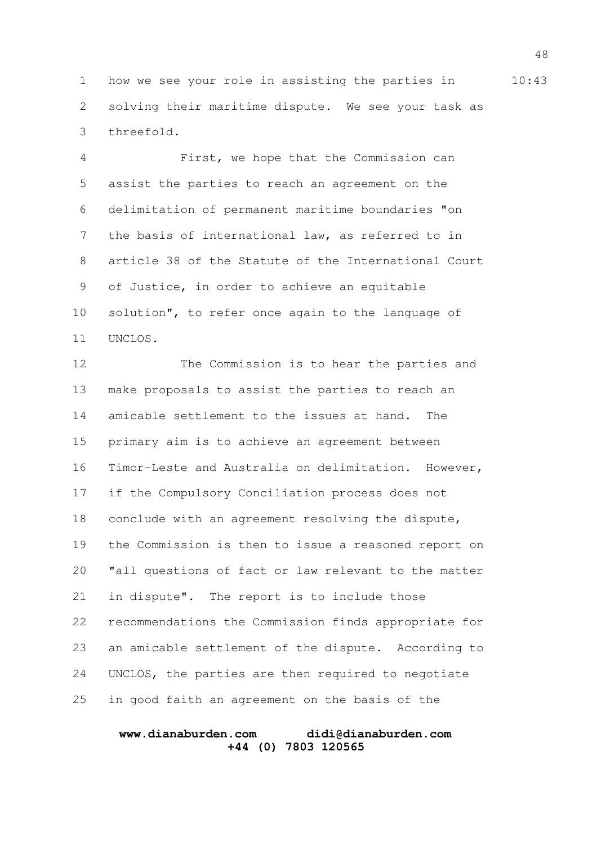1 how we see your role in assisting the parties in 10:43 solving their maritime dispute. We see your task as threefold. 2 3

First, we hope that the Commission can assist the parties to reach an agreement on the delimitation of permanent maritime boundaries "on the basis of international law, as referred to in article 38 of the Statute of the International Court of Justice, in order to achieve an equitable solution", to refer once again to the language of UNCLOS. 4 5 6 7 8 9 10 11

The Commission is to hear the parties and make proposals to assist the parties to reach an amicable settlement to the issues at hand. The primary aim is to achieve an agreement between Timor-Leste and Australia on delimitation. However, if the Compulsory Conciliation process does not conclude with an agreement resolving the dispute, the Commission is then to issue a reasoned report on "all questions of fact or law relevant to the matter in dispute". The report is to include those recommendations the Commission finds appropriate for an amicable settlement of the dispute. According to UNCLOS, the parties are then required to negotiate in good faith an agreement on the basis of the 12 13 14 15 16 17 18 19 20 21 22 23 24 25

#### **www.dianaburden.com didi@dianaburden.com +44 (0) 7803 120565**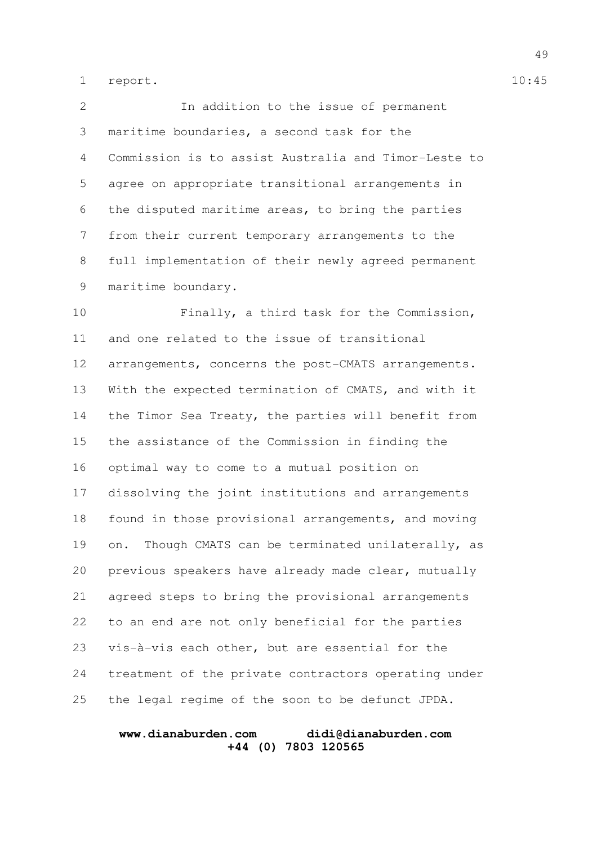report. 1 report. 10:45

In addition to the issue of permanent maritime boundaries, a second task for the Commission is to assist Australia and Timor-Leste to agree on appropriate transitional arrangements in the disputed maritime areas, to bring the parties from their current temporary arrangements to the full implementation of their newly agreed permanent maritime boundary. Finally, a third task for the Commission, and one related to the issue of transitional arrangements, concerns the post-CMATS arrangements. With the expected termination of CMATS, and with it the Timor Sea Treaty, the parties will benefit from 2 3 4 5 6 7 8 9 10 11 12 13 14

the assistance of the Commission in finding the optimal way to come to a mutual position on dissolving the joint institutions and arrangements found in those provisional arrangements, and moving on. Though CMATS can be terminated unilaterally, as previous speakers have already made clear, mutually agreed steps to bring the provisional arrangements to an end are not only beneficial for the parties vis-à-vis each other, but are essential for the treatment of the private contractors operating under the legal regime of the soon to be defunct JPDA. 15 16 17 18 19 20 21 22 23 24 25

#### **www.dianaburden.com didi@dianaburden.com +44 (0) 7803 120565**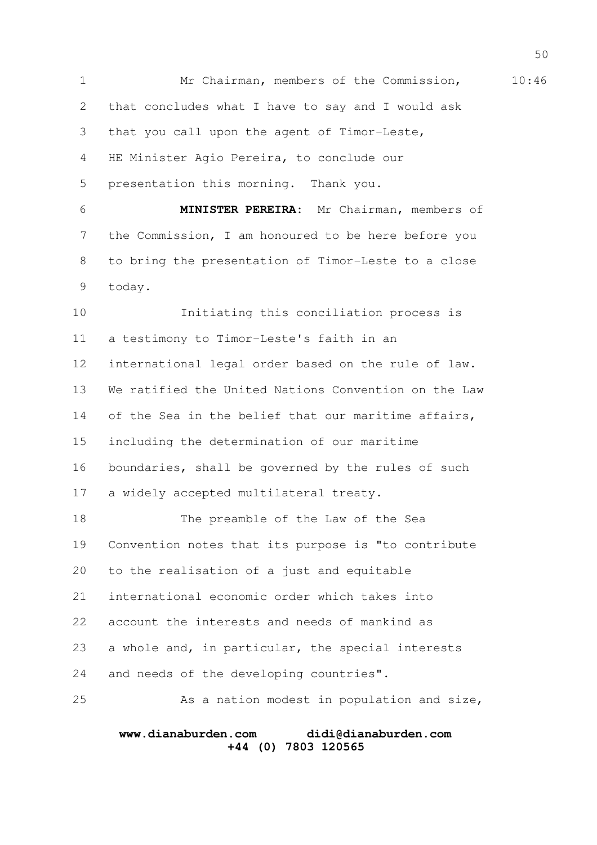1 Mr Chairman, members of the Commission, 10:46 that concludes what I have to say and I would ask that you call upon the agent of Timor-Leste, HE Minister Agio Pereira, to conclude our presentation this morning. Thank you. **MINISTER PEREIRA:** Mr Chairman, members of the Commission, I am honoured to be here before you to bring the presentation of Timor-Leste to a close today. Initiating this conciliation process is a testimony to Timor-Leste's faith in an international legal order based on the rule of law. We ratified the United Nations Convention on the Law of the Sea in the belief that our maritime affairs, including the determination of our maritime boundaries, shall be governed by the rules of such a widely accepted multilateral treaty. The preamble of the Law of the Sea Convention notes that its purpose is "to contribute to the realisation of a just and equitable international economic order which takes into account the interests and needs of mankind as a whole and, in particular, the special interests and needs of the developing countries". As a nation modest in population and size, 2 3 4 5 6 7 8 9 10 11 12 13 14 15 16 17 18 19 20 21 22 23 24 25

#### **www.dianaburden.com didi@dianaburden.com +44 (0) 7803 120565**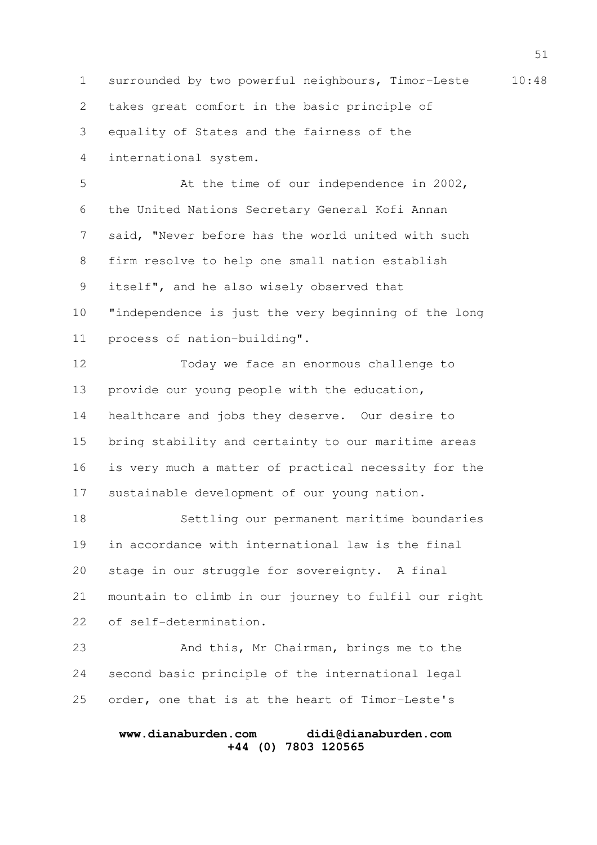1 surrounded by two powerful neighbours, Timor-Leste 10:48 takes great comfort in the basic principle of equality of States and the fairness of the 2 3

international system. 4

At the time of our independence in 2002, the United Nations Secretary General Kofi Annan said, "Never before has the world united with such firm resolve to help one small nation establish itself", and he also wisely observed that "independence is just the very beginning of the long process of nation-building". 5 6 7 8 9 10 11

Today we face an enormous challenge to provide our young people with the education, healthcare and jobs they deserve. Our desire to bring stability and certainty to our maritime areas is very much a matter of practical necessity for the sustainable development of our young nation. 12 13 14 15 16 17

Settling our permanent maritime boundaries in accordance with international law is the final stage in our struggle for sovereignty. A final mountain to climb in our journey to fulfil our right of self-determination. 18 19 20 21 22

And this, Mr Chairman, brings me to the second basic principle of the international legal order, one that is at the heart of Timor-Leste's 23 24 25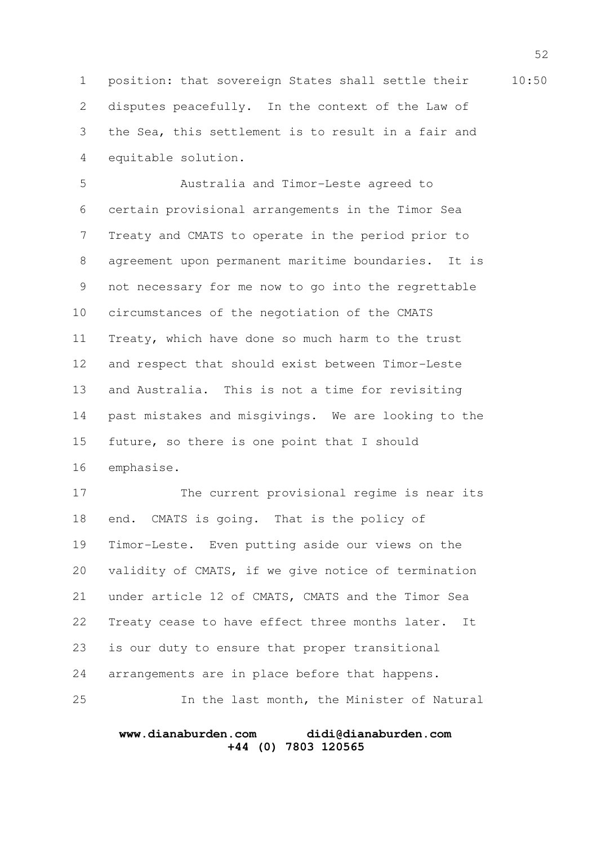1 position: that sovereign States shall settle their 10:50 disputes peacefully. In the context of the Law of the Sea, this settlement is to result in a fair and equitable solution. 2 3 4

Australia and Timor-Leste agreed to certain provisional arrangements in the Timor Sea Treaty and CMATS to operate in the period prior to agreement upon permanent maritime boundaries. It is not necessary for me now to go into the regrettable circumstances of the negotiation of the CMATS Treaty, which have done so much harm to the trust and respect that should exist between Timor-Leste and Australia. This is not a time for revisiting past mistakes and misgivings. We are looking to the future, so there is one point that I should emphasise. 5 6 7 8 9 10 11 12 13 14 15 16

The current provisional regime is near its end. CMATS is going. That is the policy of Timor-Leste. Even putting aside our views on the validity of CMATS, if we give notice of termination under article 12 of CMATS, CMATS and the Timor Sea Treaty cease to have effect three months later. It is our duty to ensure that proper transitional arrangements are in place before that happens. In the last month, the Minister of Natural 17 18 19 20 21 22 23 24 25

#### **www.dianaburden.com didi@dianaburden.com +44 (0) 7803 120565**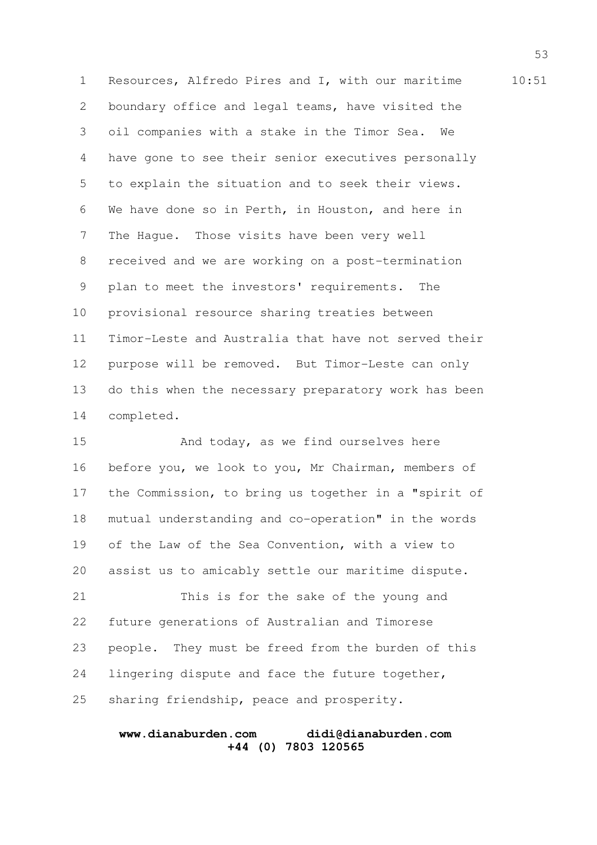1 Resources, Alfredo Pires and I, with our maritime 10:51 boundary office and legal teams, have visited the oil companies with a stake in the Timor Sea. We have gone to see their senior executives personally to explain the situation and to seek their views. We have done so in Perth, in Houston, and here in The Hague. Those visits have been very well received and we are working on a post-termination plan to meet the investors' requirements. The provisional resource sharing treaties between Timor-Leste and Australia that have not served their purpose will be removed. But Timor-Leste can only do this when the necessary preparatory work has been completed. 2 3 4 5 6 7 8 9 10 11 12 13 14

And today, as we find ourselves here before you, we look to you, Mr Chairman, members of the Commission, to bring us together in a "spirit of mutual understanding and co-operation" in the words of the Law of the Sea Convention, with a view to assist us to amicably settle our maritime dispute. This is for the sake of the young and 15 16 17 18 19 20 21

future generations of Australian and Timorese people. They must be freed from the burden of this lingering dispute and face the future together, sharing friendship, peace and prosperity. 22 23 24 25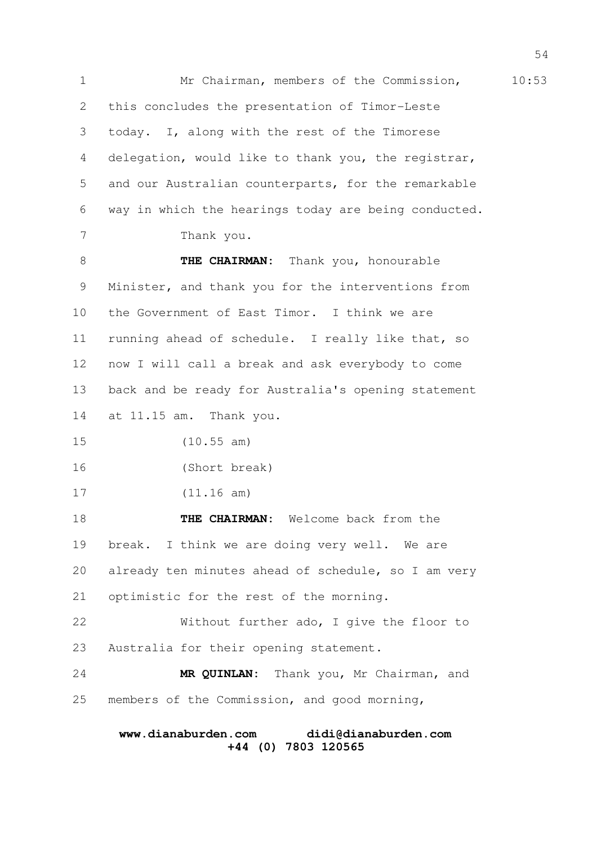1 Mr Chairman, members of the Commission, 10:53 this concludes the presentation of Timor-Leste today. I, along with the rest of the Timorese delegation, would like to thank you, the registrar, and our Australian counterparts, for the remarkable way in which the hearings today are being conducted. Thank you. **THE CHAIRMAN:** Thank you, honourable Minister, and thank you for the interventions from the Government of East Timor. I think we are running ahead of schedule. I really like that, so now I will call a break and ask everybody to come back and be ready for Australia's opening statement at 11.15 am. Thank you. (10.55 am) (Short break) (11.16 am) **THE CHAIRMAN:** Welcome back from the break. I think we are doing very well. We are already ten minutes ahead of schedule, so I am very optimistic for the rest of the morning. Without further ado, I give the floor to Australia for their opening statement. **MR QUINLAN:** Thank you, Mr Chairman, and members of the Commission, and good morning, 2 3 4 5 6 7 8 9 10 11 12 13 14 15 16 17 18 19 20 21 22 23 24 25

# **www.dianaburden.com didi@dianaburden.com +44 (0) 7803 120565**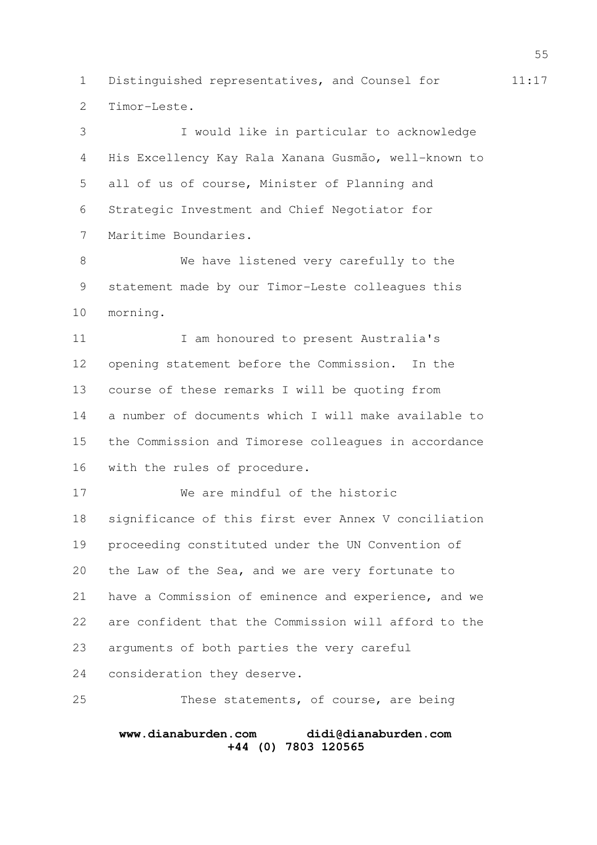1 Distinguished representatives, and Counsel for 11:17 Timor-Leste. 2

I would like in particular to acknowledge His Excellency Kay Rala Xanana Gusmão, well-known to all of us of course, Minister of Planning and Strategic Investment and Chief Negotiator for Maritime Boundaries. 3 4 5 6 7

We have listened very carefully to the statement made by our Timor-Leste colleagues this morning. 8 9 10

I am honoured to present Australia's opening statement before the Commission. In the course of these remarks I will be quoting from a number of documents which I will make available to the Commission and Timorese colleagues in accordance with the rules of procedure. 11 12 13 14 15 16

We are mindful of the historic significance of this first ever Annex V conciliation proceeding constituted under the UN Convention of the Law of the Sea, and we are very fortunate to have a Commission of eminence and experience, and we are confident that the Commission will afford to the arguments of both parties the very careful consideration they deserve. 17 18 19 20 21 22 23 24

These statements, of course, are being 25

#### **www.dianaburden.com didi@dianaburden.com +44 (0) 7803 120565**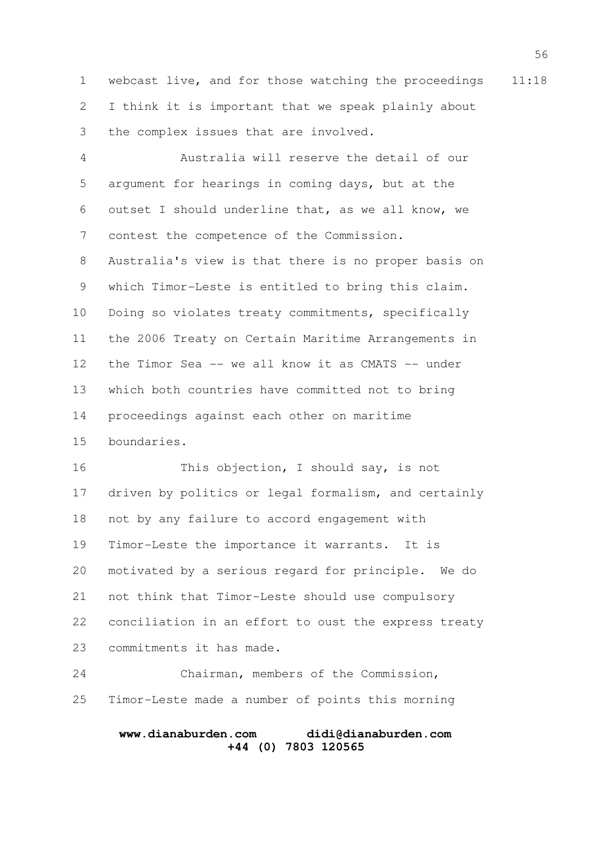1 webcast live, and for those watching the proceedings 11:18 I think it is important that we speak plainly about the complex issues that are involved. 2 3

Australia will reserve the detail of our argument for hearings in coming days, but at the outset I should underline that, as we all know, we contest the competence of the Commission. Australia's view is that there is no proper basis on which Timor-Leste is entitled to bring this claim. Doing so violates treaty commitments, specifically the 2006 Treaty on Certain Maritime Arrangements in the Timor Sea -- we all know it as CMATS -- under which both countries have committed not to bring proceedings against each other on maritime boundaries. 4 5 6 7 8 9 10 11 12 13 14 15

This objection, I should say, is not driven by politics or legal formalism, and certainly not by any failure to accord engagement with Timor-Leste the importance it warrants. It is motivated by a serious regard for principle. We do not think that Timor-Leste should use compulsory conciliation in an effort to oust the express treaty commitments it has made. 16 17 18 19 20 21 22 23

Chairman, members of the Commission, Timor-Leste made a number of points this morning 24 25

#### **www.dianaburden.com didi@dianaburden.com +44 (0) 7803 120565**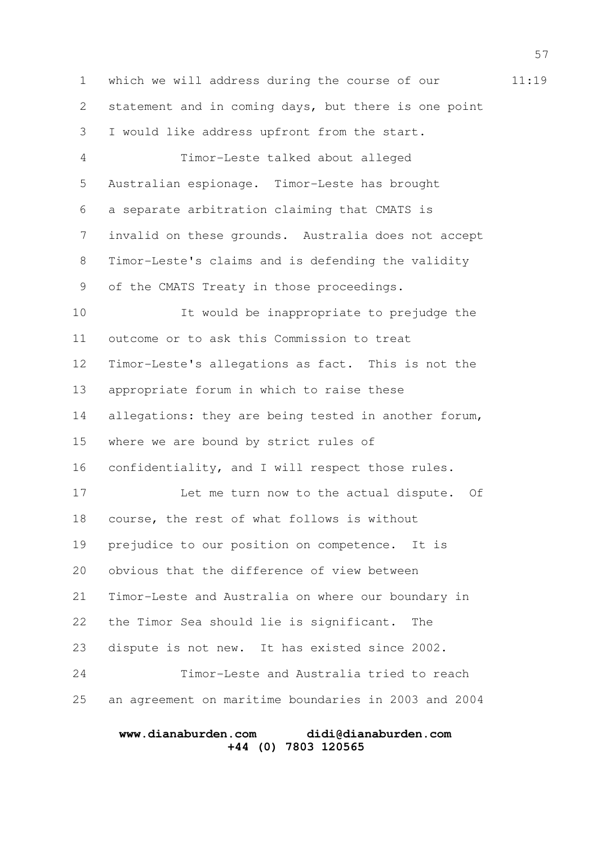1 which we will address during the course of our 11:19 statement and in coming days, but there is one point I would like address upfront from the start. Timor-Leste talked about alleged Australian espionage. Timor-Leste has brought a separate arbitration claiming that CMATS is invalid on these grounds. Australia does not accept Timor-Leste's claims and is defending the validity of the CMATS Treaty in those proceedings. It would be inappropriate to prejudge the outcome or to ask this Commission to treat Timor-Leste's allegations as fact. This is not the appropriate forum in which to raise these allegations: they are being tested in another forum, where we are bound by strict rules of confidentiality, and I will respect those rules. Let me turn now to the actual dispute. Of course, the rest of what follows is without prejudice to our position on competence. It is obvious that the difference of view between Timor-Leste and Australia on where our boundary in the Timor Sea should lie is significant. The dispute is not new. It has existed since 2002. Timor-Leste and Australia tried to reach an agreement on maritime boundaries in 2003 and 2004 2 3 4 5 6 7 8 9 10 11 12 13 14 15 16 17 18 19 20 21 22 23 24 25

# **www.dianaburden.com didi@dianaburden.com +44 (0) 7803 120565**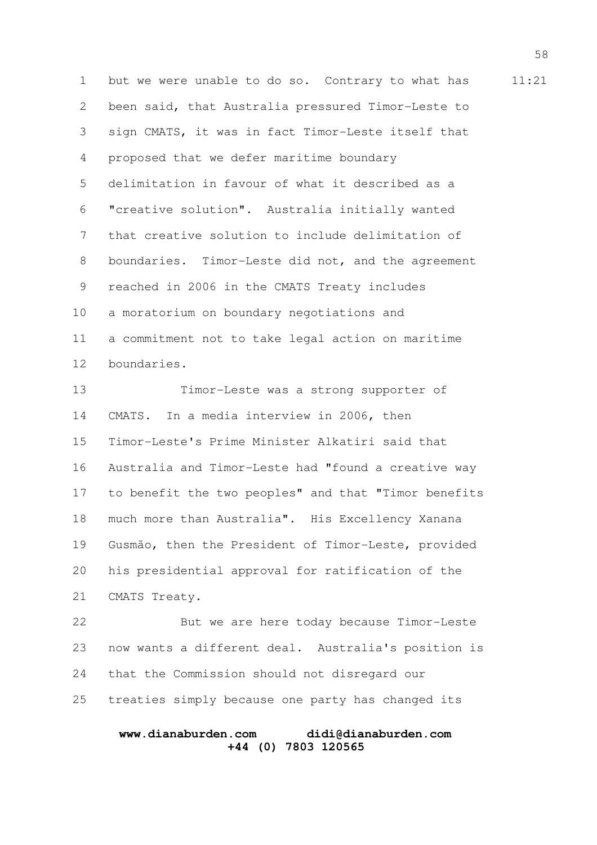1 but we were unable to do so. Contrary to what has 11:21 been said, that Australia pressured Timor-Leste to sign CMATS, it was in fact Timor-Leste itself that proposed that we defer maritime boundary delimitation in favour of what it described as a "creative solution". Australia initially wanted that creative solution to include delimitation of boundaries. Timor-Leste did not, and the agreement reached in 2006 in the CMATS Treaty includes a moratorium on boundary negotiations and a commitment not to take legal action on maritime boundaries. 2 3 4 5 6 7 8 9 10 11 12

Timor-Leste was a strong supporter of CMATS. In a media interview in 2006, then Timor-Leste's Prime Minister Alkatiri said that Australia and Timor-Leste had "found a creative way to benefit the two peoples" and that "Timor benefits much more than Australia". His Excellency Xanana Gusmão, then the President of Timor-Leste, provided his presidential approval for ratification of the CMATS Treaty. 13 14 15 16 17 18 19 20 21

But we are here today because Timor-Leste now wants a different deal. Australia's position is that the Commission should not disregard our treaties simply because one party has changed its 22 23 24 25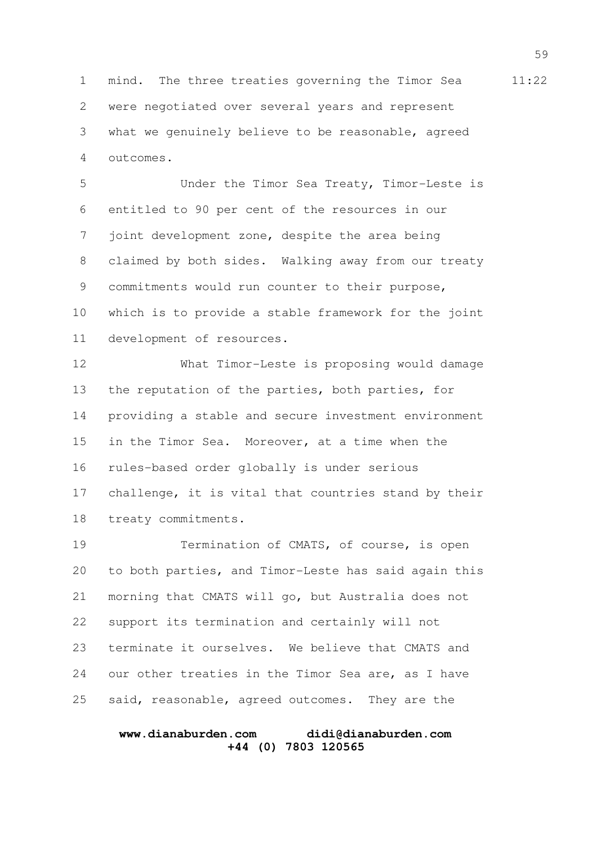1 mind. The three treaties governing the Timor Sea 11:22 were negotiated over several years and represent what we genuinely believe to be reasonable, agreed outcomes. 2 3 4

Under the Timor Sea Treaty, Timor-Leste is entitled to 90 per cent of the resources in our joint development zone, despite the area being claimed by both sides. Walking away from our treaty commitments would run counter to their purpose, which is to provide a stable framework for the joint development of resources. 5 6 7 8 9 10 11

What Timor-Leste is proposing would damage the reputation of the parties, both parties, for providing a stable and secure investment environment in the Timor Sea. Moreover, at a time when the rules-based order globally is under serious challenge, it is vital that countries stand by their treaty commitments. 12 13 14 15 16 17 18

Termination of CMATS, of course, is open to both parties, and Timor-Leste has said again this morning that CMATS will go, but Australia does not support its termination and certainly will not terminate it ourselves. We believe that CMATS and our other treaties in the Timor Sea are, as I have said, reasonable, agreed outcomes. They are the 19 20 21 22 23 24 25

#### **www.dianaburden.com didi@dianaburden.com +44 (0) 7803 120565**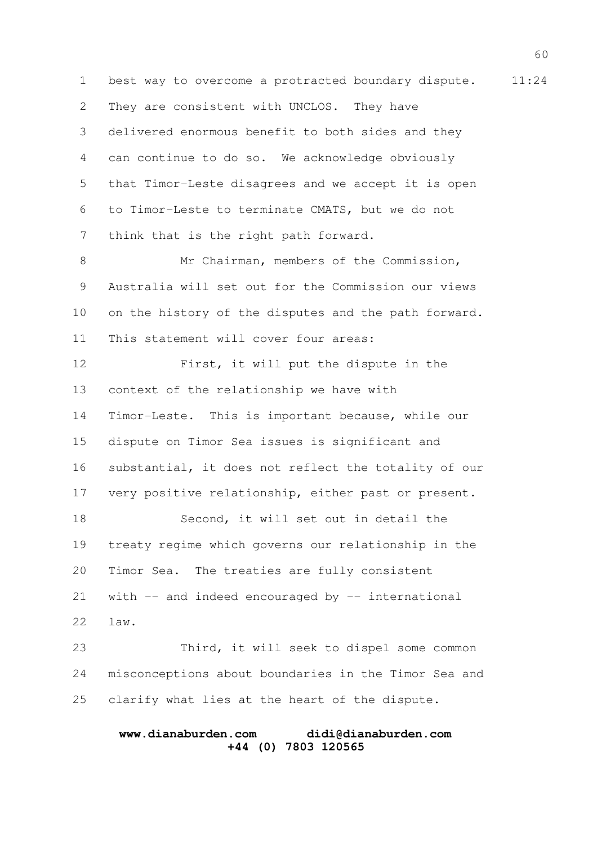1 best way to overcome a protracted boundary dispute. 11:24 They are consistent with UNCLOS. They have delivered enormous benefit to both sides and they can continue to do so. We acknowledge obviously that Timor-Leste disagrees and we accept it is open to Timor-Leste to terminate CMATS, but we do not think that is the right path forward. Mr Chairman, members of the Commission, Australia will set out for the Commission our views on the history of the disputes and the path forward. This statement will cover four areas: First, it will put the dispute in the context of the relationship we have with Timor-Leste. This is important because, while our dispute on Timor Sea issues is significant and substantial, it does not reflect the totality of our very positive relationship, either past or present. Second, it will set out in detail the treaty regime which governs our relationship in the Timor Sea. The treaties are fully consistent with  $--$  and indeed encouraged by  $--$  international law. 2 3 4 5 6 7 8 9 10 11 12 13 14 15 16 17 18 19 20 21 22

Third, it will seek to dispel some common misconceptions about boundaries in the Timor Sea and clarify what lies at the heart of the dispute. 23 24 25

#### **www.dianaburden.com didi@dianaburden.com +44 (0) 7803 120565**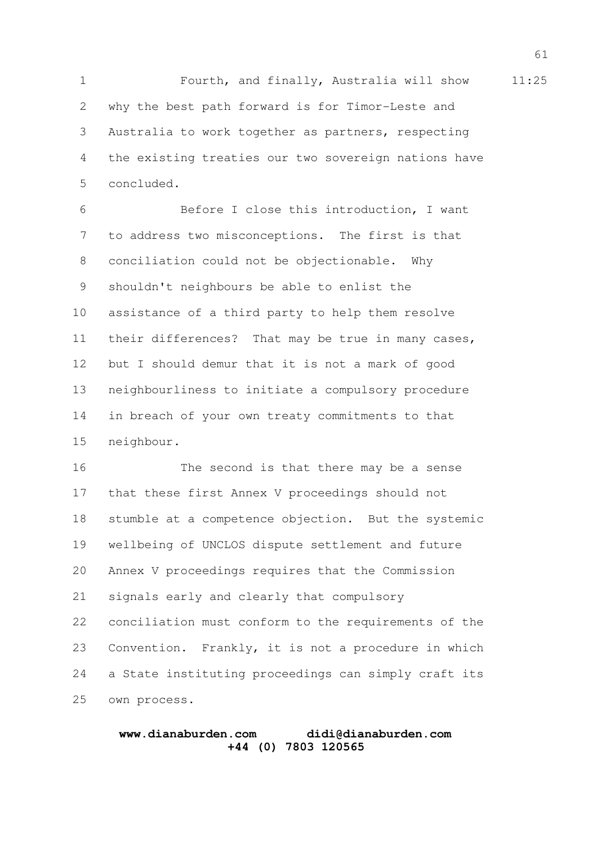1 Fourth, and finally, Australia will show 11:25 why the best path forward is for Timor-Leste and Australia to work together as partners, respecting the existing treaties our two sovereign nations have concluded. 2 3 4 5

Before I close this introduction, I want to address two misconceptions. The first is that conciliation could not be objectionable. Why shouldn't neighbours be able to enlist the assistance of a third party to help them resolve their differences? That may be true in many cases, but I should demur that it is not a mark of good neighbourliness to initiate a compulsory procedure in breach of your own treaty commitments to that neighbour. 6 7 8 9 10 11 12 13 14 15

The second is that there may be a sense that these first Annex V proceedings should not stumble at a competence objection. But the systemic wellbeing of UNCLOS dispute settlement and future Annex V proceedings requires that the Commission signals early and clearly that compulsory conciliation must conform to the requirements of the Convention. Frankly, it is not a procedure in which a State instituting proceedings can simply craft its own process. 16 17 18 19 20 21 22 23 24 25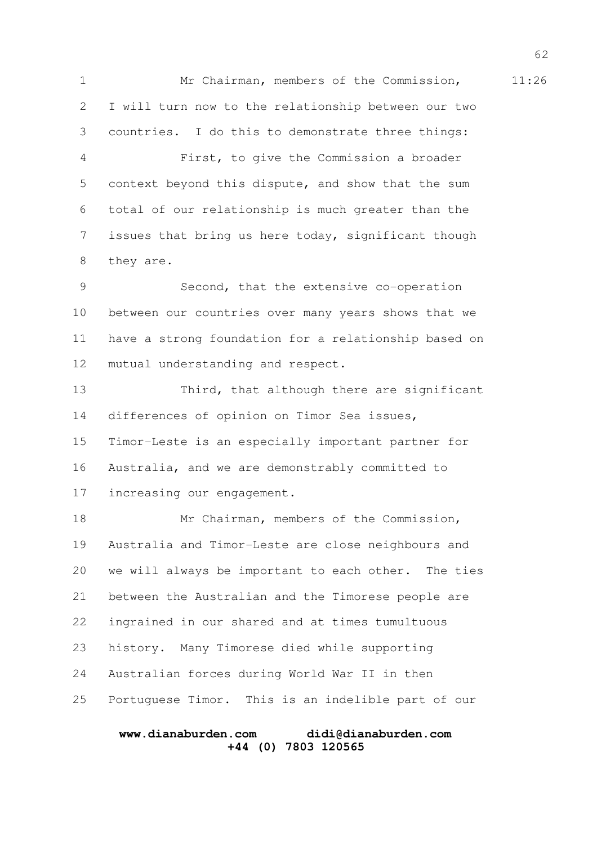1 Mr Chairman, members of the Commission, 11:26 I will turn now to the relationship between our two countries. I do this to demonstrate three things: First, to give the Commission a broader context beyond this dispute, and show that the sum total of our relationship is much greater than the issues that bring us here today, significant though they are. Second, that the extensive co-operation between our countries over many years shows that we have a strong foundation for a relationship based on mutual understanding and respect. Third, that although there are significant differences of opinion on Timor Sea issues, Timor-Leste is an especially important partner for Australia, and we are demonstrably committed to increasing our engagement. Mr Chairman, members of the Commission, Australia and Timor-Leste are close neighbours and we will always be important to each other. The ties between the Australian and the Timorese people are ingrained in our shared and at times tumultuous history. Many Timorese died while supporting Australian forces during World War II in then Portuguese Timor. This is an indelible part of our 2 3 4 5 6 7 8 9 10 11 12 13 14 15 16 17 18 19 20 21 22 23 24 25

#### **www.dianaburden.com didi@dianaburden.com +44 (0) 7803 120565**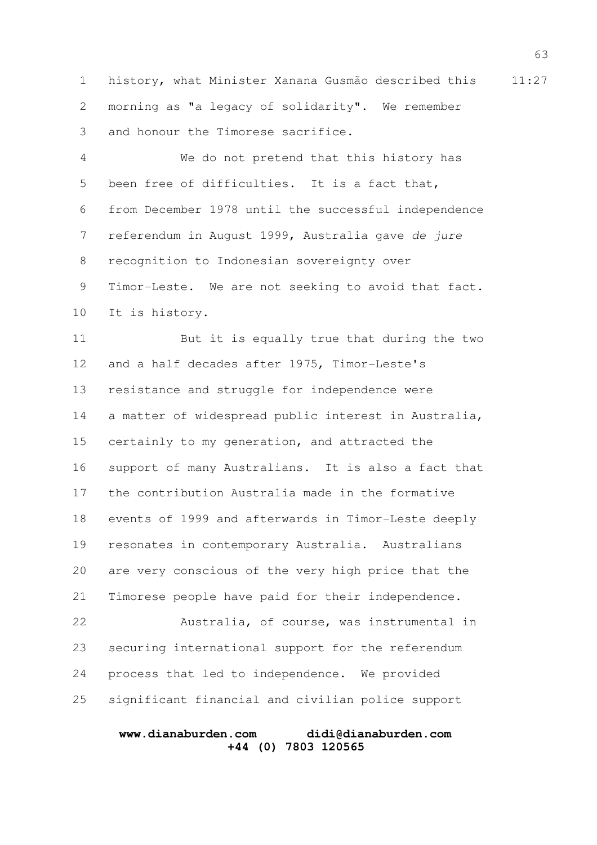1 history, what Minister Xanana Gusmão described this 11:27 morning as "a legacy of solidarity". We remember and honour the Timorese sacrifice. 2 3

We do not pretend that this history has been free of difficulties. It is a fact that, from December 1978 until the successful independence referendum in August 1999, Australia gave de jure recognition to Indonesian sovereignty over Timor-Leste. We are not seeking to avoid that fact. It is history. 4 5 6 7 8 9 10

But it is equally true that during the two and a half decades after 1975, Timor-Leste's resistance and struggle for independence were a matter of widespread public interest in Australia, certainly to my generation, and attracted the support of many Australians. It is also a fact that the contribution Australia made in the formative events of 1999 and afterwards in Timor-Leste deeply resonates in contemporary Australia. Australians are very conscious of the very high price that the Timorese people have paid for their independence. 11 12 13 14 15 16 17 18 19 20 21

Australia, of course, was instrumental in securing international support for the referendum process that led to independence. We provided significant financial and civilian police support 22 23 24 25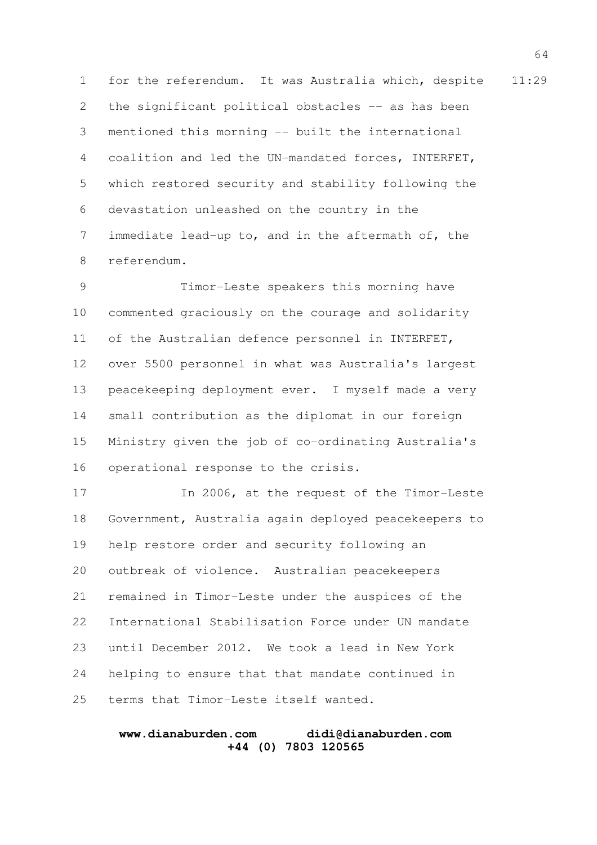1 for the referendum. It was Australia which, despite 11:29 the significant political obstacles -- as has been mentioned this morning -- built the international coalition and led the UN-mandated forces, INTERFET, which restored security and stability following the devastation unleashed on the country in the immediate lead-up to, and in the aftermath of, the referendum. 2 3 4 5 6 7 8

Timor-Leste speakers this morning have commented graciously on the courage and solidarity of the Australian defence personnel in INTERFET, over 5500 personnel in what was Australia's largest peacekeeping deployment ever. I myself made a very small contribution as the diplomat in our foreign Ministry given the job of co-ordinating Australia's operational response to the crisis. 9 10 11 12 13 14 15 16

In 2006, at the request of the Timor-Leste Government, Australia again deployed peacekeepers to help restore order and security following an outbreak of violence. Australian peacekeepers remained in Timor-Leste under the auspices of the International Stabilisation Force under UN mandate until December 2012. We took a lead in New York helping to ensure that that mandate continued in terms that Timor-Leste itself wanted. 17 18 19 20 21 22 23 24 25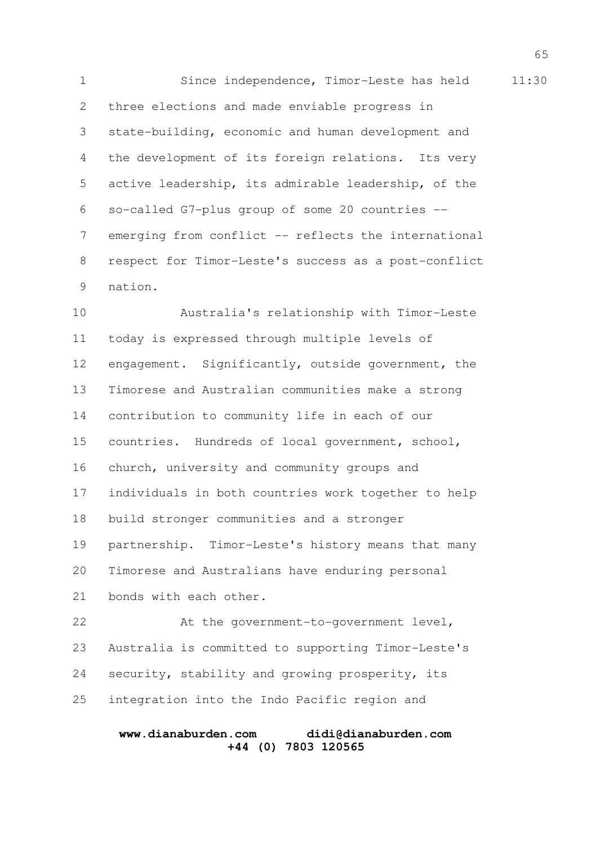1 Since independence, Timor-Leste has held 11:30 three elections and made enviable progress in state-building, economic and human development and the development of its foreign relations. Its very active leadership, its admirable leadership, of the so-called G7-plus group of some 20 countries - emerging from conflict -- reflects the international respect for Timor-Leste's success as a post-conflict nation. 2 3 4 5 6 7 8 9

Australia's relationship with Timor-Leste today is expressed through multiple levels of engagement. Significantly, outside government, the Timorese and Australian communities make a strong contribution to community life in each of our countries. Hundreds of local government, school, church, university and community groups and individuals in both countries work together to help build stronger communities and a stronger partnership. Timor-Leste's history means that many Timorese and Australians have enduring personal bonds with each other. At the government-to-government level, 10 11 12 13 14 15 16 17 18 19 20 21 22

Australia is committed to supporting Timor-Leste's security, stability and growing prosperity, its integration into the Indo Pacific region and 23 24 25

# **www.dianaburden.com didi@dianaburden.com +44 (0) 7803 120565**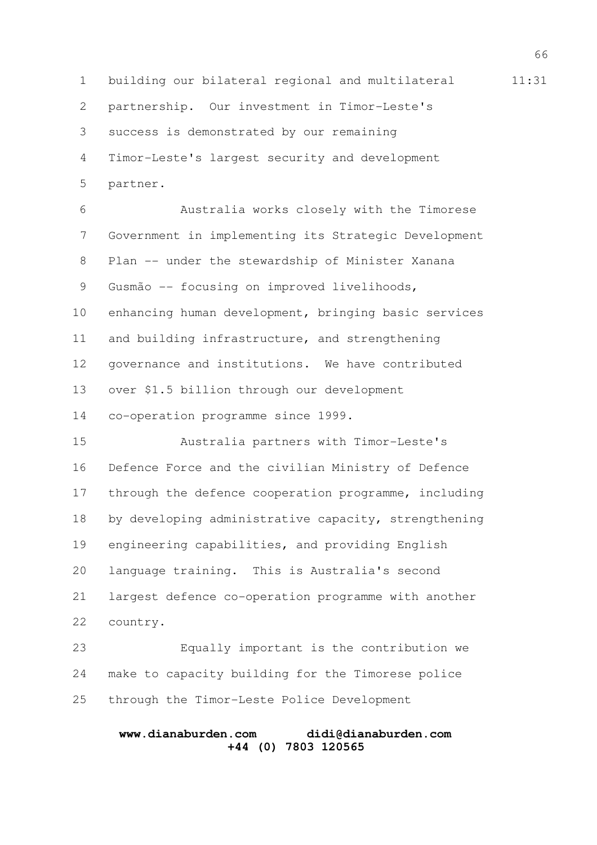1 building our bilateral regional and multilateral 11:31 partnership. Our investment in Timor-Leste's success is demonstrated by our remaining Timor-Leste's largest security and development partner. Australia works closely with the Timorese Government in implementing its Strategic Development Plan -- under the stewardship of Minister Xanana Gusmão -- focusing on improved livelihoods, enhancing human development, bringing basic services and building infrastructure, and strengthening governance and institutions. We have contributed over \$1.5 billion through our development co-operation programme since 1999. Australia partners with Timor-Leste's Defence Force and the civilian Ministry of Defence through the defence cooperation programme, including by developing administrative capacity, strengthening engineering capabilities, and providing English language training. This is Australia's second largest defence co-operation programme with another country. Equally important is the contribution we make to capacity building for the Timorese police through the Timor-Leste Police Development 2 3 4 5 6 7 8 9 10 11 12 13 14 15 16 17 18 19 20 21 22 23 24 25

# **www.dianaburden.com didi@dianaburden.com +44 (0) 7803 120565**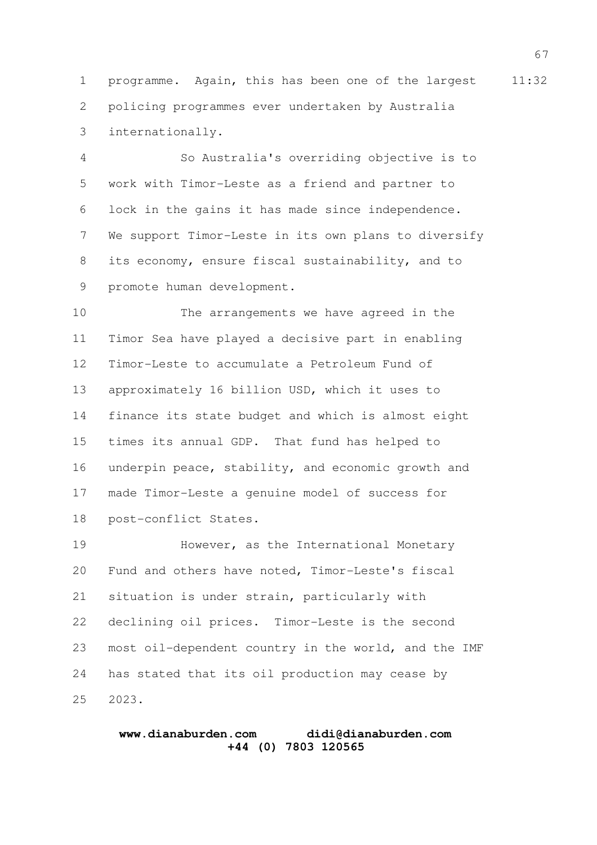1 programme. Again, this has been one of the largest 11:32 policing programmes ever undertaken by Australia internationally. 2 3

So Australia's overriding objective is to work with Timor-Leste as a friend and partner to lock in the gains it has made since independence. We support Timor-Leste in its own plans to diversify its economy, ensure fiscal sustainability, and to promote human development. 4 5 6 7 8 9

The arrangements we have agreed in the Timor Sea have played a decisive part in enabling Timor-Leste to accumulate a Petroleum Fund of approximately 16 billion USD, which it uses to finance its state budget and which is almost eight times its annual GDP. That fund has helped to underpin peace, stability, and economic growth and made Timor-Leste a genuine model of success for post-conflict States. 10 11 12 13 14 15 16 17 18

However, as the International Monetary Fund and others have noted, Timor-Leste's fiscal situation is under strain, particularly with declining oil prices. Timor-Leste is the second most oil-dependent country in the world, and the IMF has stated that its oil production may cease by 2023. 19 20 21 22 23 24 25

#### **www.dianaburden.com didi@dianaburden.com +44 (0) 7803 120565**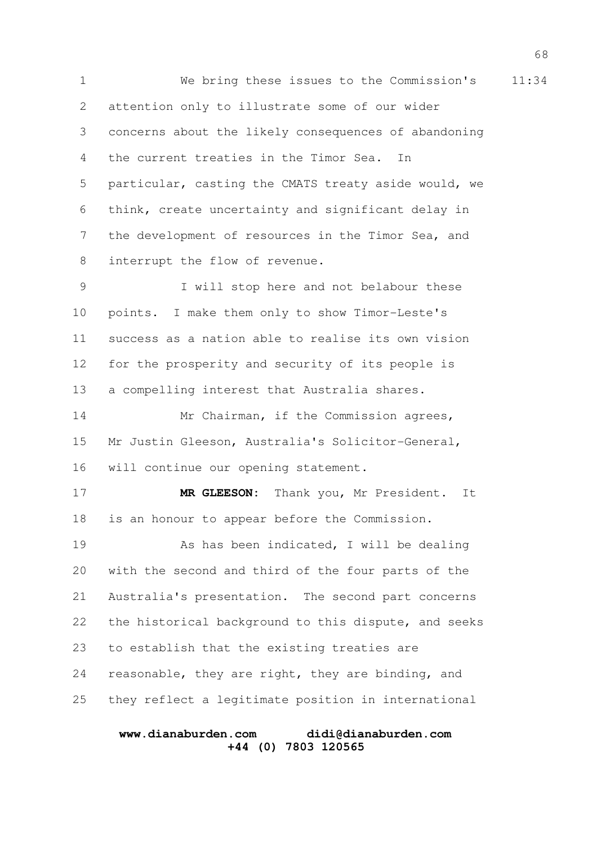1 We bring these issues to the Commission's 11:34 attention only to illustrate some of our wider concerns about the likely consequences of abandoning the current treaties in the Timor Sea. In particular, casting the CMATS treaty aside would, we think, create uncertainty and significant delay in the development of resources in the Timor Sea, and interrupt the flow of revenue. 2 3 4 5 6 7 8

I will stop here and not belabour these points. I make them only to show Timor-Leste's success as a nation able to realise its own vision for the prosperity and security of its people is a compelling interest that Australia shares. 9 10 11 12 13

Mr Chairman, if the Commission agrees, Mr Justin Gleeson, Australia's Solicitor-General, will continue our opening statement. 14 15 16

**MR GLEESON:** Thank you, Mr President. It is an honour to appear before the Commission. 17 18

As has been indicated, I will be dealing with the second and third of the four parts of the Australia's presentation. The second part concerns the historical background to this dispute, and seeks to establish that the existing treaties are reasonable, they are right, they are binding, and they reflect a legitimate position in international 19 20 21 22 23 24 25

#### **www.dianaburden.com didi@dianaburden.com +44 (0) 7803 120565**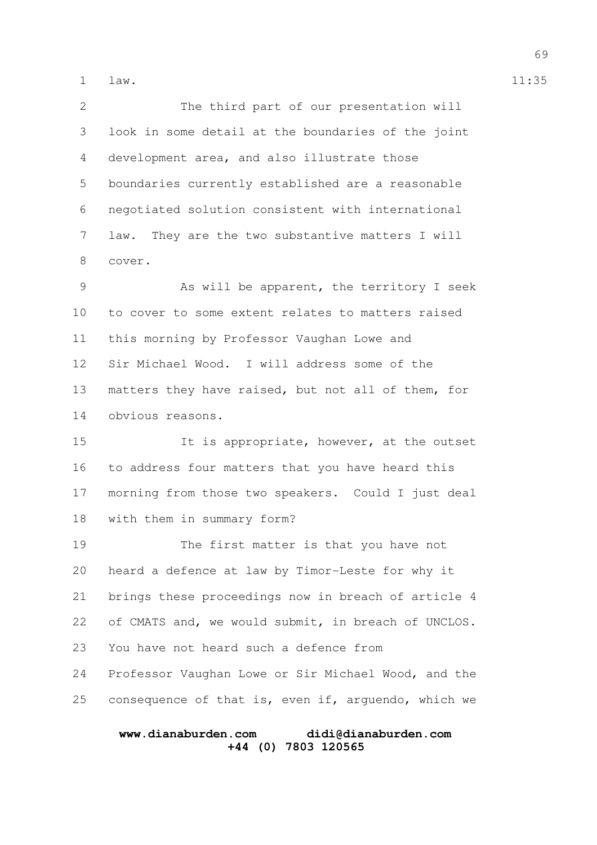law. 1 11:35

The third part of our presentation will look in some detail at the boundaries of the joint development area, and also illustrate those boundaries currently established are a reasonable negotiated solution consistent with international law. They are the two substantive matters I will cover. As will be apparent, the territory I seek to cover to some extent relates to matters raised this morning by Professor Vaughan Lowe and Sir Michael Wood. I will address some of the matters they have raised, but not all of them, for 2 3 4 5 6 7 8 9 10 11 12 13

obvious reasons. 14

It is appropriate, however, at the outset to address four matters that you have heard this morning from those two speakers. Could I just deal with them in summary form? 15 16 17 18

The first matter is that you have not heard a defence at law by Timor-Leste for why it brings these proceedings now in breach of article 4 of CMATS and, we would submit, in breach of UNCLOS. You have not heard such a defence from 19 20 21 22 23

Professor Vaughan Lowe or Sir Michael Wood, and the consequence of that is, even if, arguendo, which we 24 25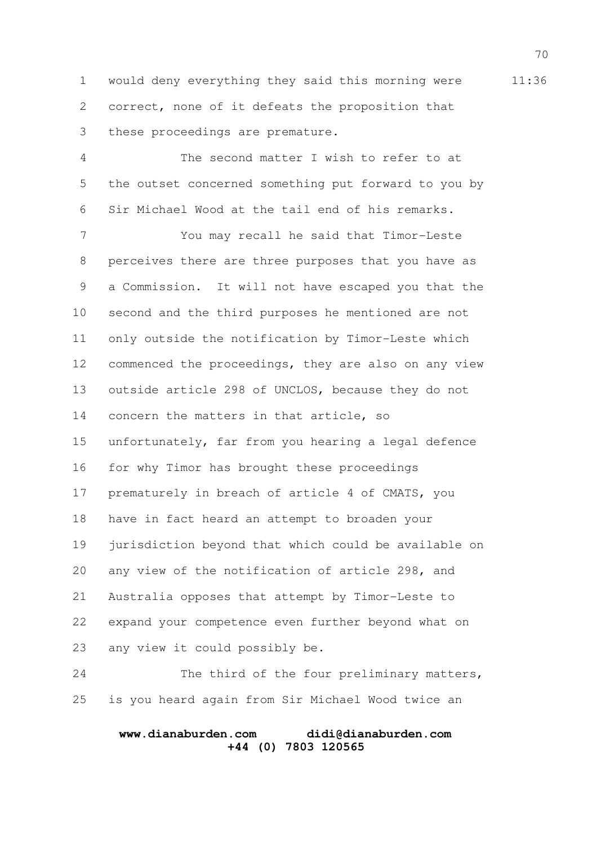1 would deny everything they said this morning were 11:36 correct, none of it defeats the proposition that these proceedings are premature. 2 3

The second matter I wish to refer to at the outset concerned something put forward to you by Sir Michael Wood at the tail end of his remarks. 4 5 6

You may recall he said that Timor-Leste perceives there are three purposes that you have as a Commission. It will not have escaped you that the second and the third purposes he mentioned are not only outside the notification by Timor-Leste which commenced the proceedings, they are also on any view outside article 298 of UNCLOS, because they do not concern the matters in that article, so unfortunately, far from you hearing a legal defence for why Timor has brought these proceedings prematurely in breach of article 4 of CMATS, you have in fact heard an attempt to broaden your jurisdiction beyond that which could be available on any view of the notification of article 298, and Australia opposes that attempt by Timor-Leste to expand your competence even further beyond what on any view it could possibly be. 7 8 9 10 11 12 13 14 15 16 17 18 19 20 21 22 23

The third of the four preliminary matters, is you heard again from Sir Michael Wood twice an 24 25

# **www.dianaburden.com didi@dianaburden.com +44 (0) 7803 120565**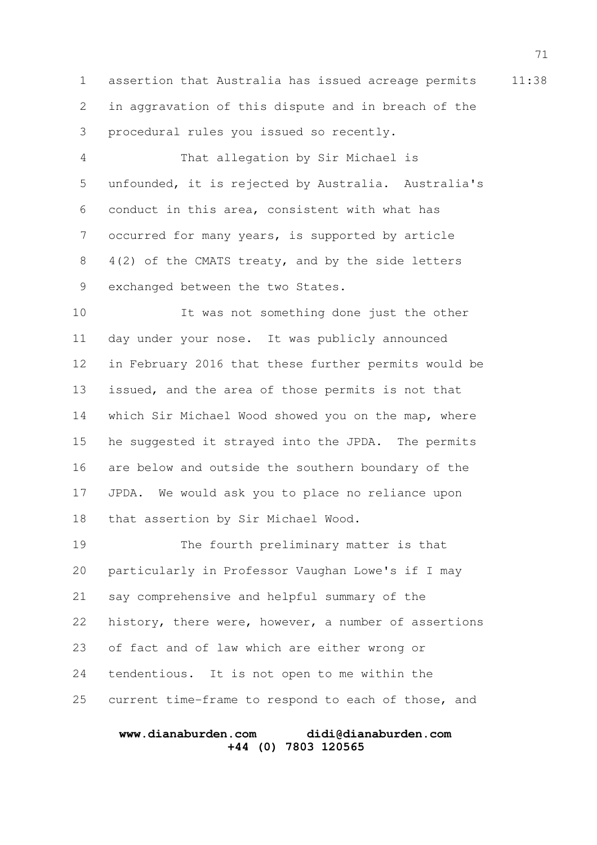1 assertion that Australia has issued acreage permits 11:38 in aggravation of this dispute and in breach of the procedural rules you issued so recently. 2 3

That allegation by Sir Michael is unfounded, it is rejected by Australia. Australia's conduct in this area, consistent with what has occurred for many years, is supported by article 4(2) of the CMATS treaty, and by the side letters exchanged between the two States. 4 5 6 7 8 9

It was not something done just the other day under your nose. It was publicly announced in February 2016 that these further permits would be issued, and the area of those permits is not that which Sir Michael Wood showed you on the map, where he suggested it strayed into the JPDA. The permits are below and outside the southern boundary of the JPDA. We would ask you to place no reliance upon that assertion by Sir Michael Wood. 10 11 12 13 14 15 16 17 18

The fourth preliminary matter is that particularly in Professor Vaughan Lowe's if I may say comprehensive and helpful summary of the history, there were, however, a number of assertions of fact and of law which are either wrong or tendentious. It is not open to me within the current time-frame to respond to each of those, and 19 20 21 22 23 24 25

#### **www.dianaburden.com didi@dianaburden.com +44 (0) 7803 120565**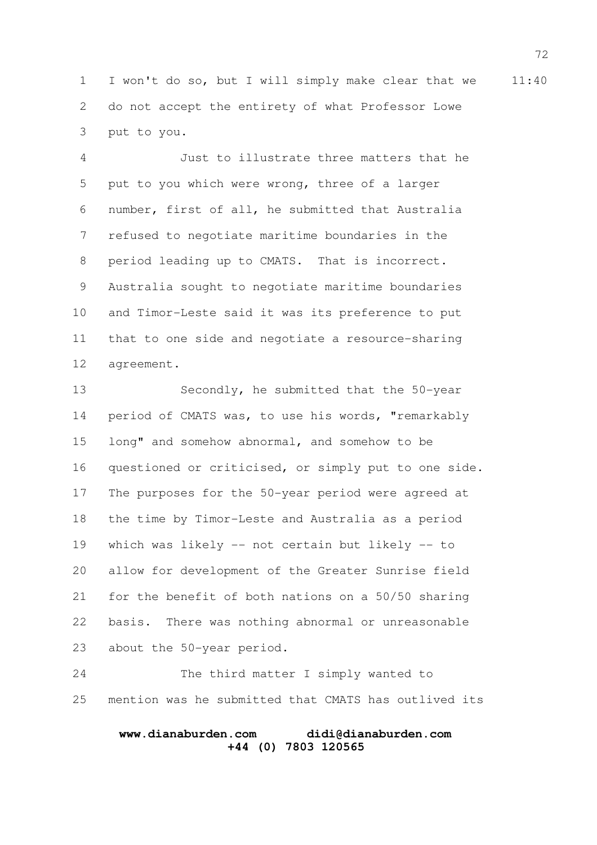1 I won't do so, but I will simply make clear that we 11:40 do not accept the entirety of what Professor Lowe put to you. 2 3

Just to illustrate three matters that he put to you which were wrong, three of a larger number, first of all, he submitted that Australia refused to negotiate maritime boundaries in the period leading up to CMATS. That is incorrect. Australia sought to negotiate maritime boundaries and Timor-Leste said it was its preference to put that to one side and negotiate a resource-sharing agreement. 4 5 6 7 8 9 10 11 12

Secondly, he submitted that the 50-year period of CMATS was, to use his words, "remarkably long" and somehow abnormal, and somehow to be questioned or criticised, or simply put to one side. The purposes for the 50-year period were agreed at the time by Timor-Leste and Australia as a period which was likely -- not certain but likely -- to allow for development of the Greater Sunrise field for the benefit of both nations on a 50/50 sharing basis. There was nothing abnormal or unreasonable about the 50-year period. 13 14 15 16 17 18 19 20 21 22 23

The third matter I simply wanted to mention was he submitted that CMATS has outlived its 24 25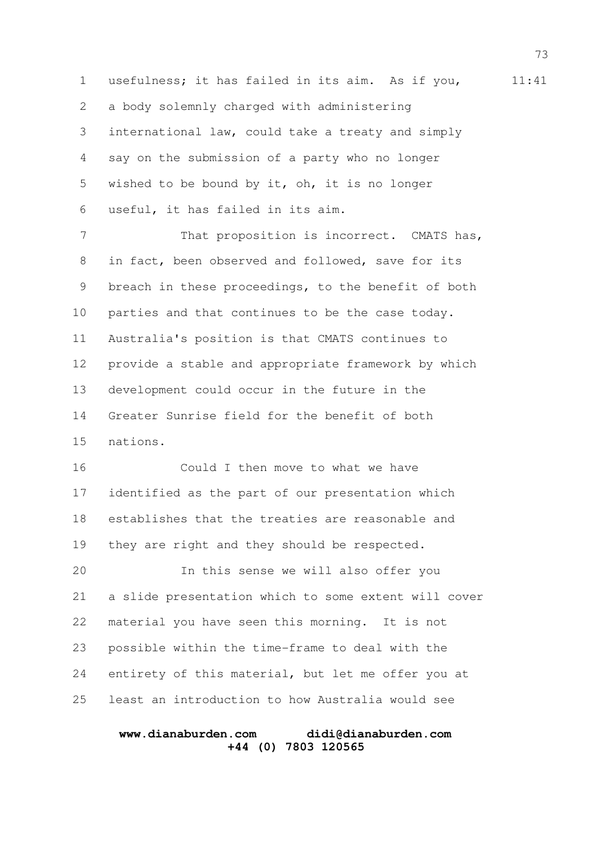1 usefulness; it has failed in its aim. As if you, 11:41 a body solemnly charged with administering international law, could take a treaty and simply say on the submission of a party who no longer wished to be bound by it, oh, it is no longer useful, it has failed in its aim. That proposition is incorrect. CMATS has, in fact, been observed and followed, save for its breach in these proceedings, to the benefit of both parties and that continues to be the case today. Australia's position is that CMATS continues to provide a stable and appropriate framework by which development could occur in the future in the Greater Sunrise field for the benefit of both nations. Could I then move to what we have identified as the part of our presentation which establishes that the treaties are reasonable and they are right and they should be respected. In this sense we will also offer you 2 3 4 5 6 7 8 9 10 11 12 13 14 15 16 17 18 19 20

a slide presentation which to some extent will cover material you have seen this morning. It is not possible within the time-frame to deal with the entirety of this material, but let me offer you at least an introduction to how Australia would see 21 22 23 24 25

#### **www.dianaburden.com didi@dianaburden.com +44 (0) 7803 120565**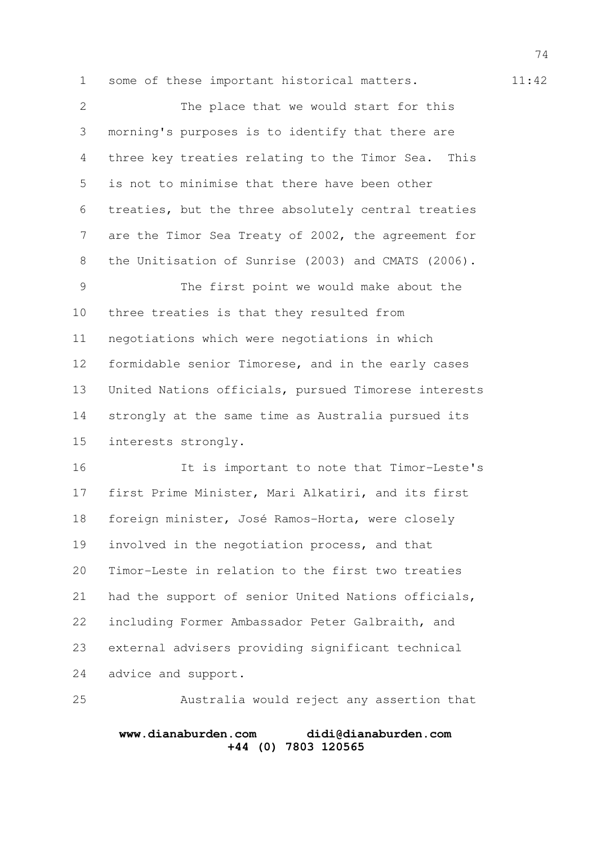1 some of these important historical matters. 11:42

The place that we would start for this morning's purposes is to identify that there are three key treaties relating to the Timor Sea. This is not to minimise that there have been other treaties, but the three absolutely central treaties are the Timor Sea Treaty of 2002, the agreement for the Unitisation of Sunrise (2003) and CMATS (2006). The first point we would make about the three treaties is that they resulted from negotiations which were negotiations in which formidable senior Timorese, and in the early cases United Nations officials, pursued Timorese interests strongly at the same time as Australia pursued its interests strongly. 2 3 4 5 6 7 8 9 10 11 12 13 14 15

It is important to note that Timor-Leste's first Prime Minister, Mari Alkatiri, and its first foreign minister, José Ramos-Horta, were closely involved in the negotiation process, and that Timor-Leste in relation to the first two treaties had the support of senior United Nations officials, including Former Ambassador Peter Galbraith, and external advisers providing significant technical advice and support. 16 17 18 19 20 21 22 23 24

Australia would reject any assertion that **www.dianaburden.com didi@dianaburden.com +44 (0) 7803 120565** 25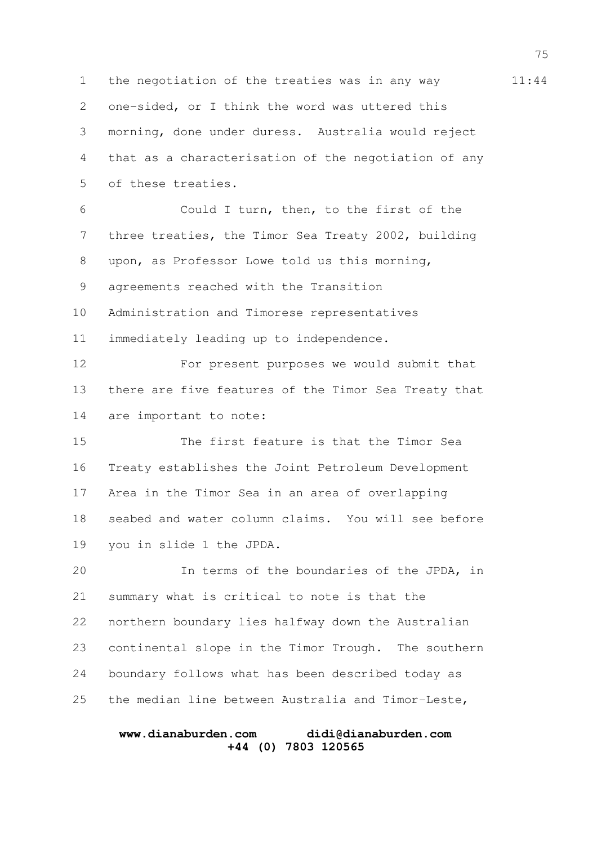1 the negotiation of the treaties was in any way 11:44 one-sided, or I think the word was uttered this morning, done under duress. Australia would reject that as a characterisation of the negotiation of any of these treaties. Could I turn, then, to the first of the three treaties, the Timor Sea Treaty 2002, building upon, as Professor Lowe told us this morning, agreements reached with the Transition Administration and Timorese representatives immediately leading up to independence. For present purposes we would submit that there are five features of the Timor Sea Treaty that are important to note: The first feature is that the Timor Sea Treaty establishes the Joint Petroleum Development Area in the Timor Sea in an area of overlapping seabed and water column claims. You will see before you in slide 1 the JPDA. In terms of the boundaries of the JPDA, in summary what is critical to note is that the northern boundary lies halfway down the Australian continental slope in the Timor Trough. The southern boundary follows what has been described today as the median line between Australia and Timor-Leste, 2 3 4 5 6 7 8 9 10 11 12 13 14 15 16 17 18 19 20 21 22 23 24 25

## **www.dianaburden.com didi@dianaburden.com +44 (0) 7803 120565**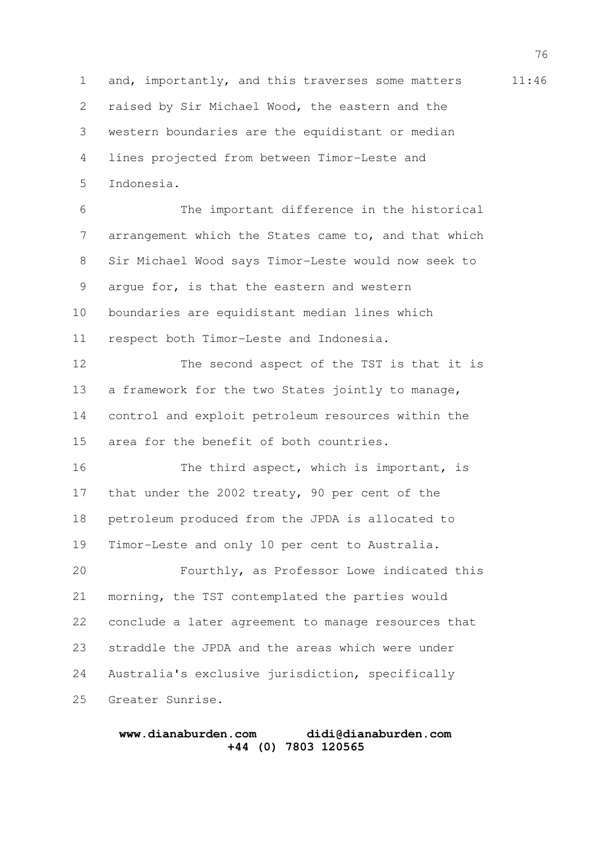1 and, importantly, and this traverses some matters 11:46 raised by Sir Michael Wood, the eastern and the western boundaries are the equidistant or median lines projected from between Timor-Leste and Indonesia. 2 3 4 5

The important difference in the historical arrangement which the States came to, and that which Sir Michael Wood says Timor-Leste would now seek to argue for, is that the eastern and western boundaries are equidistant median lines which respect both Timor-Leste and Indonesia. The second aspect of the TST is that it is a framework for the two States jointly to manage, 6 7 8 9 10 11 12 13

control and exploit petroleum resources within the area for the benefit of both countries. 14 15

The third aspect, which is important, is that under the 2002 treaty, 90 per cent of the petroleum produced from the JPDA is allocated to Timor-Leste and only 10 per cent to Australia. 16 17 18 19

Fourthly, as Professor Lowe indicated this morning, the TST contemplated the parties would conclude a later agreement to manage resources that straddle the JPDA and the areas which were under Australia's exclusive jurisdiction, specifically Greater Sunrise. 20 21 22 23 24 25

#### **www.dianaburden.com didi@dianaburden.com +44 (0) 7803 120565**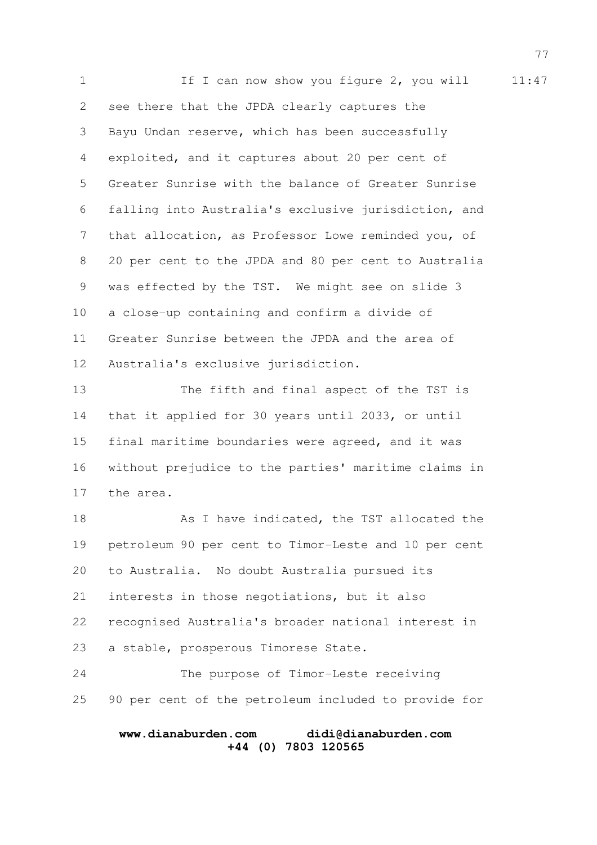1 1:47 see there that the JPDA clearly captures the Bayu Undan reserve, which has been successfully exploited, and it captures about 20 per cent of Greater Sunrise with the balance of Greater Sunrise falling into Australia's exclusive jurisdiction, and that allocation, as Professor Lowe reminded you, of 20 per cent to the JPDA and 80 per cent to Australia was effected by the TST. We might see on slide 3 a close-up containing and confirm a divide of Greater Sunrise between the JPDA and the area of Australia's exclusive jurisdiction. The fifth and final aspect of the TST is that it applied for 30 years until 2033, or until final maritime boundaries were agreed, and it was without prejudice to the parties' maritime claims in the area. As I have indicated, the TST allocated the petroleum 90 per cent to Timor-Leste and 10 per cent to Australia. No doubt Australia pursued its interests in those negotiations, but it also recognised Australia's broader national interest in a stable, prosperous Timorese State. The purpose of Timor-Leste receiving 2 3 4 5 6 7 8 9 10 11 12 13 14 15 16 17 18 19 20 21 22 23 24

90 per cent of the petroleum included to provide for 25

## **www.dianaburden.com didi@dianaburden.com +44 (0) 7803 120565**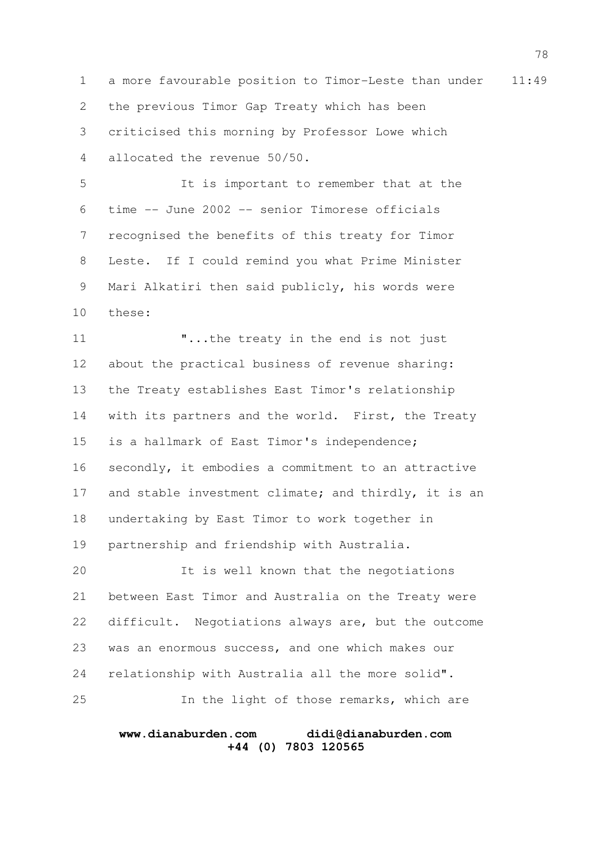1 a more favourable position to Timor-Leste than under 11:49 the previous Timor Gap Treaty which has been criticised this morning by Professor Lowe which allocated the revenue 50/50. 2 3 4

It is important to remember that at the time -- June 2002 -- senior Timorese officials recognised the benefits of this treaty for Timor Leste. If I could remind you what Prime Minister Mari Alkatiri then said publicly, his words were these: 5 6 7 8 9 10

"...the treaty in the end is not just about the practical business of revenue sharing: the Treaty establishes East Timor's relationship with its partners and the world. First, the Treaty is a hallmark of East Timor's independence; secondly, it embodies a commitment to an attractive and stable investment climate; and thirdly, it is an undertaking by East Timor to work together in partnership and friendship with Australia. 11 12 13 14 15 16 17 18 19

It is well known that the negotiations between East Timor and Australia on the Treaty were difficult. Negotiations always are, but the outcome was an enormous success, and one which makes our relationship with Australia all the more solid". In the light of those remarks, which are 20 21 22 23 24 25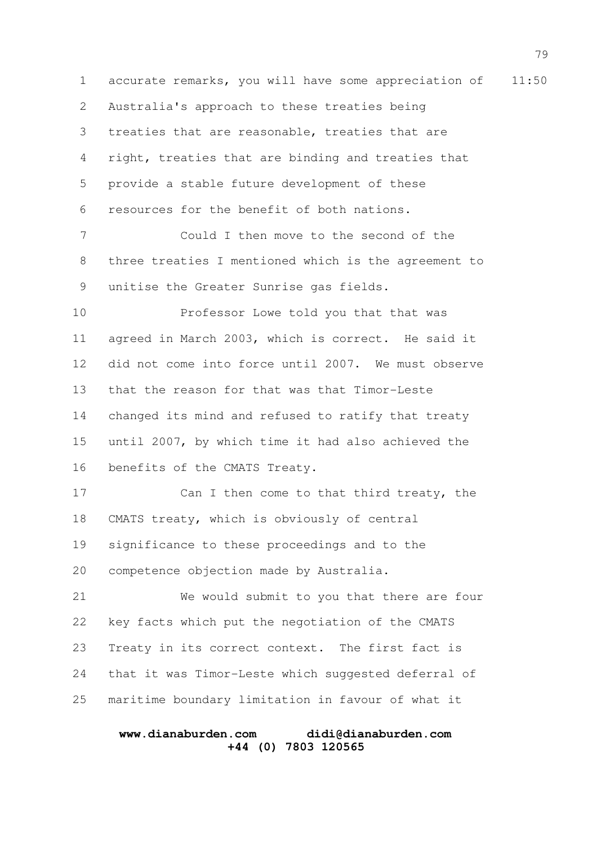1 accurate remarks, you will have some appreciation of 11:50 Australia's approach to these treaties being treaties that are reasonable, treaties that are right, treaties that are binding and treaties that provide a stable future development of these resources for the benefit of both nations. Could I then move to the second of the three treaties I mentioned which is the agreement to unitise the Greater Sunrise gas fields. Professor Lowe told you that that was agreed in March 2003, which is correct. He said it did not come into force until 2007. We must observe that the reason for that was that Timor-Leste changed its mind and refused to ratify that treaty until 2007, by which time it had also achieved the benefits of the CMATS Treaty. Can I then come to that third treaty, the CMATS treaty, which is obviously of central significance to these proceedings and to the competence objection made by Australia. We would submit to you that there are four key facts which put the negotiation of the CMATS Treaty in its correct context. The first fact is that it was Timor-Leste which suggested deferral of maritime boundary limitation in favour of what it 2 3 4 5 6 7 8 9 10 11 12 13 14 15 16 17 18 19 20 21 22 23 24 25

# **www.dianaburden.com didi@dianaburden.com +44 (0) 7803 120565**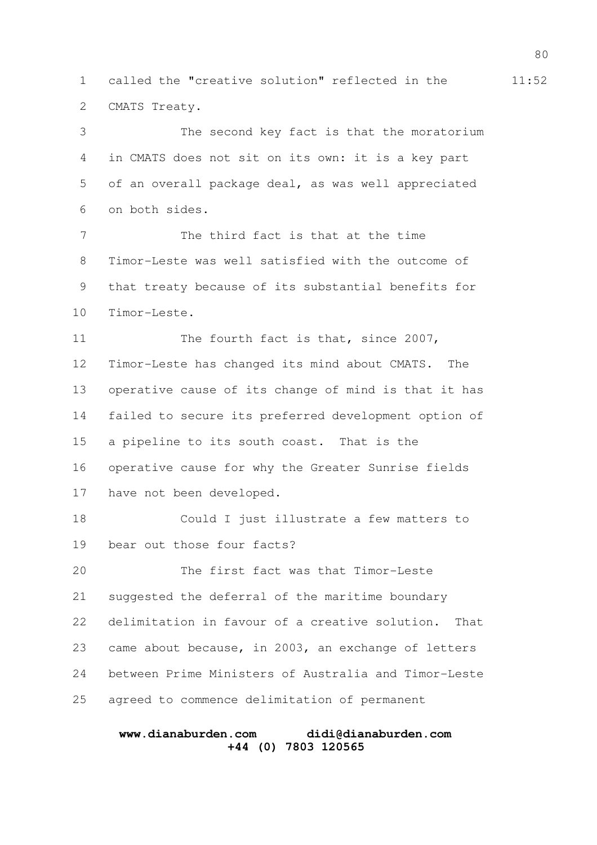1 called the "creative solution" reflected in the  $11:52$ CMATS Treaty. 2

The second key fact is that the moratorium in CMATS does not sit on its own: it is a key part of an overall package deal, as was well appreciated on both sides. 3 4 5 6

The third fact is that at the time Timor-Leste was well satisfied with the outcome of that treaty because of its substantial benefits for Timor-Leste. 7 8 9 10

The fourth fact is that, since 2007, Timor-Leste has changed its mind about CMATS. The operative cause of its change of mind is that it has failed to secure its preferred development option of a pipeline to its south coast. That is the operative cause for why the Greater Sunrise fields have not been developed. 11 12 13 14 15 16 17

Could I just illustrate a few matters to bear out those four facts? 18 19

The first fact was that Timor-Leste suggested the deferral of the maritime boundary delimitation in favour of a creative solution. That came about because, in 2003, an exchange of letters between Prime Ministers of Australia and Timor-Leste agreed to commence delimitation of permanent 20 21 22 23 24 25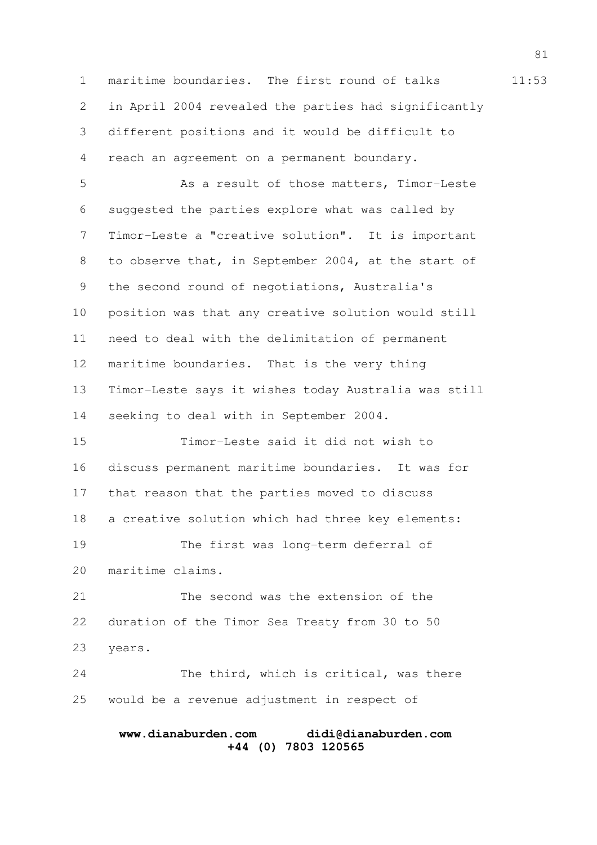1 maritime boundaries. The first round of talks 11:53 in April 2004 revealed the parties had significantly different positions and it would be difficult to reach an agreement on a permanent boundary. 2 3 4

As a result of those matters, Timor-Leste suggested the parties explore what was called by Timor-Leste a "creative solution". It is important to observe that, in September 2004, at the start of the second round of negotiations, Australia's position was that any creative solution would still need to deal with the delimitation of permanent maritime boundaries. That is the very thing Timor-Leste says it wishes today Australia was still seeking to deal with in September 2004. 5 6 7 8 9 10 11 12 13 14

Timor-Leste said it did not wish to discuss permanent maritime boundaries. It was for that reason that the parties moved to discuss a creative solution which had three key elements: The first was long-term deferral of maritime claims. 15 16 17 18 19 20

The second was the extension of the duration of the Timor Sea Treaty from 30 to 50 years. 21 22 23

The third, which is critical, was there would be a revenue adjustment in respect of 24 25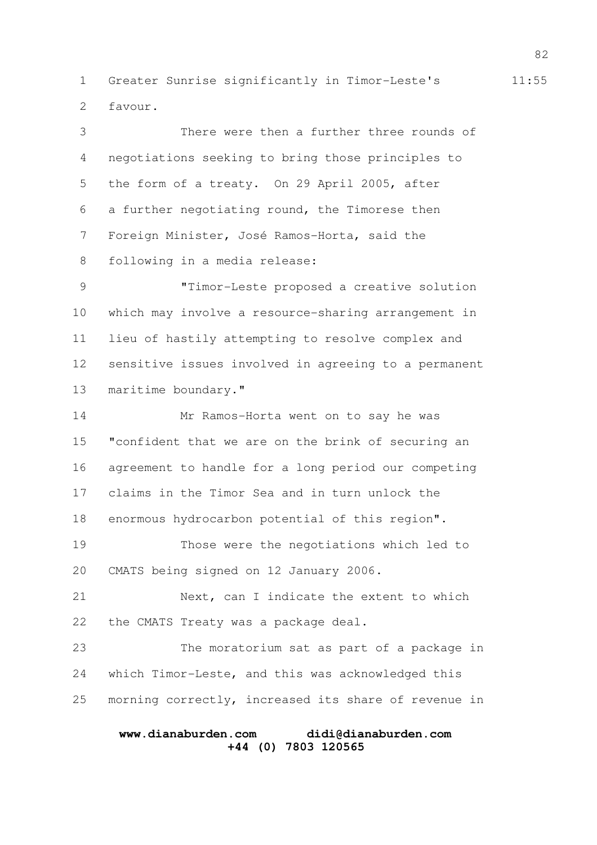1 Greater Sunrise significantly in Timor-Leste's 11:55 favour. 2

There were then a further three rounds of negotiations seeking to bring those principles to the form of a treaty. On 29 April 2005, after a further negotiating round, the Timorese then Foreign Minister, José Ramos-Horta, said the following in a media release: "Timor-Leste proposed a creative solution which may involve a resource-sharing arrangement in lieu of hastily attempting to resolve complex and sensitive issues involved in agreeing to a permanent maritime boundary." Mr Ramos-Horta went on to say he was "confident that we are on the brink of securing an agreement to handle for a long period our competing claims in the Timor Sea and in turn unlock the enormous hydrocarbon potential of this region". Those were the negotiations which led to CMATS being signed on 12 January 2006. Next, can I indicate the extent to which the CMATS Treaty was a package deal. The moratorium sat as part of a package in which Timor-Leste, and this was acknowledged this morning correctly, increased its share of revenue in 3 4 5 6 7 8 9 10 11 12 13 14 15 16 17 18 19 20 21 22 23 24 25

# **www.dianaburden.com didi@dianaburden.com +44 (0) 7803 120565**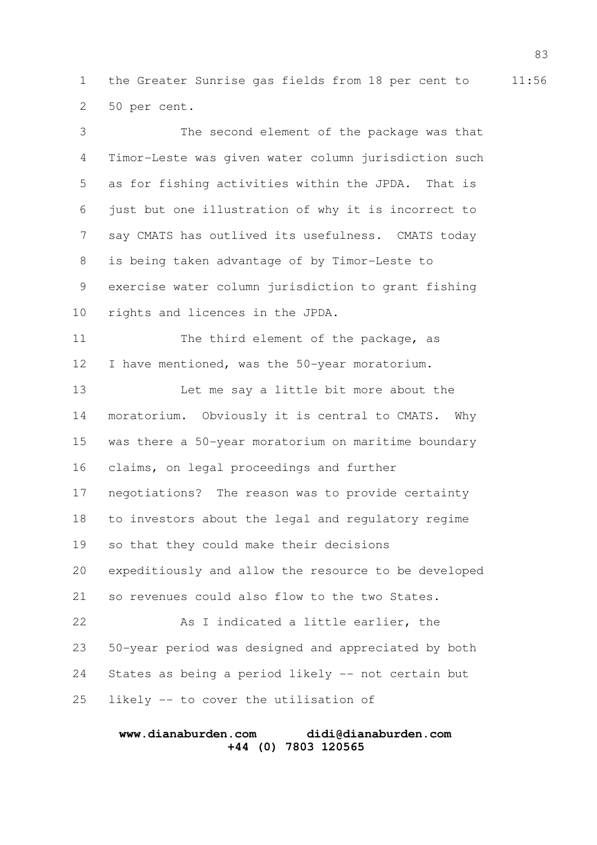1 the Greater Sunrise gas fields from 18 per cent to 11:56 50 per cent. 2

The second element of the package was that Timor-Leste was given water column jurisdiction such as for fishing activities within the JPDA. That is just but one illustration of why it is incorrect to say CMATS has outlived its usefulness. CMATS today is being taken advantage of by Timor-Leste to exercise water column jurisdiction to grant fishing rights and licences in the JPDA. The third element of the package, as I have mentioned, was the 50-year moratorium. Let me say a little bit more about the moratorium. Obviously it is central to CMATS. Why was there a 50-year moratorium on maritime boundary claims, on legal proceedings and further negotiations? The reason was to provide certainty to investors about the legal and regulatory regime so that they could make their decisions expeditiously and allow the resource to be developed so revenues could also flow to the two States. As I indicated a little earlier, the 50-year period was designed and appreciated by both States as being a period likely -- not certain but likely -- to cover the utilisation of 3 4 5 6 7 8 9 10 11 12 13 14 15 16 17 18 19 20 21 22 23 24 25

## **www.dianaburden.com didi@dianaburden.com +44 (0) 7803 120565**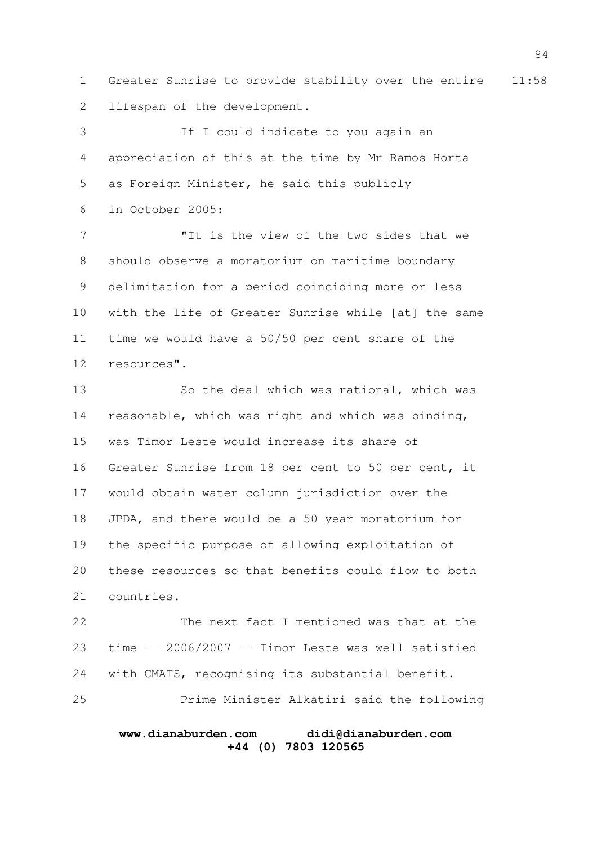1 Greater Sunrise to provide stability over the entire 11:58 lifespan of the development. 2

If I could indicate to you again an appreciation of this at the time by Mr Ramos-Horta as Foreign Minister, he said this publicly in October 2005: 3 4 5 6

"It is the view of the two sides that we should observe a moratorium on maritime boundary delimitation for a period coinciding more or less with the life of Greater Sunrise while [at] the same time we would have a 50/50 per cent share of the resources". 7 8 9 10 11 12

So the deal which was rational, which was reasonable, which was right and which was binding, was Timor-Leste would increase its share of Greater Sunrise from 18 per cent to 50 per cent, it would obtain water column jurisdiction over the JPDA, and there would be a 50 year moratorium for the specific purpose of allowing exploitation of these resources so that benefits could flow to both countries. 13 14 15 16 17 18 19 20 21

The next fact I mentioned was that at the time -- 2006/2007 -- Timor-Leste was well satisfied with CMATS, recognising its substantial benefit. Prime Minister Alkatiri said the following 22 23 24 25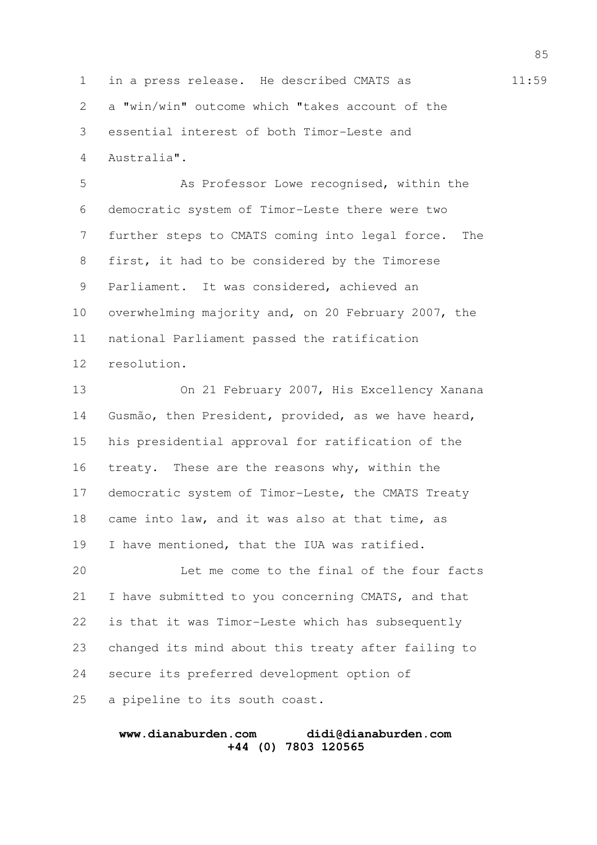1 in a press release. He described CMATS as  $11:59$ a "win/win" outcome which "takes account of the essential interest of both Timor-Leste and Australia". 2 3 4

As Professor Lowe recognised, within the democratic system of Timor-Leste there were two further steps to CMATS coming into legal force. The first, it had to be considered by the Timorese Parliament. It was considered, achieved an overwhelming majority and, on 20 February 2007, the national Parliament passed the ratification resolution. 5 6 7 8 9 10 11 12

On 21 February 2007, His Excellency Xanana Gusmão, then President, provided, as we have heard, his presidential approval for ratification of the treaty. These are the reasons why, within the democratic system of Timor-Leste, the CMATS Treaty came into law, and it was also at that time, as I have mentioned, that the IUA was ratified. 13 14 15 16 17 18 19

Let me come to the final of the four facts I have submitted to you concerning CMATS, and that is that it was Timor-Leste which has subsequently changed its mind about this treaty after failing to secure its preferred development option of a pipeline to its south coast. 20 21 22 23 24 25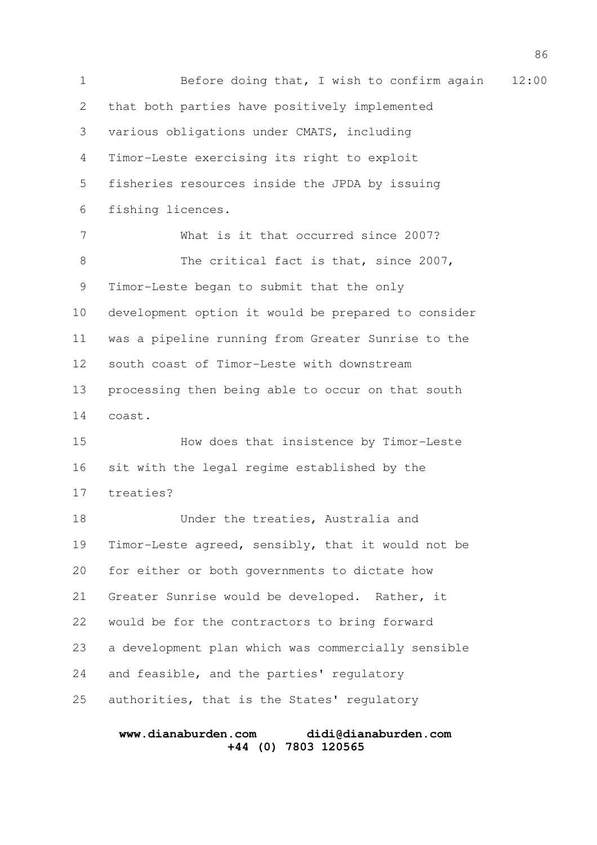1 Before doing that, I wish to confirm again 12:00 that both parties have positively implemented various obligations under CMATS, including Timor-Leste exercising its right to exploit fisheries resources inside the JPDA by issuing fishing licences. What is it that occurred since 2007? The critical fact is that, since 2007, Timor-Leste began to submit that the only development option it would be prepared to consider was a pipeline running from Greater Sunrise to the south coast of Timor-Leste with downstream processing then being able to occur on that south coast. How does that insistence by Timor-Leste sit with the legal regime established by the treaties? Under the treaties, Australia and Timor-Leste agreed, sensibly, that it would not be for either or both governments to dictate how Greater Sunrise would be developed. Rather, it would be for the contractors to bring forward a development plan which was commercially sensible and feasible, and the parties' regulatory authorities, that is the States' regulatory 2 3 4 5 6 7 8 9 10 11 12 13 14 15 16 17 18 19 20 21 22 23 24 25

## **www.dianaburden.com didi@dianaburden.com +44 (0) 7803 120565**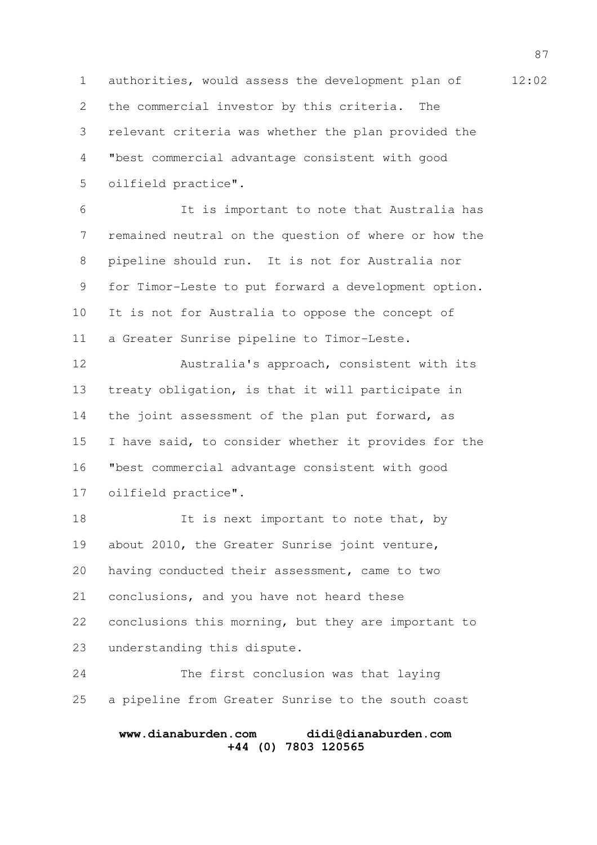1 authorities, would assess the development plan of 12:02 the commercial investor by this criteria. The relevant criteria was whether the plan provided the "best commercial advantage consistent with good oilfield practice". 2 3 4 5

It is important to note that Australia has remained neutral on the question of where or how the pipeline should run. It is not for Australia nor for Timor-Leste to put forward a development option. It is not for Australia to oppose the concept of a Greater Sunrise pipeline to Timor-Leste. 6 7 8 9 10 11

Australia's approach, consistent with its treaty obligation, is that it will participate in the joint assessment of the plan put forward, as I have said, to consider whether it provides for the "best commercial advantage consistent with good oilfield practice". 12 13 14 15 16 17

It is next important to note that, by about 2010, the Greater Sunrise joint venture, having conducted their assessment, came to two conclusions, and you have not heard these conclusions this morning, but they are important to understanding this dispute. 18 19 20 21 22 23

The first conclusion was that laying a pipeline from Greater Sunrise to the south coast 24 25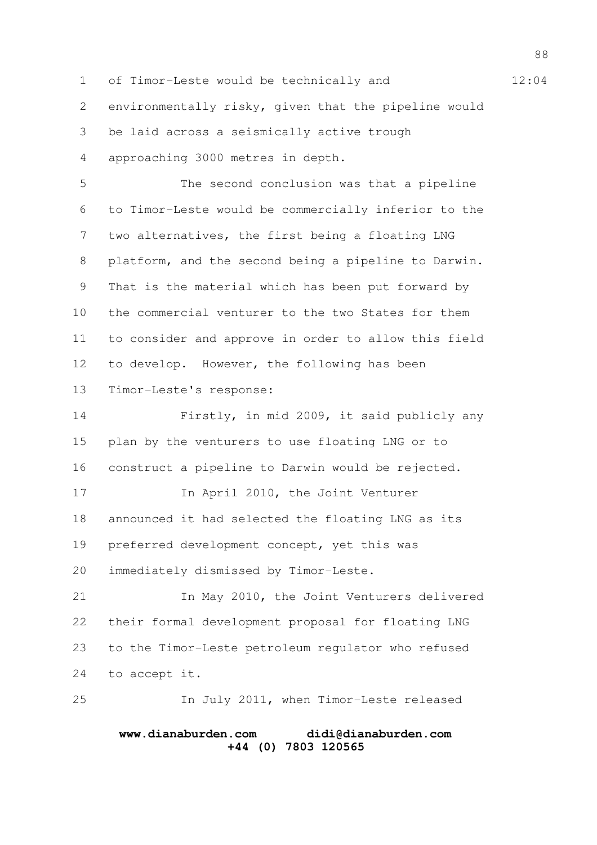1 of Timor-Leste would be technically and 12:04 environmentally risky, given that the pipeline would be laid across a seismically active trough approaching 3000 metres in depth. The second conclusion was that a pipeline to Timor-Leste would be commercially inferior to the two alternatives, the first being a floating LNG platform, and the second being a pipeline to Darwin. That is the material which has been put forward by the commercial venturer to the two States for them to consider and approve in order to allow this field to develop. However, the following has been Timor-Leste's response: Firstly, in mid 2009, it said publicly any plan by the venturers to use floating LNG or to construct a pipeline to Darwin would be rejected. In April 2010, the Joint Venturer announced it had selected the floating LNG as its preferred development concept, yet this was immediately dismissed by Timor-Leste. In May 2010, the Joint Venturers delivered their formal development proposal for floating LNG to the Timor-Leste petroleum regulator who refused to accept it. In July 2011, when Timor-Leste released 2 3 4 5 6 7 8 9 10 11 12 13 14 15 16 17 18 19 20 21 22 23 24 25

## **www.dianaburden.com didi@dianaburden.com +44 (0) 7803 120565**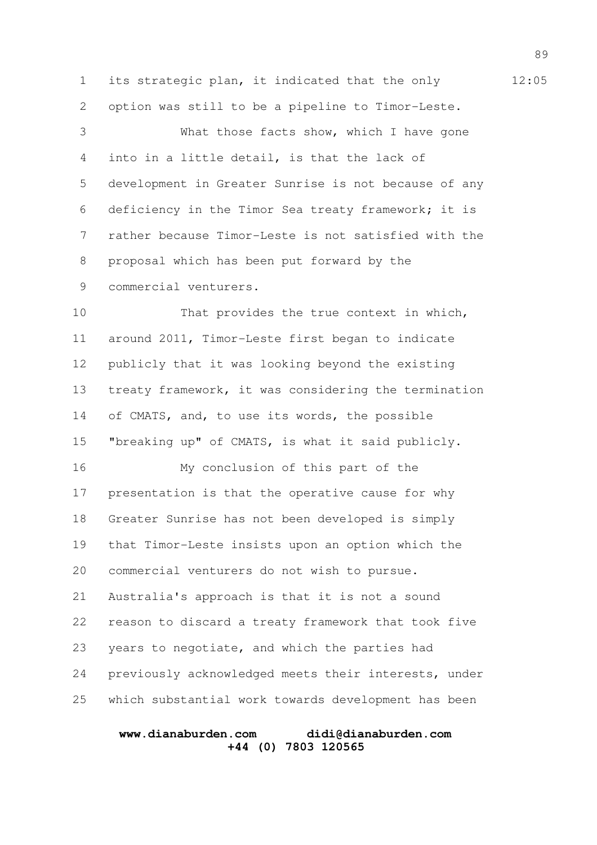1 its strategic plan, it indicated that the only 12:05 option was still to be a pipeline to Timor-Leste. What those facts show, which I have gone into in a little detail, is that the lack of development in Greater Sunrise is not because of any deficiency in the Timor Sea treaty framework; it is rather because Timor-Leste is not satisfied with the proposal which has been put forward by the commercial venturers. 2 3 4 5 6 7 8 9

That provides the true context in which, around 2011, Timor-Leste first began to indicate publicly that it was looking beyond the existing treaty framework, it was considering the termination of CMATS, and, to use its words, the possible "breaking up" of CMATS, is what it said publicly. 10 11 12 13 14 15

My conclusion of this part of the presentation is that the operative cause for why Greater Sunrise has not been developed is simply that Timor-Leste insists upon an option which the commercial venturers do not wish to pursue. Australia's approach is that it is not a sound reason to discard a treaty framework that took five years to negotiate, and which the parties had previously acknowledged meets their interests, under which substantial work towards development has been 16 17 18 19 20 21 22 23 24 25

## **www.dianaburden.com didi@dianaburden.com +44 (0) 7803 120565**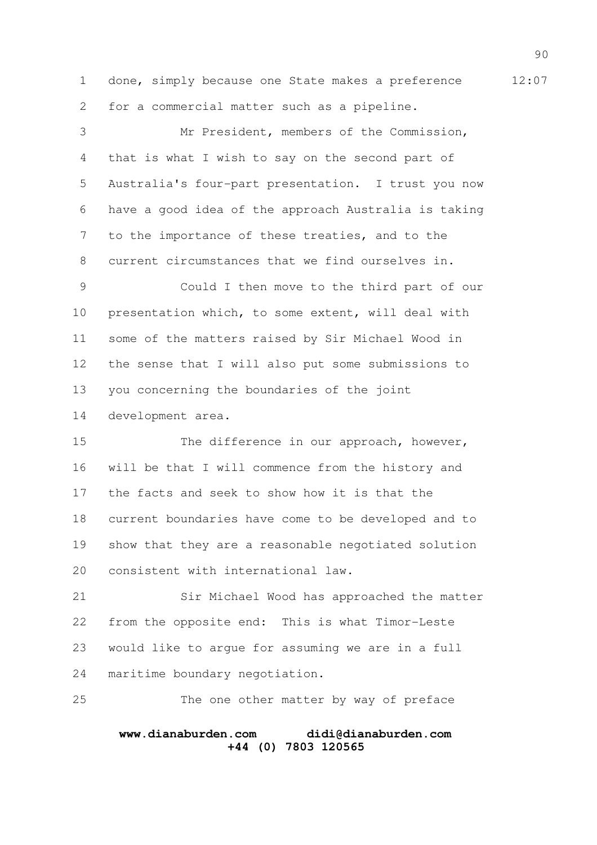1 done, simply because one State makes a preference 12:07 for a commercial matter such as a pipeline. 2

Mr President, members of the Commission, that is what I wish to say on the second part of Australia's four-part presentation. I trust you now have a good idea of the approach Australia is taking to the importance of these treaties, and to the current circumstances that we find ourselves in. Could I then move to the third part of our presentation which, to some extent, will deal with 3 4 5 6 7 8 9 10

some of the matters raised by Sir Michael Wood in the sense that I will also put some submissions to you concerning the boundaries of the joint development area. 11 12 13 14

The difference in our approach, however, will be that I will commence from the history and the facts and seek to show how it is that the current boundaries have come to be developed and to show that they are a reasonable negotiated solution consistent with international law. 15 16 17 18 19 20

Sir Michael Wood has approached the matter from the opposite end: This is what Timor-Leste would like to argue for assuming we are in a full maritime boundary negotiation. 21 22 23 24

The one other matter by way of preface 25

## **www.dianaburden.com didi@dianaburden.com +44 (0) 7803 120565**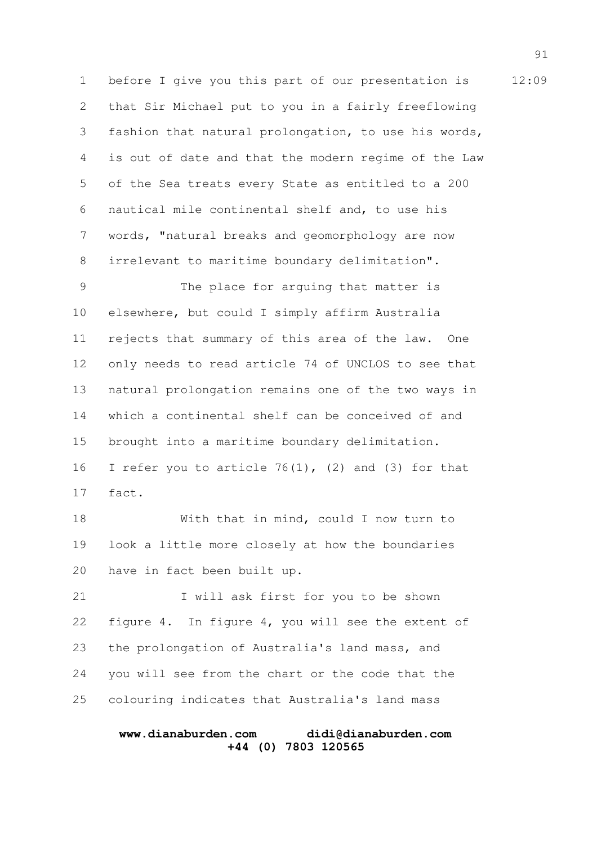1 before I give you this part of our presentation is 12:09 that Sir Michael put to you in a fairly freeflowing fashion that natural prolongation, to use his words, is out of date and that the modern regime of the Law of the Sea treats every State as entitled to a 200 nautical mile continental shelf and, to use his words, "natural breaks and geomorphology are now irrelevant to maritime boundary delimitation". 2 3 4 5 6 7 8

The place for arguing that matter is elsewhere, but could I simply affirm Australia rejects that summary of this area of the law. One only needs to read article 74 of UNCLOS to see that natural prolongation remains one of the two ways in which a continental shelf can be conceived of and brought into a maritime boundary delimitation. I refer you to article  $76(1)$ , (2) and (3) for that fact. 9 10 11 12 13 14 15 16 17

With that in mind, could I now turn to look a little more closely at how the boundaries have in fact been built up. 18 19 20

I will ask first for you to be shown figure 4. In figure 4, you will see the extent of the prolongation of Australia's land mass, and you will see from the chart or the code that the colouring indicates that Australia's land mass 21 22 23 24 25

## **www.dianaburden.com didi@dianaburden.com +44 (0) 7803 120565**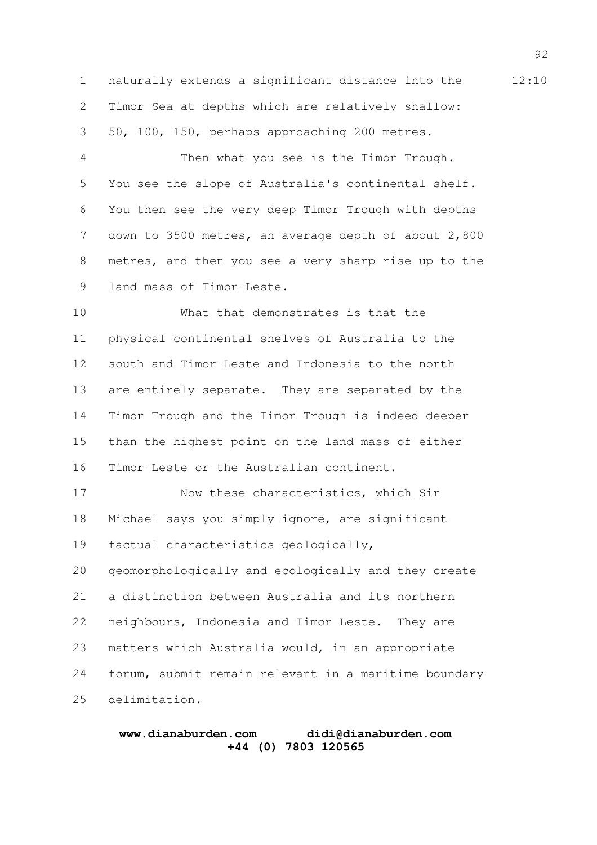1 naturally extends a significant distance into the 12:10 Timor Sea at depths which are relatively shallow: 50, 100, 150, perhaps approaching 200 metres. 2 3

Then what you see is the Timor Trough. You see the slope of Australia's continental shelf. You then see the very deep Timor Trough with depths down to 3500 metres, an average depth of about 2,800 metres, and then you see a very sharp rise up to the land mass of Timor-Leste. 4 5 6 7 8 9

What that demonstrates is that the physical continental shelves of Australia to the south and Timor-Leste and Indonesia to the north are entirely separate. They are separated by the Timor Trough and the Timor Trough is indeed deeper than the highest point on the land mass of either Timor-Leste or the Australian continent. 10 11 12 13 14 15 16

Now these characteristics, which Sir Michael says you simply ignore, are significant factual characteristics geologically, geomorphologically and ecologically and they create a distinction between Australia and its northern neighbours, Indonesia and Timor-Leste. They are matters which Australia would, in an appropriate forum, submit remain relevant in a maritime boundary delimitation. 17 18 19 20 21 22 23 24 25

#### **www.dianaburden.com didi@dianaburden.com +44 (0) 7803 120565**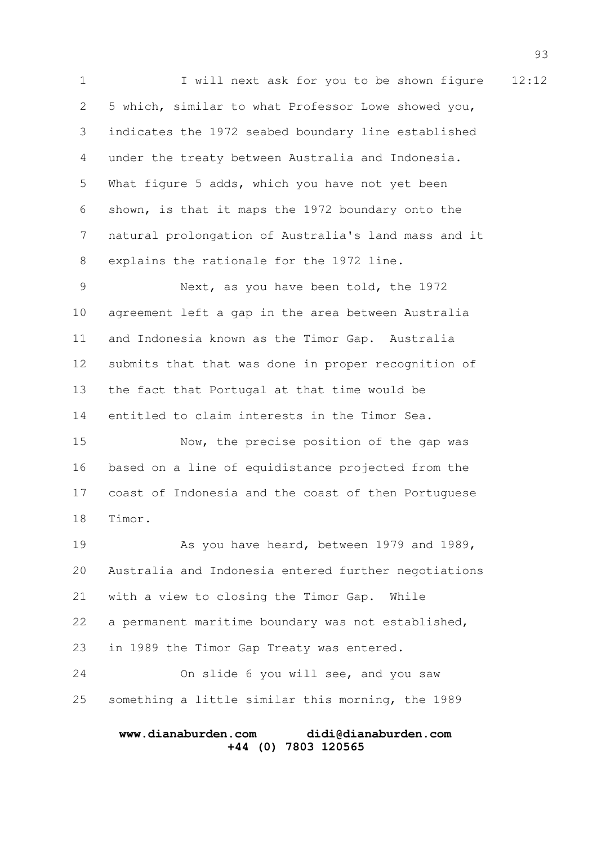1 I will next ask for you to be shown figure 12:12 5 which, similar to what Professor Lowe showed you, indicates the 1972 seabed boundary line established under the treaty between Australia and Indonesia. What figure 5 adds, which you have not yet been shown, is that it maps the 1972 boundary onto the natural prolongation of Australia's land mass and it explains the rationale for the 1972 line. Next, as you have been told, the 1972 agreement left a gap in the area between Australia and Indonesia known as the Timor Gap. Australia submits that that was done in proper recognition of the fact that Portugal at that time would be entitled to claim interests in the Timor Sea. Now, the precise position of the gap was based on a line of equidistance projected from the coast of Indonesia and the coast of then Portuguese Timor. As you have heard, between 1979 and 1989, 2 3 4 5 6 7 8 9 10 11 12 13 14 15 16 17 18 19

Australia and Indonesia entered further negotiations with a view to closing the Timor Gap. While a permanent maritime boundary was not established, in 1989 the Timor Gap Treaty was entered. On slide 6 you will see, and you saw something a little similar this morning, the 1989 20 21 22 23 24 25

#### **www.dianaburden.com didi@dianaburden.com +44 (0) 7803 120565**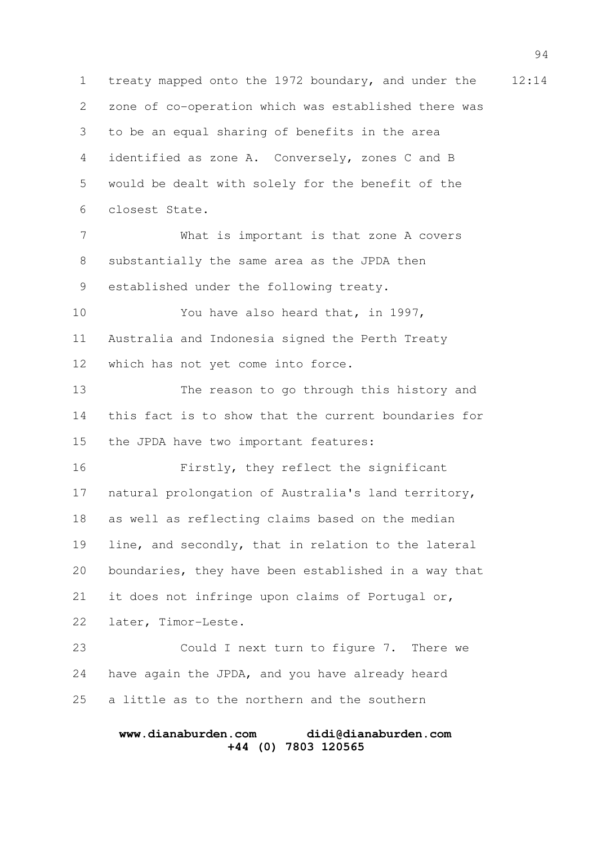1 treaty mapped onto the 1972 boundary, and under the 12:14 zone of co-operation which was established there was to be an equal sharing of benefits in the area identified as zone A. Conversely, zones C and B would be dealt with solely for the benefit of the closest State. What is important is that zone A covers substantially the same area as the JPDA then established under the following treaty. You have also heard that, in 1997, Australia and Indonesia signed the Perth Treaty which has not yet come into force. The reason to go through this history and this fact is to show that the current boundaries for the JPDA have two important features: Firstly, they reflect the significant natural prolongation of Australia's land territory, as well as reflecting claims based on the median line, and secondly, that in relation to the lateral boundaries, they have been established in a way that it does not infringe upon claims of Portugal or, later, Timor-Leste. Could I next turn to figure 7. There we have again the JPDA, and you have already heard a little as to the northern and the southern 2 3 4 5 6 7 8 9 10 11 12 13 14 15 16 17 18 19 20 21 22 23 24 25

## **www.dianaburden.com didi@dianaburden.com +44 (0) 7803 120565**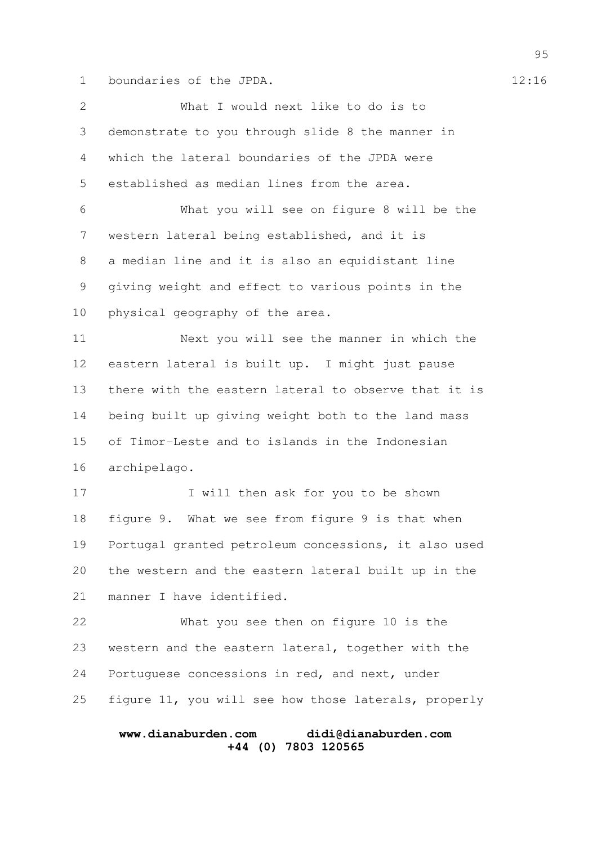1 boundaries of the JPDA. 12:16

What I would next like to do is to demonstrate to you through slide 8 the manner in which the lateral boundaries of the JPDA were established as median lines from the area. What you will see on figure 8 will be the western lateral being established, and it is a median line and it is also an equidistant line giving weight and effect to various points in the physical geography of the area. Next you will see the manner in which the eastern lateral is built up. I might just pause there with the eastern lateral to observe that it is being built up giving weight both to the land mass of Timor-Leste and to islands in the Indonesian archipelago. I will then ask for you to be shown figure 9. What we see from figure 9 is that when Portugal granted petroleum concessions, it also used the western and the eastern lateral built up in the manner I have identified. What you see then on figure 10 is the western and the eastern lateral, together with the Portuguese concessions in red, and next, under figure 11, you will see how those laterals, properly 2 3 4 5 6 7 8 9 10 11 12 13 14 15 16 17 18 19 20 21 22 23 24 25

# **www.dianaburden.com didi@dianaburden.com +44 (0) 7803 120565**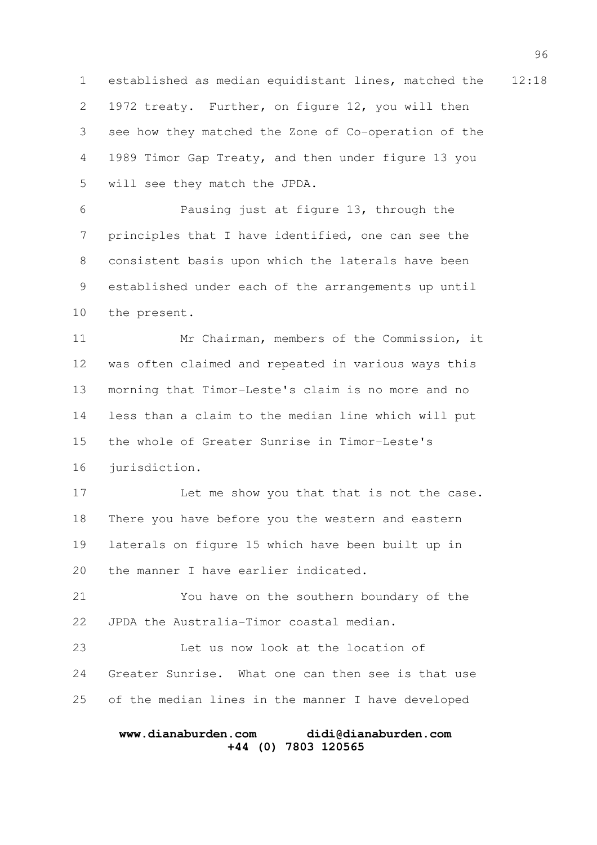1 established as median equidistant lines, matched the 12:18 1972 treaty. Further, on figure 12, you will then see how they matched the Zone of Co-operation of the 1989 Timor Gap Treaty, and then under figure 13 you will see they match the JPDA. 2 3 4 5

Pausing just at figure 13, through the principles that I have identified, one can see the consistent basis upon which the laterals have been established under each of the arrangements up until the present. 6 7 8 9 10

Mr Chairman, members of the Commission, it was often claimed and repeated in various ways this morning that Timor-Leste's claim is no more and no less than a claim to the median line which will put the whole of Greater Sunrise in Timor-Leste's jurisdiction. 11 12 13 14 15 16

Let me show you that that is not the case. There you have before you the western and eastern laterals on figure 15 which have been built up in the manner I have earlier indicated. 17 18 19 20

You have on the southern boundary of the JPDA the Australia-Timor coastal median. 21 22

Let us now look at the location of Greater Sunrise. What one can then see is that use of the median lines in the manner I have developed 23 24 25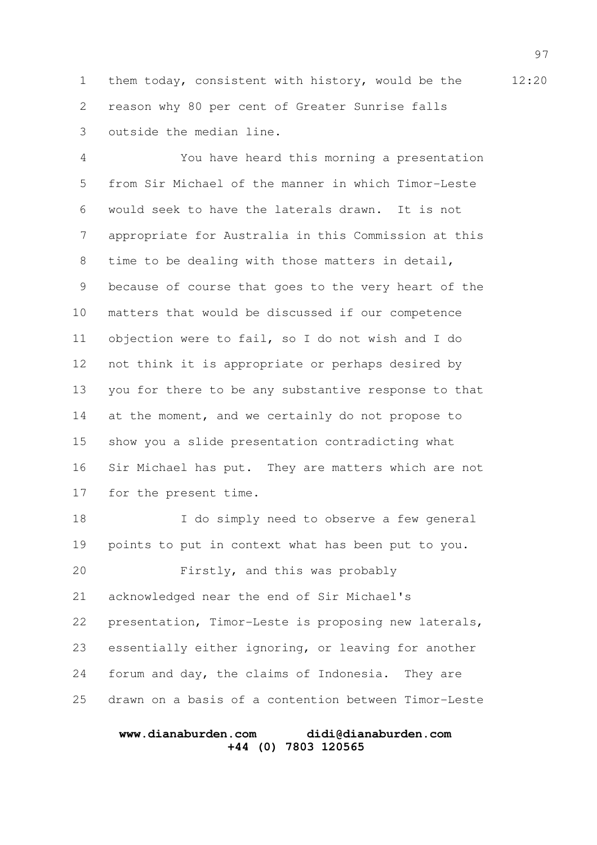1 them today, consistent with history, would be the 12:20 reason why 80 per cent of Greater Sunrise falls outside the median line. 2 3

You have heard this morning a presentation from Sir Michael of the manner in which Timor-Leste would seek to have the laterals drawn. It is not appropriate for Australia in this Commission at this time to be dealing with those matters in detail, because of course that goes to the very heart of the matters that would be discussed if our competence objection were to fail, so I do not wish and I do not think it is appropriate or perhaps desired by you for there to be any substantive response to that at the moment, and we certainly do not propose to show you a slide presentation contradicting what Sir Michael has put. They are matters which are not for the present time. 4 5 6 7 8 9 10 11 12 13 14 15 16 17

I do simply need to observe a few general points to put in context what has been put to you. Firstly, and this was probably acknowledged near the end of Sir Michael's presentation, Timor-Leste is proposing new laterals, essentially either ignoring, or leaving for another forum and day, the claims of Indonesia. They are drawn on a basis of a contention between Timor-Leste 18 19 20 21 22 23 24 25

## **www.dianaburden.com didi@dianaburden.com +44 (0) 7803 120565**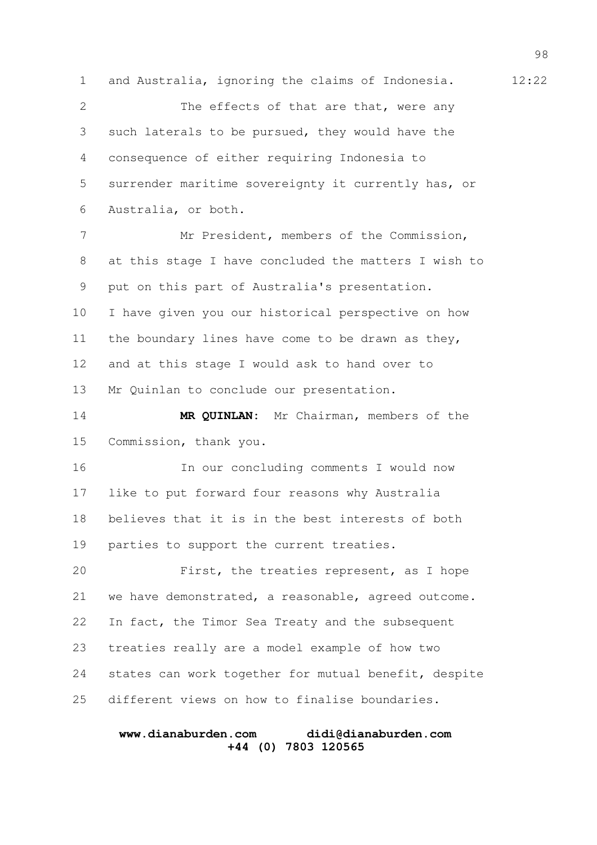1 and Australia, ignoring the claims of Indonesia. 12:22 The effects of that are that, were any such laterals to be pursued, they would have the consequence of either requiring Indonesia to surrender maritime sovereignty it currently has, or Australia, or both. Mr President, members of the Commission, at this stage I have concluded the matters I wish to put on this part of Australia's presentation. I have given you our historical perspective on how the boundary lines have come to be drawn as they, and at this stage I would ask to hand over to Mr Quinlan to conclude our presentation. **MR QUINLAN:** Mr Chairman, members of the Commission, thank you. In our concluding comments I would now like to put forward four reasons why Australia believes that it is in the best interests of both parties to support the current treaties. First, the treaties represent, as I hope we have demonstrated, a reasonable, agreed outcome. In fact, the Timor Sea Treaty and the subsequent treaties really are a model example of how two states can work together for mutual benefit, despite different views on how to finalise boundaries. 2 3 4 5 6 7 8 9 10 11 12 13 14 15 16 17 18 19 20 21 22 23 24 25

## **www.dianaburden.com didi@dianaburden.com +44 (0) 7803 120565**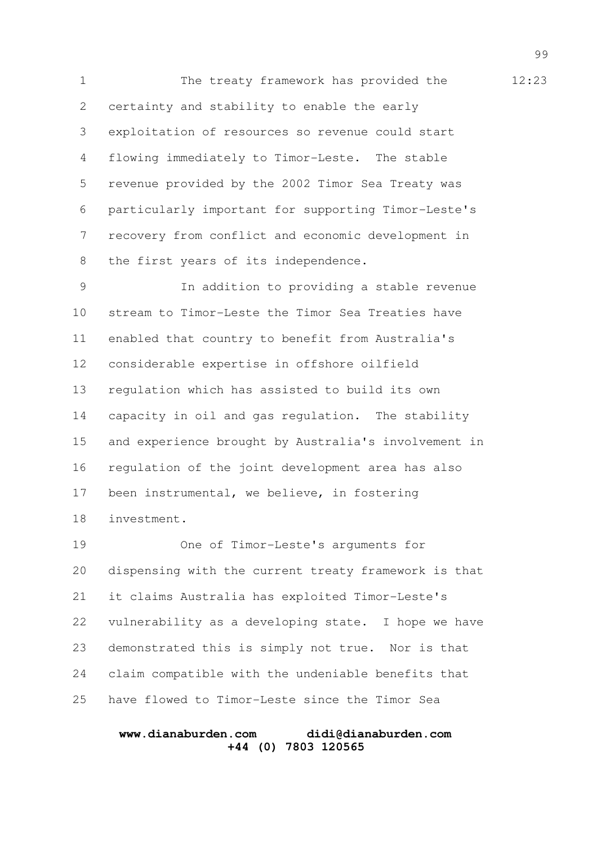1 The treaty framework has provided the 12:23 certainty and stability to enable the early exploitation of resources so revenue could start flowing immediately to Timor-Leste. The stable revenue provided by the 2002 Timor Sea Treaty was particularly important for supporting Timor-Leste's recovery from conflict and economic development in the first years of its independence. 2 3 4 5 6 7 8

In addition to providing a stable revenue stream to Timor-Leste the Timor Sea Treaties have enabled that country to benefit from Australia's considerable expertise in offshore oilfield regulation which has assisted to build its own capacity in oil and gas regulation. The stability and experience brought by Australia's involvement in regulation of the joint development area has also been instrumental, we believe, in fostering investment. 9 10 11 12 13 14 15 16 17 18

One of Timor-Leste's arguments for dispensing with the current treaty framework is that it claims Australia has exploited Timor-Leste's vulnerability as a developing state. I hope we have demonstrated this is simply not true. Nor is that claim compatible with the undeniable benefits that have flowed to Timor-Leste since the Timor Sea 19 20 21 22 23 24 25

## **www.dianaburden.com didi@dianaburden.com +44 (0) 7803 120565**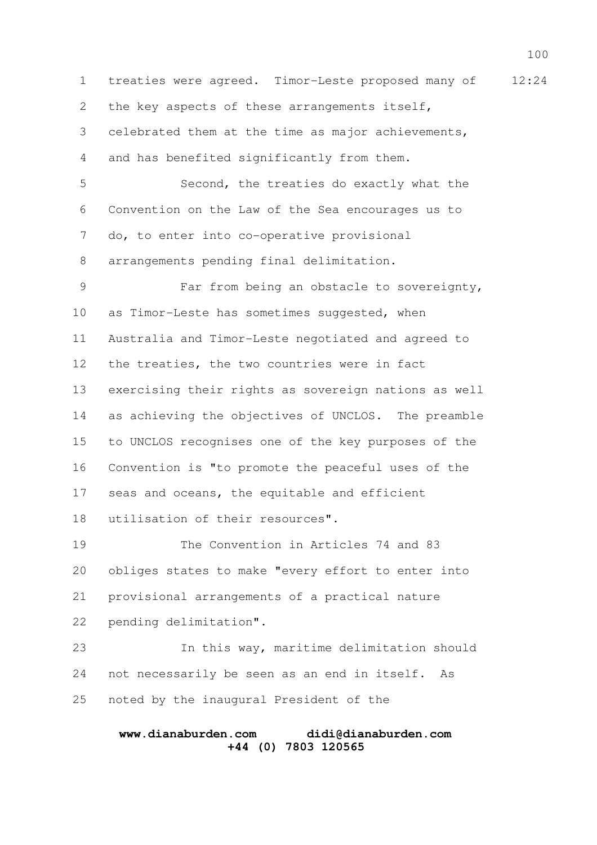1 treaties were agreed. Timor-Leste proposed many of 12:24 the key aspects of these arrangements itself, celebrated them at the time as major achievements, and has benefited significantly from them. Second, the treaties do exactly what the Convention on the Law of the Sea encourages us to do, to enter into co-operative provisional arrangements pending final delimitation. Far from being an obstacle to sovereignty, as Timor-Leste has sometimes suggested, when Australia and Timor-Leste negotiated and agreed to the treaties, the two countries were in fact exercising their rights as sovereign nations as well as achieving the objectives of UNCLOS. The preamble to UNCLOS recognises one of the key purposes of the Convention is "to promote the peaceful uses of the seas and oceans, the equitable and efficient utilisation of their resources". The Convention in Articles 74 and 83 obliges states to make "every effort to enter into provisional arrangements of a practical nature pending delimitation". In this way, maritime delimitation should not necessarily be seen as an end in itself. As noted by the inaugural President of the 2 3 4 5 6 7 8 9 10 11 12 13 14 15 16 17 18 19 20 21 22 23 24 25

#### **www.dianaburden.com didi@dianaburden.com +44 (0) 7803 120565**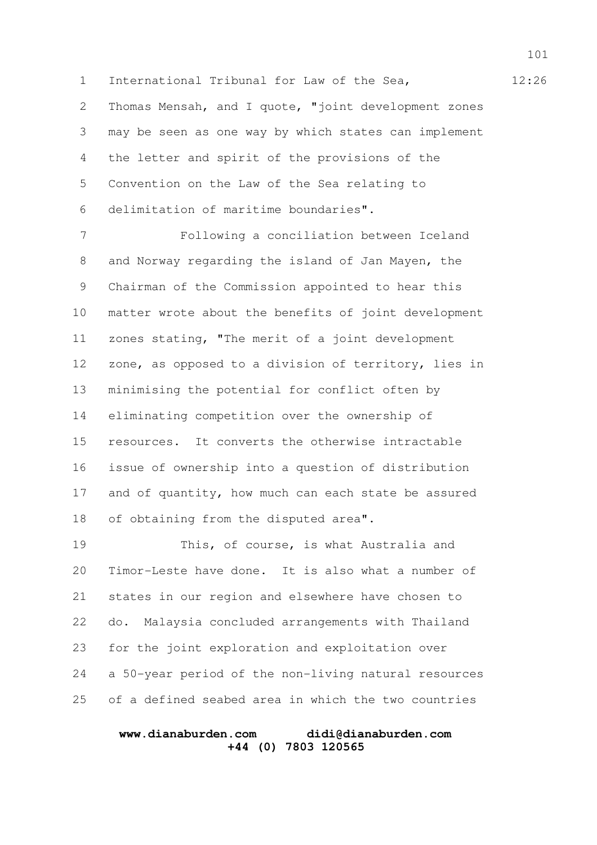1 International Tribunal for Law of the Sea, 12:26 Thomas Mensah, and I quote, "joint development zones may be seen as one way by which states can implement the letter and spirit of the provisions of the Convention on the Law of the Sea relating to delimitation of maritime boundaries". 2 3 4 5 6

Following a conciliation between Iceland and Norway regarding the island of Jan Mayen, the Chairman of the Commission appointed to hear this matter wrote about the benefits of joint development zones stating, "The merit of a joint development zone, as opposed to a division of territory, lies in minimising the potential for conflict often by eliminating competition over the ownership of resources. It converts the otherwise intractable issue of ownership into a question of distribution and of quantity, how much can each state be assured of obtaining from the disputed area". 7 8 9 10 11 12 13 14 15 16 17 18

This, of course, is what Australia and Timor-Leste have done. It is also what a number of states in our region and elsewhere have chosen to do. Malaysia concluded arrangements with Thailand for the joint exploration and exploitation over a 50-year period of the non-living natural resources of a defined seabed area in which the two countries 19 20 21 22 23 24 25

## **www.dianaburden.com didi@dianaburden.com +44 (0) 7803 120565**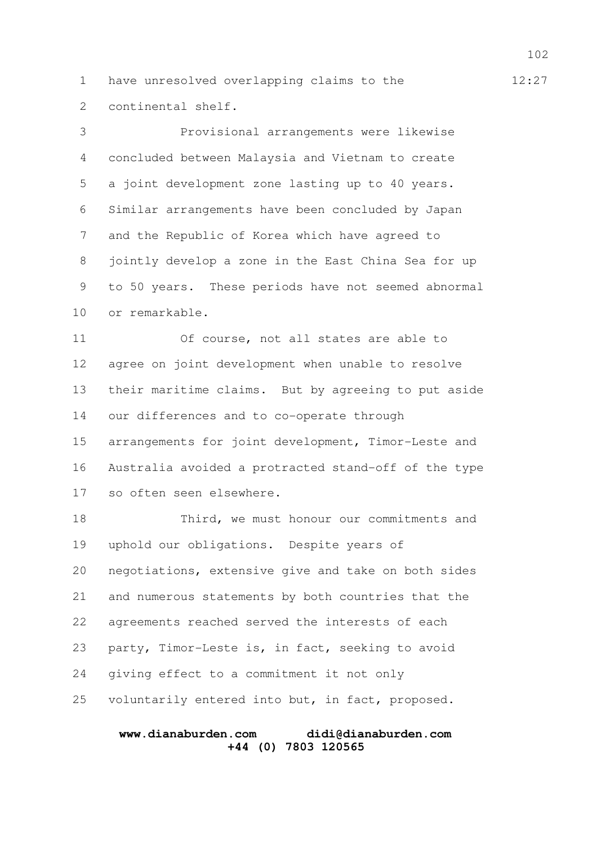1 have unresolved overlapping claims to the  $12:27$ continental shelf. 2

Provisional arrangements were likewise concluded between Malaysia and Vietnam to create a joint development zone lasting up to 40 years. Similar arrangements have been concluded by Japan and the Republic of Korea which have agreed to jointly develop a zone in the East China Sea for up to 50 years. These periods have not seemed abnormal or remarkable. 3 4 5 6 7 8 9 10

Of course, not all states are able to agree on joint development when unable to resolve their maritime claims. But by agreeing to put aside our differences and to co-operate through arrangements for joint development, Timor-Leste and Australia avoided a protracted stand-off of the type so often seen elsewhere. 11 12 13 14 15 16 17

Third, we must honour our commitments and uphold our obligations. Despite years of negotiations, extensive give and take on both sides and numerous statements by both countries that the agreements reached served the interests of each party, Timor-Leste is, in fact, seeking to avoid giving effect to a commitment it not only voluntarily entered into but, in fact, proposed. 18 19 20 21 22 23 24 25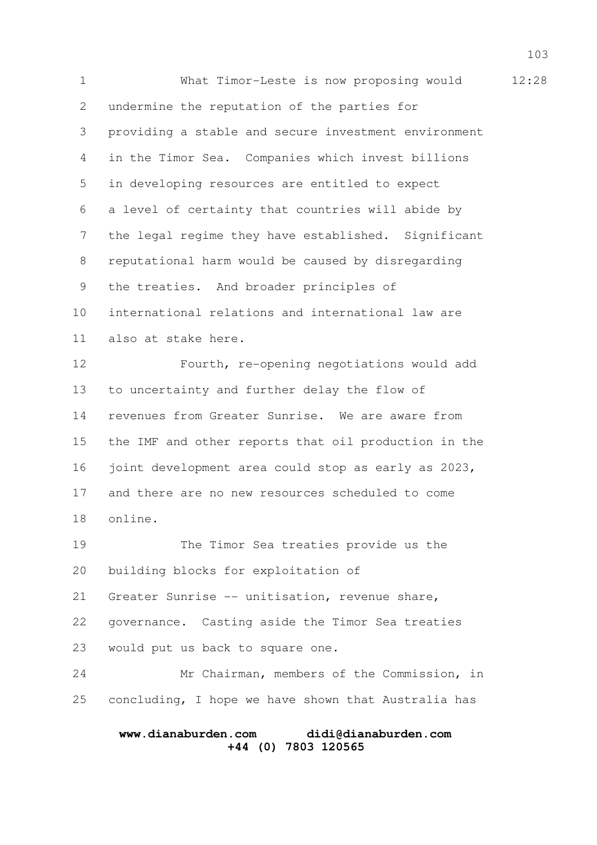1 What Timor-Leste is now proposing would 12:28 undermine the reputation of the parties for providing a stable and secure investment environment in the Timor Sea. Companies which invest billions in developing resources are entitled to expect a level of certainty that countries will abide by the legal regime they have established. Significant reputational harm would be caused by disregarding the treaties. And broader principles of international relations and international law are also at stake here. Fourth, re-opening negotiations would add to uncertainty and further delay the flow of revenues from Greater Sunrise. We are aware from the IMF and other reports that oil production in the joint development area could stop as early as 2023, and there are no new resources scheduled to come online. The Timor Sea treaties provide us the building blocks for exploitation of Greater Sunrise -- unitisation, revenue share, governance. Casting aside the Timor Sea treaties would put us back to square one. Mr Chairman, members of the Commission, in concluding, I hope we have shown that Australia has 2 3 4 5 6 7 8 9 10 11 12 13 14 15 16 17 18 19 20 21 22 23 24 25

## **www.dianaburden.com didi@dianaburden.com +44 (0) 7803 120565**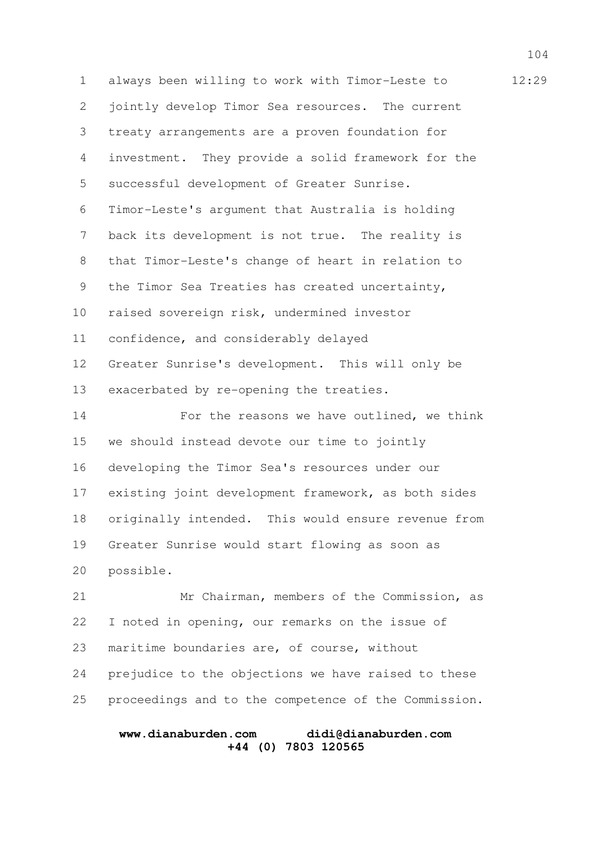1 always been willing to work with Timor-Leste to  $12:29$ jointly develop Timor Sea resources. The current treaty arrangements are a proven foundation for investment. They provide a solid framework for the successful development of Greater Sunrise. Timor-Leste's argument that Australia is holding back its development is not true. The reality is that Timor-Leste's change of heart in relation to the Timor Sea Treaties has created uncertainty, raised sovereign risk, undermined investor confidence, and considerably delayed Greater Sunrise's development. This will only be exacerbated by re-opening the treaties. For the reasons we have outlined, we think we should instead devote our time to jointly developing the Timor Sea's resources under our existing joint development framework, as both sides originally intended. This would ensure revenue from Greater Sunrise would start flowing as soon as possible. Mr Chairman, members of the Commission, as I noted in opening, our remarks on the issue of 2 3 4 5 6 7 8 9 10 11 12 13 14 15 16 17 18 19 20 21 22

prejudice to the objections we have raised to these proceedings and to the competence of the Commission. 24 25

maritime boundaries are, of course, without

23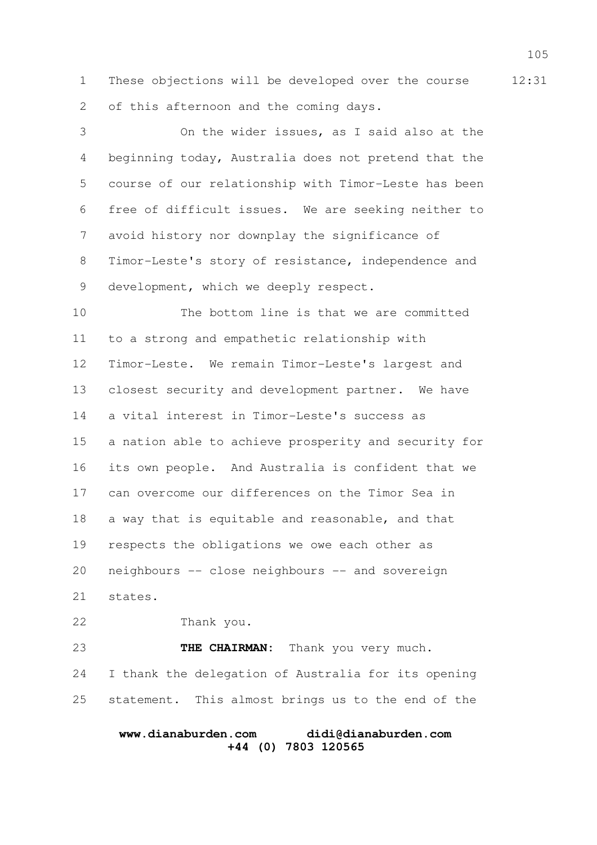1 These objections will be developed over the course 12:31 of this afternoon and the coming days. 2

On the wider issues, as I said also at the beginning today, Australia does not pretend that the course of our relationship with Timor-Leste has been free of difficult issues. We are seeking neither to avoid history nor downplay the significance of Timor-Leste's story of resistance, independence and development, which we deeply respect. 3 4 5 6 7 8 9

The bottom line is that we are committed to a strong and empathetic relationship with Timor-Leste. We remain Timor-Leste's largest and closest security and development partner. We have a vital interest in Timor-Leste's success as a nation able to achieve prosperity and security for its own people. And Australia is confident that we can overcome our differences on the Timor Sea in a way that is equitable and reasonable, and that respects the obligations we owe each other as neighbours -- close neighbours -- and sovereign states. 10 11 12 13 14 15 16 17 18 19 20 21

Thank you. 22

THE CHAIRMAN: Thank you very much. I thank the delegation of Australia for its opening statement. This almost brings us to the end of the 23 24 25

## **www.dianaburden.com didi@dianaburden.com +44 (0) 7803 120565**